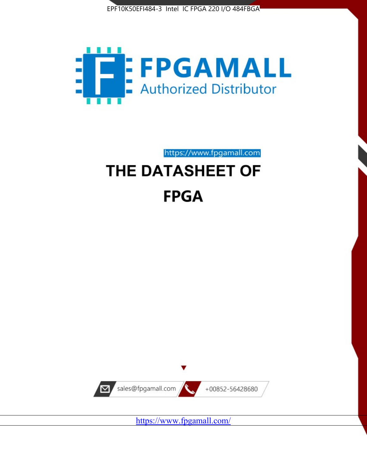



https://www.fpgamall.com

# THE DATASHEET OF **FPGA**



<https://www.fpgamall.com/>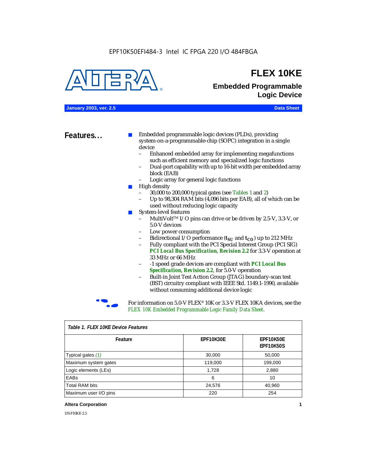#### EPF10K50EFI484-3 Intel IC FPGA 220 I/O 484FBGA



## **FLEX 10KE**

### **Embedded Programmable Logic Device**

**January 2003, ver. 2.5 Data Sheet**

**Features...** ■ Embedded programmable logic devices (PLDs), providing system-on-a-programmable-chip (SOPC) integration in a single device

- Enhanced embedded array for implementing megafunctions such as efficient memory and specialized logic functions
- Dual-port capability with up to 16-bit width per embedded array block (EAB)
- Logic array for general logic functions
- High density
	- 30,000 to 200,000 typical gates (see Tables 1 and 2)
	- Up to 98,304 RAM bits (4,096 bits per EAB), all of which can be used without reducing logic capacity
- System-level features
	- MultiVolt<sup>™</sup> I/O pins can drive or be driven by 2.5-V, 3.3-V, or 5.0-V devices
	- Low power consumption
	- Bidirectional I/O performance  $(t_{SI}$  and  $t_{CO}$ ) up to 212 MHz
	- Fully compliant with the PCI Special Interest Group (PCI SIG) *PCI Local Bus Specification, Revision 2.2* for 3.3-V operation at 33 MHz or 66 MHz
	- -1 speed grade devices are compliant with *PCI Local Bus Specification, Revision 2.2*, for 5.0-V operation
	- Built-in Joint Test Action Group (JTAG) boundary-scan test (BST) circuitry compliant with IEEE Std. 1149.1-1990, available without consuming additional device logic



For information on 5.0-V FLEX<sup>®</sup> 10K or 3.3-V FLEX 10KA devices, see the *FLEX 10K Embedded Programmable Logic Family Data Sheet*.

| Tadie T. Flex Tuke Device Features |                  |                                      |  |  |
|------------------------------------|------------------|--------------------------------------|--|--|
| Feature                            | <b>EPF10K30E</b> | <b>EPF10K50E</b><br><b>EPF10K50S</b> |  |  |
| Typical gates (1)                  | 30,000           | 50,000                               |  |  |
| Maximum system gates               | 119,000          | 199,000                              |  |  |
| Logic elements (LEs)               | 1,728            | 2,880                                |  |  |
| EABs                               | 6                | 10                                   |  |  |
| <b>Total RAM bits</b>              | 24,576           | 40,960                               |  |  |
| Maximum user I/O pins              | 220              | 254                                  |  |  |

#### *Table 1. FLEX 10KE Device Features*

#### **Altera Corporation 1**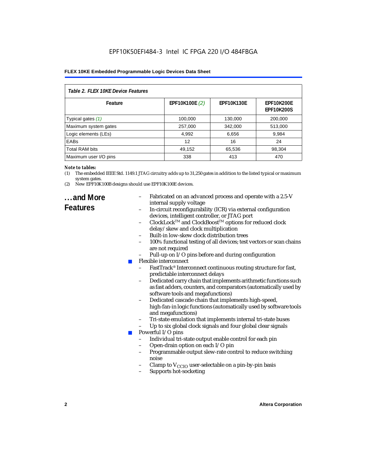### EPF10K50EFI484-3 Intel IC FPGA 220 I/O 484FBGA

#### **FLEX 10KE Embedded Programmable Logic Devices Data Sheet**

| Table 2. FLEX 10KE Device Features |                |                   |                                        |  |
|------------------------------------|----------------|-------------------|----------------------------------------|--|
| Feature                            | EPF10K100E (2) | <b>EPF10K130E</b> | <b>EPF10K200E</b><br><b>EPF10K200S</b> |  |
| Typical gates (1)                  | 100,000        | 130,000           | 200.000                                |  |
| Maximum system gates               | 257,000        | 342,000           | 513,000                                |  |
| Logic elements (LEs)               | 4,992          | 6,656             | 9,984                                  |  |
| <b>EABs</b>                        | 12             | 16                | 24                                     |  |
| <b>Total RAM bits</b>              | 49,152         | 65,536            | 98,304                                 |  |
| Maximum user I/O pins              | 338            | 413               | 470                                    |  |

#### *Note to tables:*

- (1) The embedded IEEE Std. 1149.1 JTAG circuitry adds up to 31,250 gates in addition to the listed typical or maximum system gates.
- (2) New EPF10K100B designs should use EPF10K100E devices.

## **...and More**

- Fabricated on an advanced process and operate with a 2.5-V internal supply voltage
- In-circuit reconfigurability (ICR) via external configuration devices, intelligent controller, or JTAG port
- ClockLockTM and ClockBoostTM options for reduced clock delay/skew and clock multiplication
- Built-in low-skew clock distribution trees
- 100% functional testing of all devices; test vectors or scan chains are not required
- Pull-up on I/O pins before and during configuration
- Flexible interconnect
	- FastTrack<sup>®</sup> Interconnect continuous routing structure for fast, predictable interconnect delays
	- Dedicated carry chain that implements arithmetic functions such as fast adders, counters, and comparators (automatically used by software tools and megafunctions)
	- Dedicated cascade chain that implements high-speed, high-fan-in logic functions (automatically used by software tools and megafunctions)
	- Tri-state emulation that implements internal tri-state buses
	- Up to six global clock signals and four global clear signals
	- Powerful I/O pins
		- Individual tri-state output enable control for each pin
		- Open-drain option on each I/O pin
		- Programmable output slew-rate control to reduce switching noise
		- Clamp to  $V_{\text{CCIO}}$  user-selectable on a pin-by-pin basis
		- Supports hot-socketing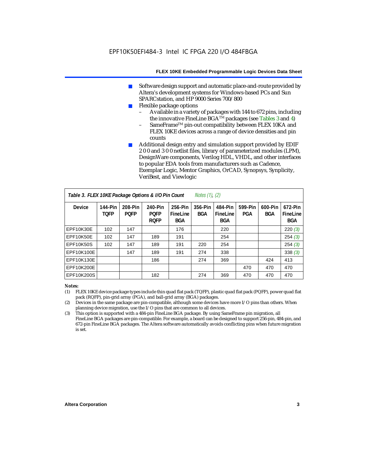- Software design support and automatic place-and-route provided by Altera's development systems for Windows-based PCs and Sun SPARCstation, and HP 9000 Series 700/800
- Flexible package options
	- Available in a variety of packages with 144 to 672 pins, including the innovative FineLine BGA<sup>TM</sup> packages (see Tables 3 and 4)
	- SameFrame™ pin-out compatibility between FLEX 10KA and FLEX 10KE devices across a range of device densities and pin counts
- Additional design entry and simulation support provided by EDIF 2 0 0 and 3 0 0 netlist files, library of parameterized modules (LPM), DesignWare components, Verilog HDL, VHDL, and other interfaces to popular EDA tools from manufacturers such as Cadence, Exemplar Logic, Mentor Graphics, OrCAD, Synopsys, Synplicity, VeriBest, and Viewlogic

| Table 3. FLEX 10KE Package Options & I/O Pin Count<br><i>Notes <math>(1)</math>, <math>(2)</math></i> |                        |                        |                                       |                                   |                |                                   |                |                       |                                   |
|-------------------------------------------------------------------------------------------------------|------------------------|------------------------|---------------------------------------|-----------------------------------|----------------|-----------------------------------|----------------|-----------------------|-----------------------------------|
| <b>Device</b>                                                                                         | 144-Pin<br><b>TOFP</b> | 208-Pin<br><b>POFP</b> | 240-Pin<br><b>POFP</b><br><b>ROFP</b> | 256-Pin<br>FineLine<br><b>BGA</b> | 356-Pin<br>BGA | 484-Pin<br>FineLine<br><b>BGA</b> | 599-Pin<br>PGA | 600-Pin<br><b>BGA</b> | 672-Pin<br>FineLine<br><b>BGA</b> |
| EPF10K30E                                                                                             | 102                    | 147                    |                                       | 176                               |                | 220                               |                |                       | 220(3)                            |
| EPF10K50E                                                                                             | 102                    | 147                    | 189                                   | 191                               |                | 254                               |                |                       | 254(3)                            |
| <b>EPF10K50S</b>                                                                                      | 102                    | 147                    | 189                                   | 191                               | 220            | 254                               |                |                       | 254(3)                            |
| EPF10K100E                                                                                            |                        | 147                    | 189                                   | 191                               | 274            | 338                               |                |                       | 338(3)                            |
| EPF10K130E                                                                                            |                        |                        | 186                                   |                                   | 274            | 369                               |                | 424                   | 413                               |
| EPF10K200E                                                                                            |                        |                        |                                       |                                   |                |                                   | 470            | 470                   | 470                               |
| EPF10K200S                                                                                            |                        |                        | 182                                   |                                   | 274            | 369                               | 470            | 470                   | 470                               |

#### *Notes:*

- (1) FLEX 10KE device package types include thin quad flat pack (TQFP), plastic quad flat pack (PQFP), power quad flat pack (RQFP), pin-grid array (PGA), and ball-grid array (BGA) packages.
- (2) Devices in the same package are pin-compatible, although some devices have more I/O pins than others. When planning device migration, use the I/O pins that are common to all devices.
- (3) This option is supported with a 484-pin FineLine BGA package. By using SameFrame pin migration, all FineLine BGA packages are pin-compatible. For example, a board can be designed to support 256-pin, 484-pin, and 672-pin FineLine BGA packages. The Altera software automatically avoids conflicting pins when future migration is set.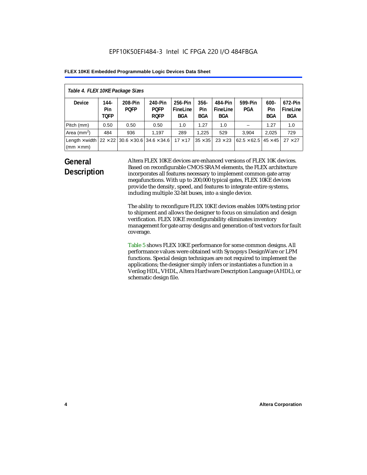| Table 4. FLEX 10KE Package Sizes          |                            |                                                      |                                       |                                   |                       |                            |                                     |                              |                                   |
|-------------------------------------------|----------------------------|------------------------------------------------------|---------------------------------------|-----------------------------------|-----------------------|----------------------------|-------------------------------------|------------------------------|-----------------------------------|
| <b>Device</b>                             | 144-<br>Pin<br><b>TOFP</b> | 208-Pin<br><b>POFP</b>                               | 240-Pin<br><b>POFP</b><br><b>ROFP</b> | 256-Pin<br>FineLine<br><b>BGA</b> | $356 -$<br>Pin<br>BGA | 484-Pin<br>FineLine<br>BGA | 599-Pin<br>PGA                      | $600 -$<br>Pin<br><b>BGA</b> | 672-Pin<br>FineLine<br><b>BGA</b> |
| Pitch (mm)                                | 0.50                       | 0.50                                                 | 0.50                                  | 1.0                               | 1.27                  | 1.0                        |                                     | 1.27                         | 1.0                               |
| Area $(mm2)$                              | 484                        | 936                                                  | 1,197                                 | 289                               | 1.225                 | 529                        | 3.904                               | 2,025                        | 729                               |
| Length $\times$ width<br>$(mm \times mm)$ |                            | $22 \times 22$ 30.6 $\times$ 30.6 34.6 $\times$ 34.6 |                                       | $17 \times 17$                    | $35 \times 35$        | $23 \times 23$             | $62.5 \times 62.5$   45 $\times$ 45 |                              | $27 \times 27$                    |

## **General Description**

Altera FLEX 10KE devices are enhanced versions of FLEX 10K devices. Based on reconfigurable CMOS SRAM elements, the FLEX architecture incorporates all features necessary to implement common gate array megafunctions. With up to 200,000 typical gates, FLEX 10KE devices provide the density, speed, and features to integrate entire systems, including multiple 32-bit buses, into a single device.

The ability to reconfigure FLEX 10KE devices enables 100% testing prior to shipment and allows the designer to focus on simulation and design verification. FLEX 10KE reconfigurability eliminates inventory management for gate array designs and generation of test vectors for fault coverage.

Table 5 shows FLEX 10KE performance for some common designs. All performance values were obtained with Synopsys DesignWare or LPM functions. Special design techniques are not required to implement the applications; the designer simply infers or instantiates a function in a Verilog HDL, VHDL, Altera Hardware Description Language (AHDL), or schematic design file.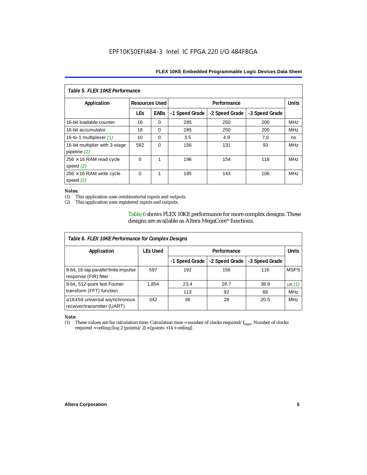| Table 5. FLEX 10KE Performance                   |                       |             |                |                |                |            |  |
|--------------------------------------------------|-----------------------|-------------|----------------|----------------|----------------|------------|--|
| Application                                      | <b>Resources Used</b> |             |                | Performance    |                |            |  |
|                                                  | <b>LEs</b>            | <b>EABs</b> | -1 Speed Grade | -2 Speed Grade | -3 Speed Grade |            |  |
| 16-bit loadable counter                          | 16                    | $\Omega$    | 285            | 250            | 200            | <b>MHz</b> |  |
| 16-bit accumulator                               | 16                    | $\Omega$    | 285            | 250            | 200            | <b>MHz</b> |  |
| 16-to-1 multiplexer $(1)$                        | 10                    | $\Omega$    | 3.5            | 4.9            | 7.0            | ns         |  |
| 16-bit multiplier with 3-stage<br>pipeline $(2)$ | 592                   | $\Omega$    | 156            | 131            | 93             | <b>MHz</b> |  |
| $256 \times 16$ RAM read cycle<br>speed $(2)$    | $\Omega$              | 1           | 196            | 154            | 118            | <b>MHz</b> |  |
| $256 \times 16$ RAM write cycle<br>speed $(2)$   | $\Omega$              | 1           | 185            | 143            | 106            | <b>MHz</b> |  |

#### *Notes:*

(1) This application uses combinatorial inputs and outputs.

This application uses registered inputs and outputs.

Table 6 shows FLEX 10KE performance for more complex designs. These designs are available as Altera MegaCore® functions.

| Table 6. FLEX 10KE Performance for Complex Designs             |                 |                |                |                |              |
|----------------------------------------------------------------|-----------------|----------------|----------------|----------------|--------------|
| Application                                                    | <b>LEs Used</b> | Performance    |                |                | <b>Units</b> |
|                                                                |                 | -1 Speed Grade | -2 Speed Grade | -3 Speed Grade |              |
| 8-bit, 16-tap parallel finite impulse<br>response (FIR) filter | 597             | 192            | 156            | 116            | <b>MSPS</b>  |
| 8-bit, 512-point fast Fourier                                  | 1,854           | 23.4           | 28.7           | 38.9           | $\mu s(1)$   |
| transform (FFT) function                                       |                 | 113            | 92             | 68             | <b>MHz</b>   |
| a16450 universal asynchronous<br>receiver/transmitter (UART)   | 342             | 36             | 28             | 20.5           | <b>MHz</b>   |

## *Note:*<br>(1) 1

These values are for calculation time. Calculation time = number of clocks required/ $f_{max}$ . Number of clocks required = ceiling [log 2 (points)/2]  $\times$  [points +14 + ceiling]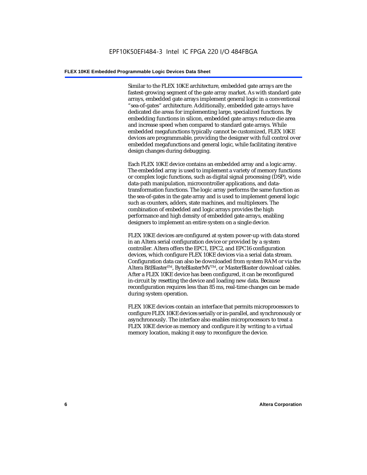Similar to the FLEX 10KE architecture, embedded gate arrays are the fastest-growing segment of the gate array market. As with standard gate arrays, embedded gate arrays implement general logic in a conventional "sea-of-gates" architecture. Additionally, embedded gate arrays have dedicated die areas for implementing large, specialized functions. By embedding functions in silicon, embedded gate arrays reduce die area and increase speed when compared to standard gate arrays. While embedded megafunctions typically cannot be customized, FLEX 10KE devices are programmable, providing the designer with full control over embedded megafunctions and general logic, while facilitating iterative design changes during debugging.

Each FLEX 10KE device contains an embedded array and a logic array. The embedded array is used to implement a variety of memory functions or complex logic functions, such as digital signal processing (DSP), wide data-path manipulation, microcontroller applications, and datatransformation functions. The logic array performs the same function as the sea-of-gates in the gate array and is used to implement general logic such as counters, adders, state machines, and multiplexers. The combination of embedded and logic arrays provides the high performance and high density of embedded gate arrays, enabling designers to implement an entire system on a single device.

FLEX 10KE devices are configured at system power-up with data stored in an Altera serial configuration device or provided by a system controller. Altera offers the EPC1, EPC2, and EPC16 configuration devices, which configure FLEX 10KE devices via a serial data stream. Configuration data can also be downloaded from system RAM or via the Altera BitBlaster™, ByteBlasterMV™, or MasterBlaster download cables. After a FLEX 10KE device has been configured, it can be reconfigured in-circuit by resetting the device and loading new data. Because reconfiguration requires less than 85 ms, real-time changes can be made during system operation.

FLEX 10KE devices contain an interface that permits microprocessors to configure FLEX 10KE devices serially or in-parallel, and synchronously or asynchronously. The interface also enables microprocessors to treat a FLEX 10KE device as memory and configure it by writing to a virtual memory location, making it easy to reconfigure the device.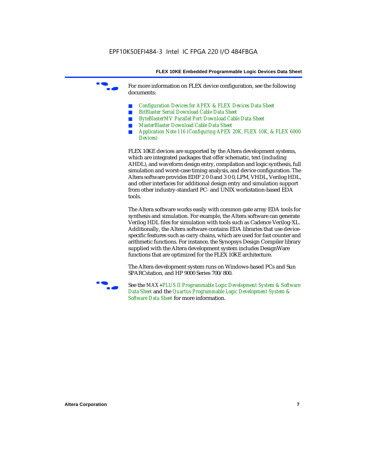For more information on FLEX device configuration, see the following documents:

- *Configuration Devices for APEX & FLEX Devices Data Sheet*
- *BitBlaster Serial Download Cable Data Sheet*
- *ByteBlasterMV Parallel Port Download Cable Data Sheet*
- *MasterBlaster Download Cable Data Sheet*
- *Application Note 116 (Configuring APEX 20K, FLEX 10K, & FLEX 6000 Devices)*

FLEX 10KE devices are supported by the Altera development systems, which are integrated packages that offer schematic, text (including AHDL), and waveform design entry, compilation and logic synthesis, full simulation and worst-case timing analysis, and device configuration. The Altera software provides EDIF 2 0 0 and 3 0 0, LPM, VHDL, Verilog HDL, and other interfaces for additional design entry and simulation support from other industry-standard PC- and UNIX workstation-based EDA tools.

The Altera software works easily with common gate array EDA tools for synthesis and simulation. For example, the Altera software can generate Verilog HDL files for simulation with tools such as Cadence Verilog-XL. Additionally, the Altera software contains EDA libraries that use devicespecific features such as carry chains, which are used for fast counter and arithmetic functions. For instance, the Synopsys Design Compiler library supplied with the Altera development system includes DesignWare functions that are optimized for the FLEX 10KE architecture.

The Altera development system runs on Windows-based PCs and Sun SPARCstation, and HP 9000 Series 700/800.



See the *MAX+PLUS II Programmable Logic Development System & Software Data Sheet* and the *Quartus Programmable Logic Development System & Software Data Sheet* for more information.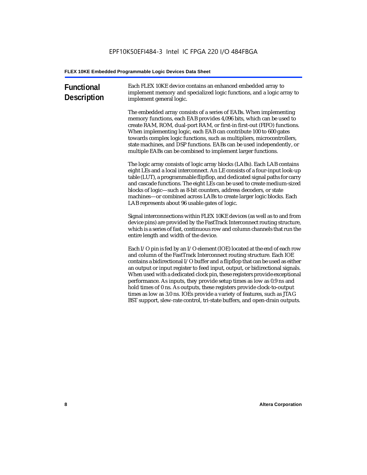| <b>Functional</b><br><b>Description</b> | Each FLEX 10KE device contains an enhanced embedded array to<br>implement memory and specialized logic functions, and a logic array to<br>implement general logic.                                                                                                                                                                                                                                                                                                                                                                                                                                                                                                                                             |
|-----------------------------------------|----------------------------------------------------------------------------------------------------------------------------------------------------------------------------------------------------------------------------------------------------------------------------------------------------------------------------------------------------------------------------------------------------------------------------------------------------------------------------------------------------------------------------------------------------------------------------------------------------------------------------------------------------------------------------------------------------------------|
|                                         | The embedded array consists of a series of EABs. When implementing<br>memory functions, each EAB provides 4,096 bits, which can be used to<br>create RAM, ROM, dual-port RAM, or first-in first-out (FIFO) functions.<br>When implementing logic, each EAB can contribute 100 to 600 gates<br>towards complex logic functions, such as multipliers, microcontrollers,<br>state machines, and DSP functions. EABs can be used independently, or<br>multiple EABs can be combined to implement larger functions.                                                                                                                                                                                                 |
|                                         | The logic array consists of logic array blocks (LABs). Each LAB contains<br>eight LEs and a local interconnect. An LE consists of a four-input look-up<br>table (LUT), a programmable flipflop, and dedicated signal paths for carry<br>and cascade functions. The eight LEs can be used to create medium-sized<br>blocks of logic-such as 8-bit counters, address decoders, or state<br>machines-or combined across LABs to create larger logic blocks. Each<br>LAB represents about 96 usable gates of logic.                                                                                                                                                                                                |
|                                         | Signal interconnections within FLEX 10KE devices (as well as to and from<br>device pins) are provided by the FastTrack Interconnect routing structure,<br>which is a series of fast, continuous row and column channels that run the<br>entire length and width of the device.                                                                                                                                                                                                                                                                                                                                                                                                                                 |
|                                         | Each I/O pin is fed by an I/O element (IOE) located at the end of each row<br>and column of the FastTrack Interconnect routing structure. Each IOE<br>contains a bidirectional I/O buffer and a flipflop that can be used as either<br>an output or input register to feed input, output, or bidirectional signals.<br>When used with a dedicated clock pin, these registers provide exceptional<br>performance. As inputs, they provide setup times as low as 0.9 ns and<br>hold times of 0 ns. As outputs, these registers provide clock-to-output<br>times as low as 3.0 ns. IOEs provide a variety of features, such as JTAG<br>BST support, slew-rate control, tri-state buffers, and open-drain outputs. |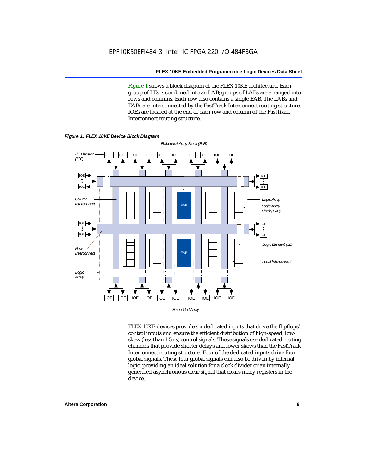Figure 1 shows a block diagram of the FLEX 10KE architecture. Each group of LEs is combined into an LAB; groups of LABs are arranged into rows and columns. Each row also contains a single EAB. The LABs and EABs are interconnected by the FastTrack Interconnect routing structure. IOEs are located at the end of each row and column of the FastTrack Interconnect routing structure.



FLEX 10KE devices provide six dedicated inputs that drive the flipflops' control inputs and ensure the efficient distribution of high-speed, lowskew (less than 1.5 ns) control signals. These signals use dedicated routing channels that provide shorter delays and lower skews than the FastTrack Interconnect routing structure. Four of the dedicated inputs drive four global signals. These four global signals can also be driven by internal logic, providing an ideal solution for a clock divider or an internally generated asynchronous clear signal that clears many registers in the device.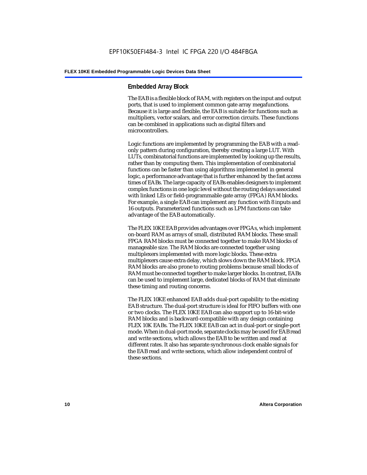#### **Embedded Array Block**

The EAB is a flexible block of RAM, with registers on the input and output ports, that is used to implement common gate array megafunctions. Because it is large and flexible, the EAB is suitable for functions such as multipliers, vector scalars, and error correction circuits. These functions can be combined in applications such as digital filters and microcontrollers.

Logic functions are implemented by programming the EAB with a readonly pattern during configuration, thereby creating a large LUT. With LUTs, combinatorial functions are implemented by looking up the results, rather than by computing them. This implementation of combinatorial functions can be faster than using algorithms implemented in general logic, a performance advantage that is further enhanced by the fast access times of EABs. The large capacity of EABs enables designers to implement complex functions in one logic level without the routing delays associated with linked LEs or field-programmable gate array (FPGA) RAM blocks. For example, a single EAB can implement any function with 8 inputs and 16 outputs. Parameterized functions such as LPM functions can take advantage of the EAB automatically.

The FLEX 10KE EAB provides advantages over FPGAs, which implement on-board RAM as arrays of small, distributed RAM blocks. These small FPGA RAM blocks must be connected together to make RAM blocks of manageable size. The RAM blocks are connected together using multiplexers implemented with more logic blocks. These extra multiplexers cause extra delay, which slows down the RAM block. FPGA RAM blocks are also prone to routing problems because small blocks of RAM must be connected together to make larger blocks. In contrast, EABs can be used to implement large, dedicated blocks of RAM that eliminate these timing and routing concerns.

The FLEX 10KE enhanced EAB adds dual-port capability to the existing EAB structure. The dual-port structure is ideal for FIFO buffers with one or two clocks. The FLEX 10KE EAB can also support up to 16-bit-wide RAM blocks and is backward-compatible with any design containing FLEX 10K EABs. The FLEX 10KE EAB can act in dual-port or single-port mode. When in dual-port mode, separate clocks may be used for EAB read and write sections, which allows the EAB to be written and read at different rates. It also has separate synchronous clock enable signals for the EAB read and write sections, which allow independent control of these sections.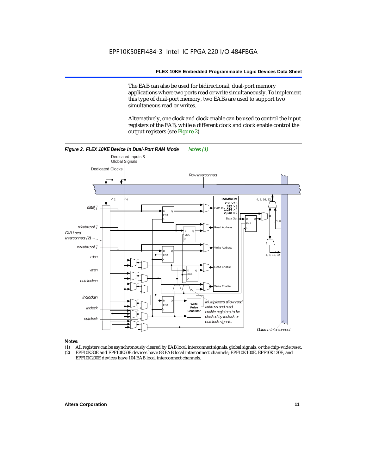The EAB can also be used for bidirectional, dual-port memory applications where two ports read or write simultaneously. To implement this type of dual-port memory, two EABs are used to support two simultaneous read or writes.

Alternatively, one clock and clock enable can be used to control the input registers of the EAB, while a different clock and clock enable control the output registers (see Figure 2).



#### *Notes:*

- (1) All registers can be asynchronously cleared by EAB local interconnect signals, global signals, or the chip-wide reset.
- (2) EPF10K30E and EPF10K50E devices have 88 EAB local interconnect channels; EPF10K100E, EPF10K130E, and EPF10K200E devices have 104 EAB local interconnect channels.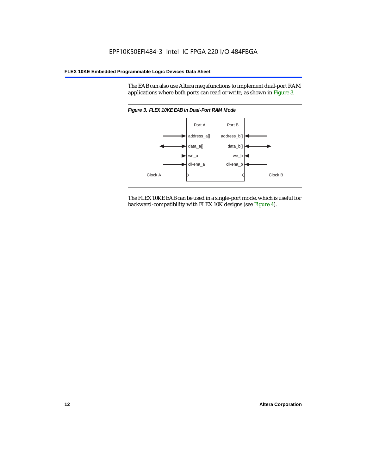The EAB can also use Altera megafunctions to implement dual-port RAM applications where both ports can read or write, as shown in Figure 3.



The FLEX 10KE EAB can be used in a single-port mode, which is useful for backward-compatibility with FLEX 10K designs (see Figure 4).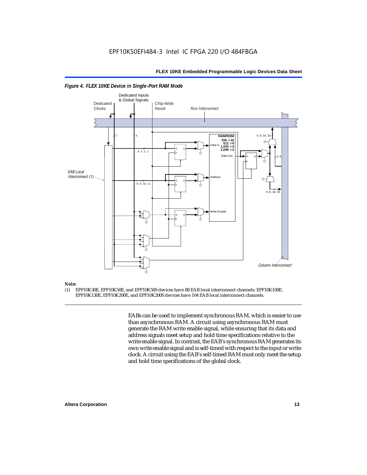

#### *Figure 4. FLEX 10KE Device in Single-Port RAM Mode*

## *Note:*<br>(1) **F**

(1) EPF10K30E, EPF10K50E, and EPF10K50S devices have 88 EAB local interconnect channels; EPF10K100E, EPF10K130E, EPF10K200E, and EPF10K200S devices have 104 EAB local interconnect channels.

> EABs can be used to implement synchronous RAM, which is easier to use than asynchronous RAM. A circuit using asynchronous RAM must generate the RAM write enable signal, while ensuring that its data and address signals meet setup and hold time specifications relative to the write enable signal. In contrast, the EAB's synchronous RAM generates its own write enable signal and is self-timed with respect to the input or write clock. A circuit using the EAB's self-timed RAM must only meet the setup and hold time specifications of the global clock.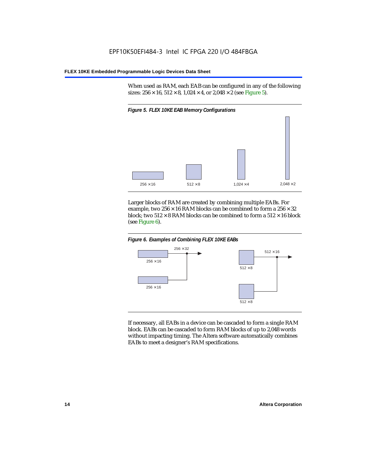When used as RAM, each EAB can be configured in any of the following sizes:  $256 \times 16$ ,  $512 \times 8$ ,  $1,024 \times 4$ , or  $2,048 \times 2$  (see Figure 5).



Larger blocks of RAM are created by combining multiple EABs. For example, two  $256 \times 16$  RAM blocks can be combined to form a  $256 \times 32$ block; two  $512 \times 8$  RAM blocks can be combined to form a  $512 \times 16$  block (see Figure 6).





If necessary, all EABs in a device can be cascaded to form a single RAM block. EABs can be cascaded to form RAM blocks of up to 2,048 words without impacting timing. The Altera software automatically combines EABs to meet a designer's RAM specifications.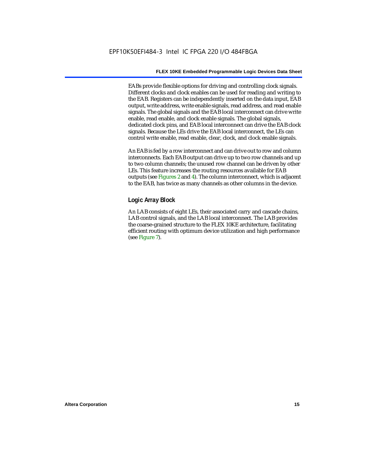EABs provide flexible options for driving and controlling clock signals. Different clocks and clock enables can be used for reading and writing to the EAB. Registers can be independently inserted on the data input, EAB output, write address, write enable signals, read address, and read enable signals. The global signals and the EAB local interconnect can drive write enable, read enable, and clock enable signals. The global signals, dedicated clock pins, and EAB local interconnect can drive the EAB clock signals. Because the LEs drive the EAB local interconnect, the LEs can control write enable, read enable, clear, clock, and clock enable signals.

An EAB is fed by a row interconnect and can drive out to row and column interconnects. Each EAB output can drive up to two row channels and up to two column channels; the unused row channel can be driven by other LEs. This feature increases the routing resources available for EAB outputs (see Figures 2 and 4). The column interconnect, which is adjacent to the EAB, has twice as many channels as other columns in the device.

#### **Logic Array Block**

An LAB consists of eight LEs, their associated carry and cascade chains, LAB control signals, and the LAB local interconnect. The LAB provides the coarse-grained structure to the FLEX 10KE architecture, facilitating efficient routing with optimum device utilization and high performance (see Figure 7).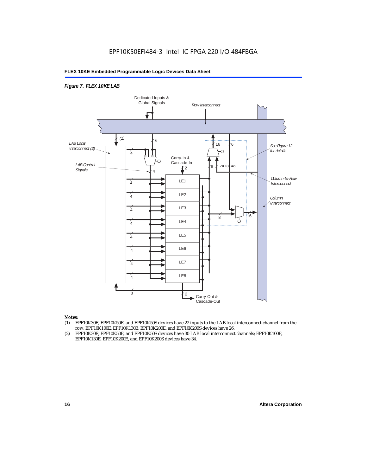#### *Figure 7. FLEX 10KE LAB*



#### *Notes:*

- (1) EPF10K30E, EPF10K50E, and EPF10K50S devices have 22 inputs to the LAB local interconnect channel from the row; EPF10K100E, EPF10K130E, EPF10K200E, and EPF10K200S devices have 26.
- (2) EPF10K30E, EPF10K50E, and EPF10K50S devices have 30 LAB local interconnect channels; EPF10K100E, EPF10K130E, EPF10K200E, and EPF10K200S devices have 34.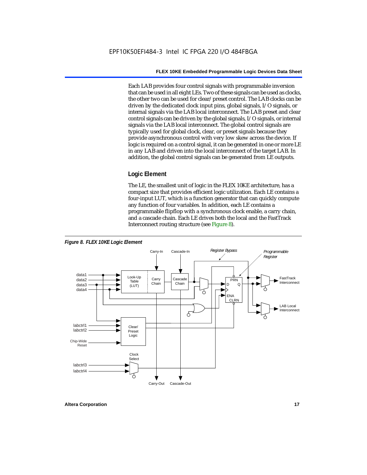Each LAB provides four control signals with programmable inversion that can be used in all eight LEs. Two of these signals can be used as clocks, the other two can be used for clear/preset control. The LAB clocks can be driven by the dedicated clock input pins, global signals, I/O signals, or internal signals via the LAB local interconnect. The LAB preset and clear control signals can be driven by the global signals, I/O signals, or internal signals via the LAB local interconnect. The global control signals are typically used for global clock, clear, or preset signals because they provide asynchronous control with very low skew across the device. If logic is required on a control signal, it can be generated in one or more LE in any LAB and driven into the local interconnect of the target LAB. In addition, the global control signals can be generated from LE outputs.

#### **Logic Element**

The LE, the smallest unit of logic in the FLEX 10KE architecture, has a compact size that provides efficient logic utilization. Each LE contains a four-input LUT, which is a function generator that can quickly compute any function of four variables. In addition, each LE contains a programmable flipflop with a synchronous clock enable, a carry chain, and a cascade chain. Each LE drives both the local and the FastTrack Interconnect routing structure (see Figure 8).

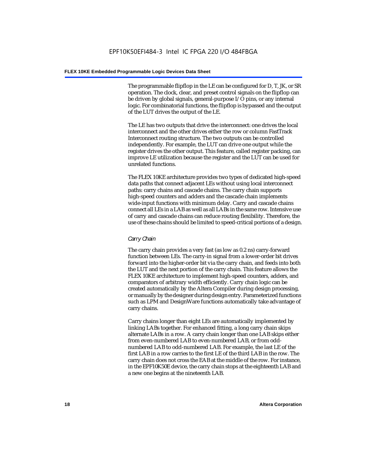The programmable flipflop in the LE can be configured for D, T, JK, or SR operation. The clock, clear, and preset control signals on the flipflop can be driven by global signals, general-purpose I/O pins, or any internal logic. For combinatorial functions, the flipflop is bypassed and the output of the LUT drives the output of the LE.

The LE has two outputs that drive the interconnect: one drives the local interconnect and the other drives either the row or column FastTrack Interconnect routing structure. The two outputs can be controlled independently. For example, the LUT can drive one output while the register drives the other output. This feature, called register packing, can improve LE utilization because the register and the LUT can be used for unrelated functions.

The FLEX 10KE architecture provides two types of dedicated high-speed data paths that connect adjacent LEs without using local interconnect paths: carry chains and cascade chains. The carry chain supports high-speed counters and adders and the cascade chain implements wide-input functions with minimum delay. Carry and cascade chains connect all LEs in a LAB as well as all LABs in the same row. Intensive use of carry and cascade chains can reduce routing flexibility. Therefore, the use of these chains should be limited to speed-critical portions of a design.

#### *Carry Chain*

The carry chain provides a very fast (as low as 0.2 ns) carry-forward function between LEs. The carry-in signal from a lower-order bit drives forward into the higher-order bit via the carry chain, and feeds into both the LUT and the next portion of the carry chain. This feature allows the FLEX 10KE architecture to implement high-speed counters, adders, and comparators of arbitrary width efficiently. Carry chain logic can be created automatically by the Altera Compiler during design processing, or manually by the designer during design entry. Parameterized functions such as LPM and DesignWare functions automatically take advantage of carry chains.

Carry chains longer than eight LEs are automatically implemented by linking LABs together. For enhanced fitting, a long carry chain skips alternate LABs in a row. A carry chain longer than one LAB skips either from even-numbered LAB to even-numbered LAB, or from oddnumbered LAB to odd-numbered LAB. For example, the last LE of the first LAB in a row carries to the first LE of the third LAB in the row. The carry chain does not cross the EAB at the middle of the row. For instance, in the EPF10K50E device, the carry chain stops at the eighteenth LAB and a new one begins at the nineteenth LAB.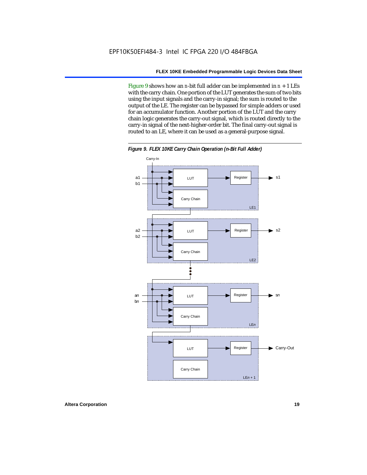Figure 9 shows how an *n*-bit full adder can be implemented in *n* + 1 LEs with the carry chain. One portion of the LUT generates the sum of two bits using the input signals and the carry-in signal; the sum is routed to the output of the LE. The register can be bypassed for simple adders or used for an accumulator function. Another portion of the LUT and the carry chain logic generates the carry-out signal, which is routed directly to the carry-in signal of the next-higher-order bit. The final carry-out signal is routed to an LE, where it can be used as a general-purpose signal.



*Figure 9. FLEX 10KE Carry Chain Operation (n-Bit Full Adder)*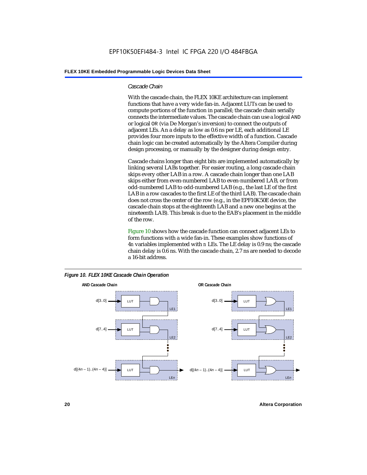#### *Cascade Chain*

With the cascade chain, the FLEX 10KE architecture can implement functions that have a very wide fan-in. Adjacent LUTs can be used to compute portions of the function in parallel; the cascade chain serially connects the intermediate values. The cascade chain can use a logical AND or logical OR (via De Morgan's inversion) to connect the outputs of adjacent LEs. An a delay as low as 0.6 ns per LE, each additional LE provides four more inputs to the effective width of a function. Cascade chain logic can be created automatically by the Altera Compiler during design processing, or manually by the designer during design entry.

Cascade chains longer than eight bits are implemented automatically by linking several LABs together. For easier routing, a long cascade chain skips every other LAB in a row. A cascade chain longer than one LAB skips either from even-numbered LAB to even-numbered LAB, or from odd-numbered LAB to odd-numbered LAB (e.g., the last LE of the first LAB in a row cascades to the first LE of the third LAB). The cascade chain does not cross the center of the row (e.g., in the EPF10K50E device, the cascade chain stops at the eighteenth LAB and a new one begins at the nineteenth LAB). This break is due to the EAB's placement in the middle of the row.

Figure 10 shows how the cascade function can connect adjacent LEs to form functions with a wide fan-in. These examples show functions of 4*n* variables implemented with *n* LEs. The LE delay is 0.9 ns; the cascade chain delay is 0.6 ns. With the cascade chain, 2.7 ns are needed to decode a 16-bit address.



*Figure 10. FLEX 10KE Cascade Chain Operation*

**20 Altera Corporation**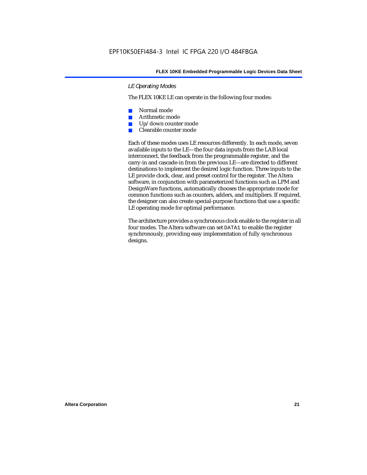#### *LE Operating Modes*

The FLEX 10KE LE can operate in the following four modes:

- Normal mode
- Arithmetic mode
- Up/down counter mode
- Clearable counter mode

Each of these modes uses LE resources differently. In each mode, seven available inputs to the LE—the four data inputs from the LAB local interconnect, the feedback from the programmable register, and the carry-in and cascade-in from the previous LE—are directed to different destinations to implement the desired logic function. Three inputs to the LE provide clock, clear, and preset control for the register. The Altera software, in conjunction with parameterized functions such as LPM and DesignWare functions, automatically chooses the appropriate mode for common functions such as counters, adders, and multipliers. If required, the designer can also create special-purpose functions that use a specific LE operating mode for optimal performance.

The architecture provides a synchronous clock enable to the register in all four modes. The Altera software can set DATA1 to enable the register synchronously, providing easy implementation of fully synchronous designs.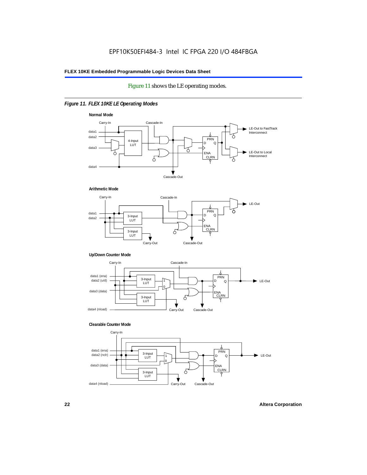#### Figure 11 shows the LE operating modes.

#### *Figure 11. FLEX 10KE LE Operating Modes*









#### **Clearable Counter Mode**

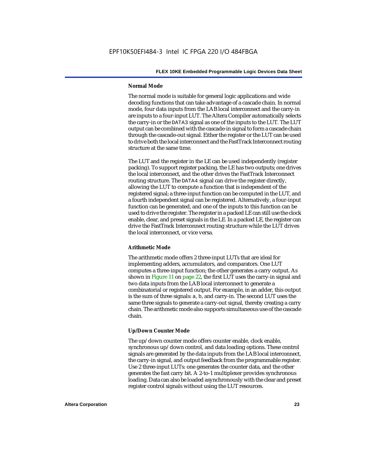#### **Normal Mode**

The normal mode is suitable for general logic applications and wide decoding functions that can take advantage of a cascade chain. In normal mode, four data inputs from the LAB local interconnect and the carry-in are inputs to a four-input LUT. The Altera Compiler automatically selects the carry-in or the DATA3 signal as one of the inputs to the LUT. The LUT output can be combined with the cascade-in signal to form a cascade chain through the cascade-out signal. Either the register or the LUT can be used to drive both the local interconnect and the FastTrack Interconnect routing structure at the same time.

The LUT and the register in the LE can be used independently (register packing). To support register packing, the LE has two outputs; one drives the local interconnect, and the other drives the FastTrack Interconnect routing structure. The DATA4 signal can drive the register directly, allowing the LUT to compute a function that is independent of the registered signal; a three-input function can be computed in the LUT, and a fourth independent signal can be registered. Alternatively, a four-input function can be generated, and one of the inputs to this function can be used to drive the register. The register in a packed LE can still use the clock enable, clear, and preset signals in the LE. In a packed LE, the register can drive the FastTrack Interconnect routing structure while the LUT drives the local interconnect, or vice versa.

#### **Arithmetic Mode**

The arithmetic mode offers 2 three-input LUTs that are ideal for implementing adders, accumulators, and comparators. One LUT computes a three-input function; the other generates a carry output. As shown in Figure 11 on page 22, the first LUT uses the carry-in signal and two data inputs from the LAB local interconnect to generate a combinatorial or registered output. For example, in an adder, this output is the sum of three signals: a, b, and carry-in. The second LUT uses the same three signals to generate a carry-out signal, thereby creating a carry chain. The arithmetic mode also supports simultaneous use of the cascade chain.

#### **Up/Down Counter Mode**

The up/down counter mode offers counter enable, clock enable, synchronous up/down control, and data loading options. These control signals are generated by the data inputs from the LAB local interconnect, the carry-in signal, and output feedback from the programmable register. Use 2 three-input LUTs: one generates the counter data, and the other generates the fast carry bit. A 2-to-1 multiplexer provides synchronous loading. Data can also be loaded asynchronously with the clear and preset register control signals without using the LUT resources.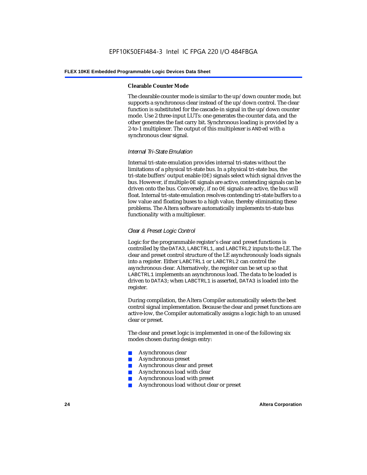#### **Clearable Counter Mode**

The clearable counter mode is similar to the up/down counter mode, but supports a synchronous clear instead of the up/down control. The clear function is substituted for the cascade-in signal in the up/down counter mode. Use 2 three-input LUTs: one generates the counter data, and the other generates the fast carry bit. Synchronous loading is provided by a 2-to-1 multiplexer. The output of this multiplexer is ANDed with a synchronous clear signal.

#### *Internal Tri-State Emulation*

Internal tri-state emulation provides internal tri-states without the limitations of a physical tri-state bus. In a physical tri-state bus, the tri-state buffers' output enable (OE) signals select which signal drives the bus. However, if multiple OE signals are active, contending signals can be driven onto the bus. Conversely, if no OE signals are active, the bus will float. Internal tri-state emulation resolves contending tri-state buffers to a low value and floating buses to a high value, thereby eliminating these problems. The Altera software automatically implements tri-state bus functionality with a multiplexer.

#### *Clear & Preset Logic Control*

Logic for the programmable register's clear and preset functions is controlled by the DATA3, LABCTRL1, and LABCTRL2 inputs to the LE. The clear and preset control structure of the LE asynchronously loads signals into a register. Either LABCTRL1 or LABCTRL2 can control the asynchronous clear. Alternatively, the register can be set up so that LABCTRL1 implements an asynchronous load. The data to be loaded is driven to DATA3; when LABCTRL1 is asserted, DATA3 is loaded into the register.

During compilation, the Altera Compiler automatically selects the best control signal implementation. Because the clear and preset functions are active-low, the Compiler automatically assigns a logic high to an unused clear or preset.

The clear and preset logic is implemented in one of the following six modes chosen during design entry:

- Asynchronous clear
- Asynchronous preset
- Asynchronous clear and preset
- Asynchronous load with clear
- Asynchronous load with preset
- Asynchronous load without clear or preset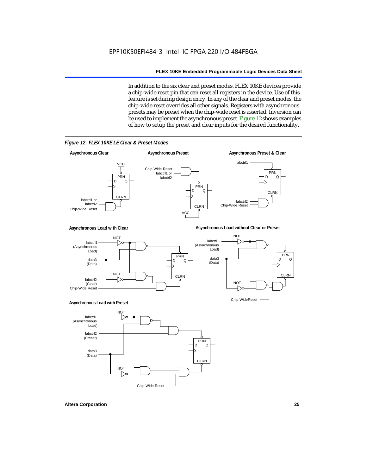In addition to the six clear and preset modes, FLEX 10KE devices provide a chip-wide reset pin that can reset all registers in the device. Use of this feature is set during design entry. In any of the clear and preset modes, the chip-wide reset overrides all other signals. Registers with asynchronous presets may be preset when the chip-wide reset is asserted. Inversion can be used to implement the asynchronous preset. Figure 12 shows examples of how to setup the preset and clear inputs for the desired functionality.



*Figure 12. FLEX 10KE LE Clear & Preset Modes*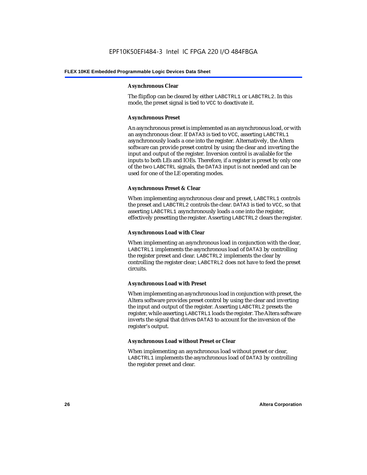#### **Asynchronous Clear**

The flipflop can be cleared by either LABCTRL1 or LABCTRL2. In this mode, the preset signal is tied to VCC to deactivate it.

#### **Asynchronous Preset**

An asynchronous preset is implemented as an asynchronous load, or with an asynchronous clear. If DATA3 is tied to VCC, asserting LABCTRL1 asynchronously loads a one into the register. Alternatively, the Altera software can provide preset control by using the clear and inverting the input and output of the register. Inversion control is available for the inputs to both LEs and IOEs. Therefore, if a register is preset by only one of the two LABCTRL signals, the DATA3 input is not needed and can be used for one of the LE operating modes.

#### **Asynchronous Preset & Clear**

When implementing asynchronous clear and preset, LABCTRL1 controls the preset and LABCTRL2 controls the clear. DATA3 is tied to VCC, so that asserting LABCTRL1 asynchronously loads a one into the register, effectively presetting the register. Asserting LABCTRL2 clears the register.

#### **Asynchronous Load with Clear**

When implementing an asynchronous load in conjunction with the clear, LABCTRL1 implements the asynchronous load of DATA3 by controlling the register preset and clear. LABCTRL2 implements the clear by controlling the register clear; LABCTRL2 does not have to feed the preset circuits.

#### **Asynchronous Load with Preset**

When implementing an asynchronous load in conjunction with preset, the Altera software provides preset control by using the clear and inverting the input and output of the register. Asserting LABCTRL2 presets the register, while asserting LABCTRL1 loads the register. The Altera software inverts the signal that drives DATA3 to account for the inversion of the register's output.

#### **Asynchronous Load without Preset or Clear**

When implementing an asynchronous load without preset or clear, LABCTRL1 implements the asynchronous load of DATA3 by controlling the register preset and clear.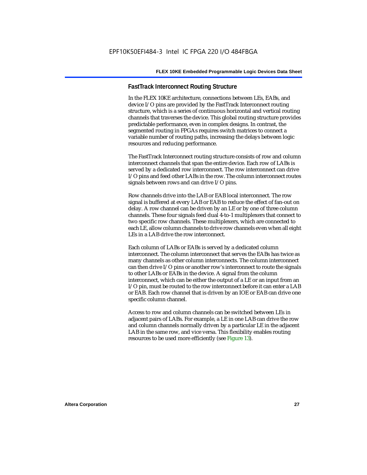#### **FastTrack Interconnect Routing Structure**

In the FLEX 10KE architecture, connections between LEs, EABs, and device I/O pins are provided by the FastTrack Interconnect routing structure, which is a series of continuous horizontal and vertical routing channels that traverses the device. This global routing structure provides predictable performance, even in complex designs. In contrast, the segmented routing in FPGAs requires switch matrices to connect a variable number of routing paths, increasing the delays between logic resources and reducing performance.

The FastTrack Interconnect routing structure consists of row and column interconnect channels that span the entire device. Each row of LABs is served by a dedicated row interconnect. The row interconnect can drive I/O pins and feed other LABs in the row. The column interconnect routes signals between rows and can drive I/O pins.

Row channels drive into the LAB or EAB local interconnect. The row signal is buffered at every LAB or EAB to reduce the effect of fan-out on delay. A row channel can be driven by an LE or by one of three column channels. These four signals feed dual 4-to-1 multiplexers that connect to two specific row channels. These multiplexers, which are connected to each LE, allow column channels to drive row channels even when all eight LEs in a LAB drive the row interconnect.

Each column of LABs or EABs is served by a dedicated column interconnect. The column interconnect that serves the EABs has twice as many channels as other column interconnects. The column interconnect can then drive I/O pins or another row's interconnect to route the signals to other LABs or EABs in the device. A signal from the column interconnect, which can be either the output of a LE or an input from an I/O pin, must be routed to the row interconnect before it can enter a LAB or EAB. Each row channel that is driven by an IOE or EAB can drive one specific column channel.

Access to row and column channels can be switched between LEs in adjacent pairs of LABs. For example, a LE in one LAB can drive the row and column channels normally driven by a particular LE in the adjacent LAB in the same row, and vice versa. This flexibility enables routing resources to be used more efficiently (see Figure 13).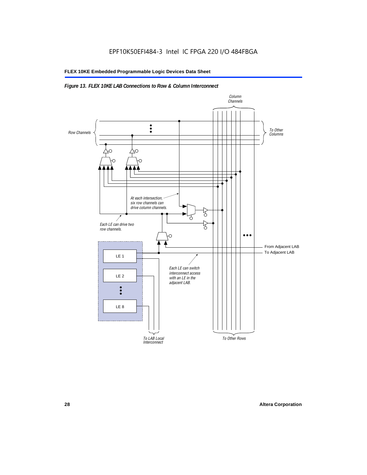#### *Figure 13. FLEX 10KE LAB Connections to Row & Column Interconnect*

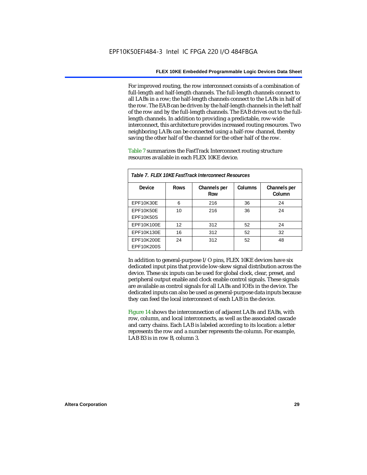For improved routing, the row interconnect consists of a combination of full-length and half-length channels. The full-length channels connect to all LABs in a row; the half-length channels connect to the LABs in half of the row. The EAB can be driven by the half-length channels in the left half of the row and by the full-length channels. The EAB drives out to the fulllength channels. In addition to providing a predictable, row-wide interconnect, this architecture provides increased routing resources. Two neighboring LABs can be connected using a half-row channel, thereby saving the other half of the channel for the other half of the row.

Table 7 summarizes the FastTrack Interconnect routing structure resources available in each FLEX 10KE device.

| Table 7. FLEX 10KE FastTrack Interconnect Resources |             |                     |         |                        |
|-----------------------------------------------------|-------------|---------------------|---------|------------------------|
| Device                                              | <b>Rows</b> | Channels per<br>Row | Columns | Channels per<br>Column |
| <b>EPF10K30E</b>                                    | 6           | 216                 | 36      | 24                     |
| EPF10K50E<br>EPF10K50S                              | 10          | 216                 | 36      | 24                     |
| EPF10K100E                                          | 12          | 312                 | 52      | 24                     |
| EPF10K130E                                          | 16          | 312                 | 52      | 32                     |
| EPF10K200E<br>EPF10K200S                            | 24          | 312                 | 52      | 48                     |

In addition to general-purpose I/O pins, FLEX 10KE devices have six dedicated input pins that provide low-skew signal distribution across the device. These six inputs can be used for global clock, clear, preset, and peripheral output enable and clock enable control signals. These signals are available as control signals for all LABs and IOEs in the device. The dedicated inputs can also be used as general-purpose data inputs because they can feed the local interconnect of each LAB in the device.

Figure 14 shows the interconnection of adjacent LABs and EABs, with row, column, and local interconnects, as well as the associated cascade and carry chains. Each LAB is labeled according to its location: a letter represents the row and a number represents the column. For example, LAB B3 is in row B, column 3.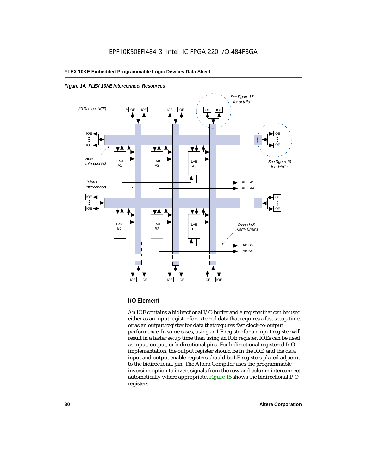



#### **I/O Element**

An IOE contains a bidirectional I/O buffer and a register that can be used either as an input register for external data that requires a fast setup time, or as an output register for data that requires fast clock-to-output performance. In some cases, using an LE register for an input register will result in a faster setup time than using an IOE register. IOEs can be used as input, output, or bidirectional pins. For bidirectional registered I/O implementation, the output register should be in the IOE, and the data input and output enable registers should be LE registers placed adjacent to the bidirectional pin. The Altera Compiler uses the programmable inversion option to invert signals from the row and column interconnect automatically where appropriate. Figure 15 shows the bidirectional I/O registers.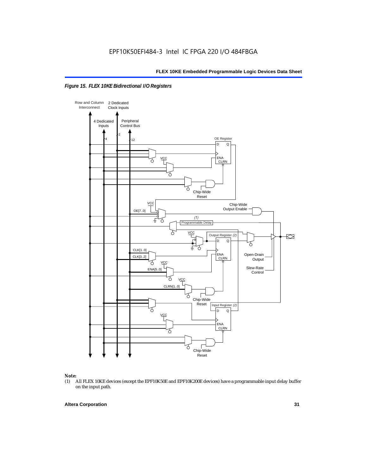



## *Note:*<br>(1) *A*

(1) All FLEX 10KE devices (except the EPF10K50E and EPF10K200E devices) have a programmable input delay buffer on the input path.

#### **Altera Corporation 31**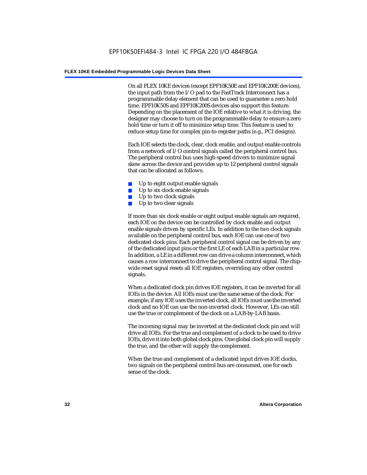On all FLEX 10KE devices (except EPF10K50E and EPF10K200E devices), the input path from the I/O pad to the FastTrack Interconnect has a programmable delay element that can be used to guarantee a zero hold time. EPF10K50S and EPF10K200S devices also support this feature. Depending on the placement of the IOE relative to what it is driving, the designer may choose to turn on the programmable delay to ensure a zero hold time or turn it off to minimize setup time. This feature is used to reduce setup time for complex pin-to-register paths (e.g., PCI designs).

Each IOE selects the clock, clear, clock enable, and output enable controls from a network of I/O control signals called the peripheral control bus. The peripheral control bus uses high-speed drivers to minimize signal skew across the device and provides up to 12 peripheral control signals that can be allocated as follows:

- Up to eight output enable signals
- Up to six clock enable signals
- Up to two clock signals
- Up to two clear signals

If more than six clock enable or eight output enable signals are required, each IOE on the device can be controlled by clock enable and output enable signals driven by specific LEs. In addition to the two clock signals available on the peripheral control bus, each IOE can use one of two dedicated clock pins. Each peripheral control signal can be driven by any of the dedicated input pins or the first LE of each LAB in a particular row. In addition, a LE in a different row can drive a column interconnect, which causes a row interconnect to drive the peripheral control signal. The chipwide reset signal resets all IOE registers, overriding any other control signals.

When a dedicated clock pin drives IOE registers, it can be inverted for all IOEs in the device. All IOEs must use the same sense of the clock. For example, if any IOE uses the inverted clock, all IOEs must use the inverted clock and no IOE can use the non-inverted clock. However, LEs can still use the true or complement of the clock on a LAB-by-LAB basis.

The incoming signal may be inverted at the dedicated clock pin and will drive all IOEs. For the true and complement of a clock to be used to drive IOEs, drive it into both global clock pins. One global clock pin will supply the true, and the other will supply the complement.

When the true and complement of a dedicated input drives IOE clocks, two signals on the peripheral control bus are consumed, one for each sense of the clock.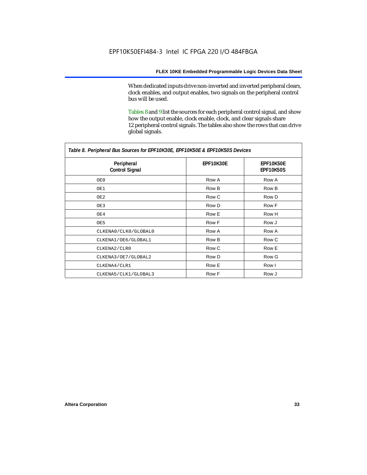When dedicated inputs drive non-inverted and inverted peripheral clears, clock enables, and output enables, two signals on the peripheral control bus will be used.

Tables 8 and 9 list the sources for each peripheral control signal, and show how the output enable, clock enable, clock, and clear signals share 12 peripheral control signals. The tables also show the rows that can drive global signals.

| Table 8. Peripheral Bus Sources for EPF10K30E, EPF10K50E & EPF10K50S Devices |                  |                               |  |  |
|------------------------------------------------------------------------------|------------------|-------------------------------|--|--|
| Peripheral<br><b>Control Signal</b>                                          | <b>EPF10K30E</b> | EPF10K50E<br><b>EPF10K50S</b> |  |  |
| OE0                                                                          | Row A            | Row A                         |  |  |
| OE1                                                                          | Row B            | Row B                         |  |  |
| OE2                                                                          | Row C            | Row D                         |  |  |
| OE3                                                                          | Row D            | Row F                         |  |  |
| OE4                                                                          | Row E            | Row H                         |  |  |
| OE5                                                                          | Row F            | Row J                         |  |  |
| CLKENA0/CLK0/GLOBAL0                                                         | Row A            | Row A                         |  |  |
| CLKENA1/OE6/GLOBAL1                                                          | Row B            | Row C                         |  |  |
| CLKENA2/CLR0                                                                 | Row C            | Row E                         |  |  |
| CLKENA3/OE7/GLOBAL2                                                          | Row D            | Row G                         |  |  |
| CLKENA4/CLR1                                                                 | Row E            | Row I                         |  |  |
| CLKENA5/CLK1/GLOBAL3                                                         | Row F            | Row J                         |  |  |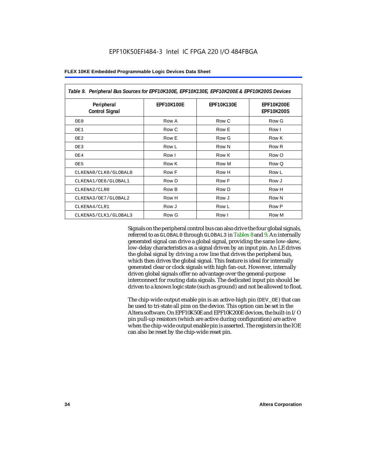| Table 9. Peripheral Bus Sources for EPF10K100E, EPF10K130E, EPF10K200E & EPF10K200S Devices |                   |                   |                                        |  |
|---------------------------------------------------------------------------------------------|-------------------|-------------------|----------------------------------------|--|
| Peripheral<br><b>Control Signal</b>                                                         | <b>EPF10K100E</b> | <b>EPF10K130E</b> | <b>EPF10K200E</b><br><b>EPF10K200S</b> |  |
| OE0                                                                                         | Row A             | Row C             | Row G                                  |  |
| OE1                                                                                         | Row C             | Row E             | Row I                                  |  |
| OE <sub>2</sub>                                                                             | Row E             | Row G             | Row K                                  |  |
| OE3                                                                                         | Row L             | Row N             | Row <sub>R</sub>                       |  |
| OE4                                                                                         | Row I             | Row K             | Row O                                  |  |
| OE5                                                                                         | Row K             | Row M             | Row Q                                  |  |
| CLKENA0/CLK0/GLOBAL0                                                                        | Row F             | Row H             | Row L                                  |  |
| CLKENA1/OE6/GLOBAL1                                                                         | Row D             | Row F             | Row J                                  |  |
| CLKENA2/CLR0                                                                                | Row B             | Row D             | Row H                                  |  |
| CLKENA3/OE7/GLOBAL2                                                                         | Row H             | Row J             | Row N                                  |  |
| CLKENA4/CLR1                                                                                | Row J             | Row L             | Row P                                  |  |
| CLKENA5/CLK1/GLOBAL3                                                                        | Row G             | Row I             | Row M                                  |  |

Signals on the peripheral control bus can also drive the four global signals, referred to as GLOBAL0 through GLOBAL3 in Tables 8 and 9. An internally generated signal can drive a global signal, providing the same low-skew, low-delay characteristics as a signal driven by an input pin. An LE drives the global signal by driving a row line that drives the peripheral bus, which then drives the global signal. This feature is ideal for internally generated clear or clock signals with high fan-out. However, internally driven global signals offer no advantage over the general-purpose interconnect for routing data signals. The dedicated input pin should be driven to a known logic state (such as ground) and not be allowed to float.

The chip-wide output enable pin is an active-high pin (DEV\_OE) that can be used to tri-state all pins on the device. This option can be set in the Altera software. On EPF10K50E and EPF10K200E devices, the built-in I/O pin pull-up resistors (which are active during configuration) are active when the chip-wide output enable pin is asserted. The registers in the IOE can also be reset by the chip-wide reset pin.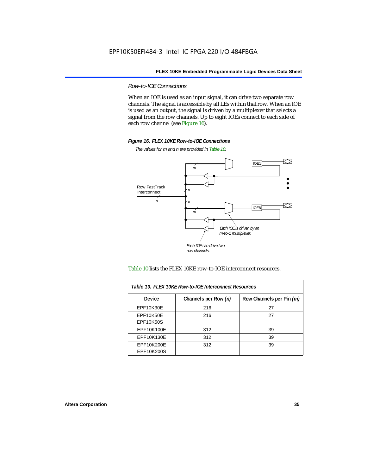*Row-to-IOE Connections*

When an IOE is used as an input signal, it can drive two separate row channels. The signal is accessible by all LEs within that row. When an IOE is used as an output, the signal is driven by a multiplexer that selects a signal from the row channels. Up to eight IOEs connect to each side of each row channel (see Figure 16).



*The values for m and n are provided in Table 10.*





| Table 10. FLEX 10KE Row-to-IOE Interconnect Resources |                      |                          |  |  |
|-------------------------------------------------------|----------------------|--------------------------|--|--|
| <b>Device</b>                                         | Channels per Row (n) | Row Channels per Pin (m) |  |  |
| <b>EPF10K30E</b>                                      | 216                  | 27                       |  |  |
| <b>EPF10K50E</b>                                      | 216                  | 27                       |  |  |
| <b>EPF10K50S</b>                                      |                      |                          |  |  |
| EPF10K100E                                            | 312                  | 39                       |  |  |
| EPF10K130E                                            | 312                  | 39                       |  |  |
| EPF10K200E<br>EPF10K200S                              | 312                  | 39                       |  |  |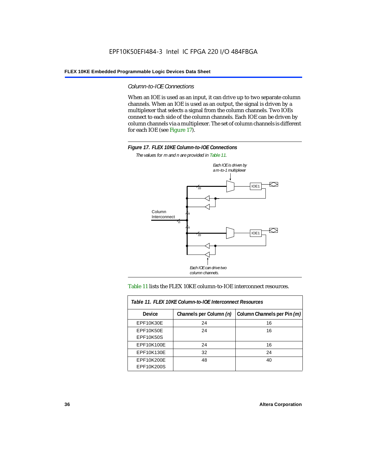#### *Column-to-IOE Connections*

When an IOE is used as an input, it can drive up to two separate column channels. When an IOE is used as an output, the signal is driven by a multiplexer that selects a signal from the column channels. Two IOEs connect to each side of the column channels. Each IOE can be driven by column channels via a multiplexer. The set of column channels is different for each IOE (see Figure 17).



*The values for m and n are provided in Table 11.*



#### Table 11 lists the FLEX 10KE column-to-IOE interconnect resources.

| Table 11. FLEX 10KE Column-to-IOE Interconnect Resources |                         |                             |  |  |  |  |
|----------------------------------------------------------|-------------------------|-----------------------------|--|--|--|--|
| <b>Device</b>                                            | Channels per Column (n) | Column Channels per Pin (m) |  |  |  |  |
| EPF10K30E                                                | 24                      | 16                          |  |  |  |  |
| EPF10K50E<br><b>EPF10K50S</b>                            | 24                      | 16                          |  |  |  |  |
| EPF10K100E                                               | 24                      | 16                          |  |  |  |  |
| EPF10K130E                                               | 32                      | 24                          |  |  |  |  |
| EPF10K200E<br>EPF10K200S                                 | 48                      | 40                          |  |  |  |  |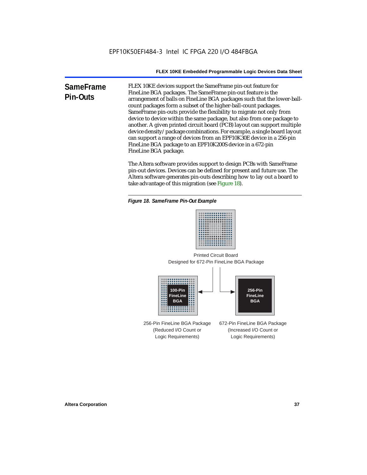**SameFrame Pin-Outs** FLEX 10KE devices support the SameFrame pin-out feature for FineLine BGA packages. The SameFrame pin-out feature is the arrangement of balls on FineLine BGA packages such that the lower-ballcount packages form a subset of the higher-ball-count packages. SameFrame pin-outs provide the flexibility to migrate not only from device to device within the same package, but also from one package to another. A given printed circuit board (PCB) layout can support multiple device density/package combinations. For example, a single board layout can support a range of devices from an EPF10K30E device in a 256-pin FineLine BGA package to an EPF10K200S device in a 672-pin FineLine BGA package.

> The Altera software provides support to design PCBs with SameFrame pin-out devices. Devices can be defined for present and future use. The Altera software generates pin-outs describing how to lay out a board to take advantage of this migration (see Figure 18).





Designed for 672-Pin FineLine BGA Package Printed Circuit Board



256-Pin FineLine BGA Package (Reduced I/O Count or Logic Requirements) 672-Pin FineLine BGA Package (Increased I/O Count or Logic Requirements)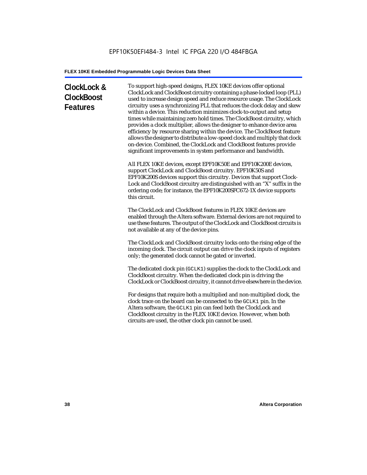# **ClockLock & ClockBoost Features**

To support high-speed designs, FLEX 10KE devices offer optional ClockLock and ClockBoost circuitry containing a phase-locked loop (PLL) used to increase design speed and reduce resource usage. The ClockLock circuitry uses a synchronizing PLL that reduces the clock delay and skew within a device. This reduction minimizes clock-to-output and setup times while maintaining zero hold times. The ClockBoost circuitry, which provides a clock multiplier, allows the designer to enhance device area efficiency by resource sharing within the device. The ClockBoost feature allows the designer to distribute a low-speed clock and multiply that clock on-device. Combined, the ClockLock and ClockBoost features provide significant improvements in system performance and bandwidth.

All FLEX 10KE devices, except EPF10K50E and EPF10K200E devices, support ClockLock and ClockBoost circuitry. EPF10K50S and EPF10K200S devices support this circuitry. Devices that support Clock-Lock and ClockBoost circuitry are distinguished with an "X" suffix in the ordering code; for instance, the EPF10K200SFC672-1X device supports this circuit.

The ClockLock and ClockBoost features in FLEX 10KE devices are enabled through the Altera software. External devices are not required to use these features. The output of the ClockLock and ClockBoost circuits is not available at any of the device pins.

The ClockLock and ClockBoost circuitry locks onto the rising edge of the incoming clock. The circuit output can drive the clock inputs of registers only; the generated clock cannot be gated or inverted.

The dedicated clock pin (GCLK1) supplies the clock to the ClockLock and ClockBoost circuitry. When the dedicated clock pin is driving the ClockLock or ClockBoost circuitry, it cannot drive elsewhere in the device.

For designs that require both a multiplied and non-multiplied clock, the clock trace on the board can be connected to the GCLK1 pin. In the Altera software, the GCLK1 pin can feed both the ClockLock and ClockBoost circuitry in the FLEX 10KE device. However, when both circuits are used, the other clock pin cannot be used.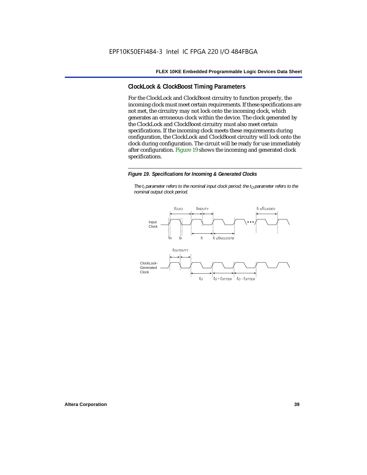# **ClockLock & ClockBoost Timing Parameters**

For the ClockLock and ClockBoost circuitry to function properly, the incoming clock must meet certain requirements. If these specifications are not met, the circuitry may not lock onto the incoming clock, which generates an erroneous clock within the device. The clock generated by the ClockLock and ClockBoost circuitry must also meet certain specifications. If the incoming clock meets these requirements during configuration, the ClockLock and ClockBoost circuitry will lock onto the clock during configuration. The circuit will be ready for use immediately after configuration. Figure 19 shows the incoming and generated clock specifications.

#### *Figure 19. Specifications for Incoming & Generated Clocks*

*The t<sub>I</sub> parameter refers to the nominal input clock period; the t<sub>0</sub> parameter refers to the nominal output clock period.*

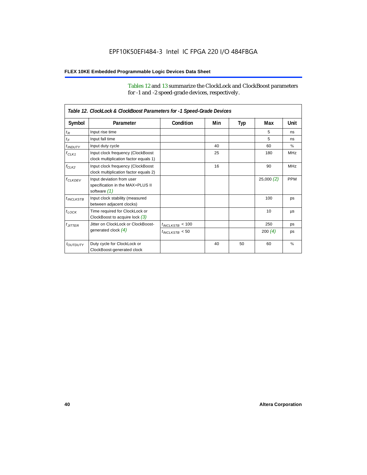Tables 12 and 13 summarize the ClockLock and ClockBoost parameters for -1 and -2 speed-grade devices, respectively.

| Table 12. ClockLock & ClockBoost Parameters for -1 Speed-Grade Devices |                                                                               |                      |     |     |           |               |  |
|------------------------------------------------------------------------|-------------------------------------------------------------------------------|----------------------|-----|-----|-----------|---------------|--|
| Symbol                                                                 | Parameter                                                                     | Condition            | Min | Typ | Max       | Unit          |  |
| $t_R$                                                                  | Input rise time                                                               |                      |     |     | 5         | ns            |  |
| $t_F$                                                                  | Input fall time                                                               |                      |     |     | 5         | ns            |  |
| $t$ <sub>INDUTY</sub>                                                  | Input duty cycle                                                              |                      | 40  |     | 60        | $\%$          |  |
| $f_{CLK1}$                                                             | Input clock frequency (ClockBoost<br>clock multiplication factor equals 1)    |                      | 25  |     | 180       | <b>MHz</b>    |  |
| $f_{CLK2}$                                                             | Input clock frequency (ClockBoost<br>clock multiplication factor equals 2)    |                      | 16  |     | 90        | <b>MHz</b>    |  |
| $f_{CLKDEV}$                                                           | Input deviation from user<br>specification in the MAX+PLUS II<br>software (1) |                      |     |     | 25,000(2) | <b>PPM</b>    |  |
| $t_{INCLKSTB}$                                                         | Input clock stability (measured<br>between adjacent clocks)                   |                      |     |     | 100       | ps            |  |
| $t_{\text{LOCK}}$                                                      | Time required for ClockLock or<br>ClockBoost to acquire lock $(3)$            |                      |     |     | 10        | μs            |  |
| $t_{JITTER}$                                                           | Jitter on ClockLock or ClockBoost-                                            | $t_{INCLKSTB} < 100$ |     |     | 250       | ps            |  |
|                                                                        | generated clock $(4)$                                                         | $t_{INCLKSTB}$ < 50  |     |     | 200 $(4)$ | ps            |  |
| <i>toutbuty</i>                                                        | Duty cycle for ClockLock or<br>ClockBoost-generated clock                     |                      | 40  | 50  | 60        | $\frac{9}{6}$ |  |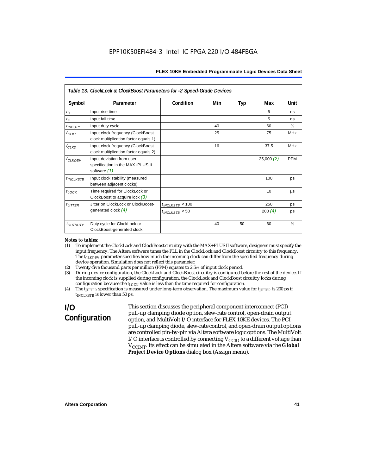| Table 13. ClockLock & ClockBoost Parameters for -2 Speed-Grade Devices |                                                                                 |                      |     |     |           |            |  |
|------------------------------------------------------------------------|---------------------------------------------------------------------------------|----------------------|-----|-----|-----------|------------|--|
| Symbol                                                                 | Parameter                                                                       | Condition            | Min | Typ | Max       | Unit       |  |
| $t_{\mathcal{R}}$                                                      | Input rise time                                                                 |                      |     |     | 5         | ns         |  |
| $t_{\digamma}$                                                         | Input fall time                                                                 |                      |     |     | 5         | ns         |  |
| <i>t</i> <sub>INDUTY</sub>                                             | Input duty cycle                                                                |                      | 40  |     | 60        | $\%$       |  |
| $f_{CLK1}$                                                             | Input clock frequency (ClockBoost<br>clock multiplication factor equals 1)      |                      | 25  |     | 75        | <b>MHz</b> |  |
| $f_{CLK2}$                                                             | Input clock frequency (ClockBoost<br>clock multiplication factor equals 2)      |                      | 16  |     | 37.5      | <b>MHz</b> |  |
| $f_{\ensuremath{\text{CLKDEV}}}$                                       | Input deviation from user<br>specification in the MAX+PLUS II<br>software $(1)$ |                      |     |     | 25,000(2) | <b>PPM</b> |  |
| $t_{INCLKSTB}$                                                         | Input clock stability (measured<br>between adjacent clocks)                     |                      |     |     | 100       | ps         |  |
| $t_{LOCK}$                                                             | Time required for ClockLock or<br>ClockBoost to acquire lock $(3)$              |                      |     |     | 10        | μs         |  |
| $t_{JITTER}$                                                           | Jitter on ClockLock or ClockBoost-                                              | $t_{INCLKSTB}$ < 100 |     |     | 250       | ps         |  |
|                                                                        | generated clock $(4)$                                                           | $t_{INCLKSTB}$ < 50  |     |     | 200 $(4)$ | ps         |  |
| toutputy                                                               | Duty cycle for ClockLock or<br>ClockBoost-generated clock                       |                      | 40  | 50  | 60        | $\%$       |  |

#### *Notes to tables:*

- (1) To implement the ClockLock and ClockBoost circuitry with the MAX+PLUS II software, designers must specify the input frequency. The Altera software tunes the PLL in the ClockLock and ClockBoost circuitry to this frequency. The *f<sub>CLKDEV</sub>* parameter specifies how much the incoming clock can differ from the specified frequency during device operation. Simulation does not reflect this parameter.
- (2) Twenty-five thousand parts per million (PPM) equates to 2.5% of input clock period.<br>(3) During device configuration, the ClockLock and ClockBoost circuitry is configured b
- (3) During device configuration, the ClockLock and ClockBoost circuitry is configured before the rest of the device. If the incoming clock is supplied during configuration, the ClockLock and ClockBoost circuitry locks during configuration because the  $t_{LOCK}$  value is less than the time required for configuration.
- (4) The *tJITTER* specification is measured under long-term observation. The maximum value for *tJITTER* is 200 ps if  $t_{INCI KSTB}$  is lower than 50 ps.

# **I/O Configuration**

This section discusses the peripheral component interconnect (PCI) pull-up clamping diode option, slew-rate control, open-drain output option, and MultiVolt I/O interface for FLEX 10KE devices. The PCI pull-up clamping diode, slew-rate control, and open-drain output options are controlled pin-by-pin via Altera software logic options. The MultiVolt I/O interface is controlled by connecting  $V_{CCIO}$  to a different voltage than V<sub>CCINT</sub>. Its effect can be simulated in the Altera software via the Global **Project Device Options** dialog box (Assign menu).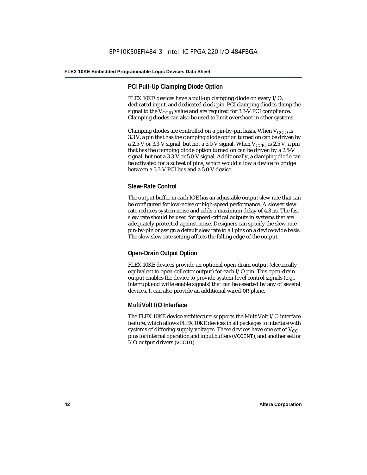# **PCI Pull-Up Clamping Diode Option**

FLEX 10KE devices have a pull-up clamping diode on every I/O, dedicated input, and dedicated clock pin. PCI clamping diodes clamp the signal to the  $V_{\text{CCIO}}$  value and are required for 3.3-V PCI compliance. Clamping diodes can also be used to limit overshoot in other systems.

Clamping diodes are controlled on a pin-by-pin basis. When  $V_{CCIO}$  is 3.3 V, a pin that has the clamping diode option turned on can be driven by a 2.5-V or 3.3-V signal, but not a 5.0-V signal. When  $V_{CCIO}$  is 2.5 V, a pin that has the clamping diode option turned on can be driven by a 2.5-V signal, but not a 3.3-V or 5.0-V signal. Additionally, a clamping diode can be activated for a subset of pins, which would allow a device to bridge between a 3.3-V PCI bus and a 5.0-V device.

# **Slew-Rate Control**

The output buffer in each IOE has an adjustable output slew rate that can be configured for low-noise or high-speed performance. A slower slew rate reduces system noise and adds a maximum delay of 4.3 ns. The fast slew rate should be used for speed-critical outputs in systems that are adequately protected against noise. Designers can specify the slew rate pin-by-pin or assign a default slew rate to all pins on a device-wide basis. The slow slew rate setting affects the falling edge of the output.

# **Open-Drain Output Option**

FLEX 10KE devices provide an optional open-drain output (electrically equivalent to open-collector output) for each I/O pin. This open-drain output enables the device to provide system-level control signals (e.g., interrupt and write enable signals) that can be asserted by any of several devices. It can also provide an additional wired-OR plane.

# **MultiVolt I/O Interface**

The FLEX 10KE device architecture supports the MultiVolt I/O interface feature, which allows FLEX 10KE devices in all packages to interface with systems of differing supply voltages. These devices have one set of  $V_{CC}$ pins for internal operation and input buffers (VCCINT), and another set for I/O output drivers (VCCIO).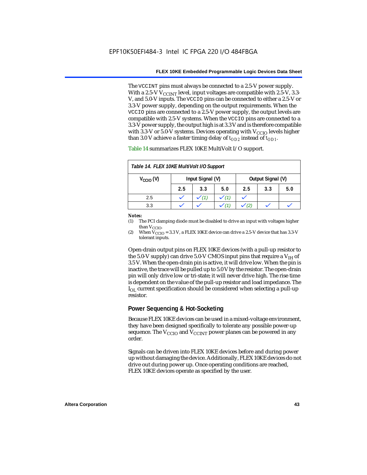The VCCINT pins must always be connected to a 2.5-V power supply. With a 2.5-V  $V_{CCMT}$  level, input voltages are compatible with 2.5-V, 3.3-V, and 5.0-V inputs. The VCCIO pins can be connected to either a 2.5-V or 3.3-V power supply, depending on the output requirements. When the VCCIO pins are connected to a 2.5-V power supply, the output levels are compatible with 2.5-V systems. When the VCCIO pins are connected to a 3.3-V power supply, the output high is at 3.3 V and is therefore compatible with 3.3-V or 5.0-V systems. Devices operating with  $V_{CCIO}$  levels higher than 3.0 V achieve a faster timing delay of  $t_{OD2}$  instead of  $t_{OD1}$ .

| Table 14. FLEX 10KE MultiVolt I/O Support |                                       |     |     |     |     |     |
|-------------------------------------------|---------------------------------------|-----|-----|-----|-----|-----|
| $V_{\text{CCIO}}(V)$                      | Input Signal (V)<br>Output Signal (V) |     |     |     |     |     |
|                                           | 2.5                                   | 3.3 | 5.0 | 2.5 | 3.3 | 5.0 |
| 2.5                                       |                                       |     |     |     |     |     |
| 3.3                                       |                                       |     |     |     |     |     |

Table 14 summarizes FLEX 10KE MultiVolt I/O support.

#### *Notes:*

(1) The PCI clamping diode must be disabled to drive an input with voltages higher than  $V_{CCIO}$ .

(2) When  $V_{\text{CCIO}} = 3.3$  V, a FLEX 10KE device can drive a 2.5-V device that has 3.3-V tolerant inputs.

Open-drain output pins on FLEX 10KE devices (with a pull-up resistor to the 5.0-V supply) can drive 5.0-V CMOS input pins that require a  $V_{\text{H}}$  of 3.5 V. When the open-drain pin is active, it will drive low. When the pin is inactive, the trace will be pulled up to 5.0 V by the resistor. The open-drain pin will only drive low or tri-state; it will never drive high. The rise time is dependent on the value of the pull-up resistor and load impedance. The  $I_{\text{OL}}$  current specification should be considered when selecting a pull-up resistor.

### **Power Sequencing & Hot-Socketing**

Because FLEX 10KE devices can be used in a mixed-voltage environment, they have been designed specifically to tolerate any possible power-up sequence. The  $V_{\text{CCIO}}$  and  $V_{\text{CCINT}}$  power planes can be powered in any order.

Signals can be driven into FLEX 10KE devices before and during power up without damaging the device. Additionally, FLEX 10KE devices do not drive out during power up. Once operating conditions are reached, FLEX 10KE devices operate as specified by the user.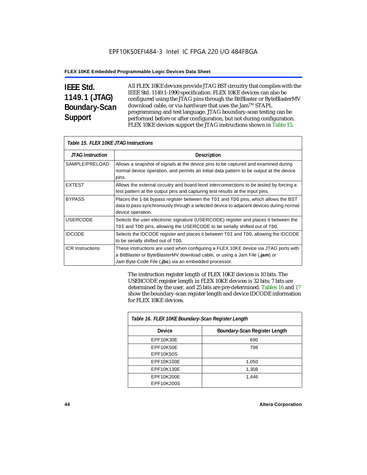# **IEEE Std. 1149.1 (JTAG) Boundary-Scan Support**

All FLEX 10KE devices provide JTAG BST circuitry that complies with the IEEE Std. 1149.1-1990 specification. FLEX 10KE devices can also be configured using the JTAG pins through the BitBlaster or ByteBlasterMV download cable, or via hardware that uses the Jam™ STAPL programming and test language. JTAG boundary-scan testing can be performed before or after configuration, but not during configuration. FLEX 10KE devices support the JTAG instructions shown in Table 15.

| Table 15. FLEX 10KE JTAG Instructions |                                                                                                                                                                                                                            |  |  |  |
|---------------------------------------|----------------------------------------------------------------------------------------------------------------------------------------------------------------------------------------------------------------------------|--|--|--|
| <b>JTAG Instruction</b>               | <b>Description</b>                                                                                                                                                                                                         |  |  |  |
| SAMPLE/PRELOAD                        | Allows a snapshot of signals at the device pins to be captured and examined during<br>normal device operation, and permits an initial data pattern to be output at the device<br>pins.                                     |  |  |  |
| <b>EXTEST</b>                         | Allows the external circuitry and board-level interconnections to be tested by forcing a<br>test pattern at the output pins and capturing test results at the input pins.                                                  |  |  |  |
| <b>BYPASS</b>                         | Places the 1-bit bypass register between the TDI and TDO pins, which allows the BST<br>data to pass synchronously through a selected device to adjacent devices during normal<br>device operation.                         |  |  |  |
| <b>USERCODE</b>                       | Selects the user electronic signature (USERCODE) register and places it between the<br>TDI and TDO pins, allowing the USERCODE to be serially shifted out of TDO.                                                          |  |  |  |
| <b>IDCODE</b>                         | Selects the IDCODE register and places it between TDI and TDO, allowing the IDCODE<br>to be serially shifted out of TDO.                                                                                                   |  |  |  |
| <b>ICR Instructions</b>               | These instructions are used when configuring a FLEX 10KE device via JTAG ports with<br>a BitBlaster or ByteBlasterMV download cable, or using a Jam File (.jam) or<br>Jam Byte-Code File (.jbc) via an embedded processor. |  |  |  |

The instruction register length of FLEX 10KE devices is 10 bits. The USERCODE register length in FLEX 10KE devices is 32 bits; 7 bits are determined by the user, and 25 bits are pre-determined. Tables 16 and 17 show the boundary-scan register length and device IDCODE information for FLEX 10KE devices.

| Table 16. FLEX 10KE Boundary-Scan Register Length |                               |  |  |  |
|---------------------------------------------------|-------------------------------|--|--|--|
| Device                                            | Boundary-Scan Register Length |  |  |  |
| EPF10K30E                                         | 690                           |  |  |  |
| EPF10K50E                                         | 798                           |  |  |  |
| <b>EPF10K50S</b>                                  |                               |  |  |  |
| EPF10K100E                                        | 1,050                         |  |  |  |
| EPF10K130E                                        | 1,308                         |  |  |  |
| EPF10K200E                                        | 1.446                         |  |  |  |
| EPF10K200S                                        |                               |  |  |  |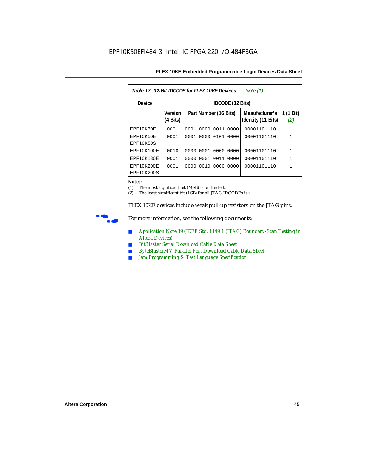| FLEX 10KE Embedded Programmable Logic Devices Data Sheet |  |
|----------------------------------------------------------|--|
|----------------------------------------------------------|--|

| Table 17, 32-Bit IDCODE for FLEX 10KE Devices<br>Note $(1)$ |                                      |                              |                                      |                  |  |  |  |  |
|-------------------------------------------------------------|--------------------------------------|------------------------------|--------------------------------------|------------------|--|--|--|--|
| Device                                                      | IDCODE (32 Bits)                     |                              |                                      |                  |  |  |  |  |
|                                                             | <b>Version</b><br>$(4 \text{ Bits})$ | Part Number (16 Bits)        | Manufacturer's<br>Identity (11 Bits) | 1 (1 Bit)<br>(2) |  |  |  |  |
| <b>EPF10K30E</b>                                            | 0001                                 | 0000<br>0011<br>0001<br>0000 | 00001101110                          | $\mathbf{1}$     |  |  |  |  |
| EPF10K50E<br>EPF10K50S                                      | 0001                                 | 0101<br>0000<br>0001<br>0000 | 00001101110                          | $\mathbf{1}$     |  |  |  |  |
| EPF10K100E                                                  | 0010                                 | 0000 0001 0000 0000          | 00001101110                          | $\mathbf{1}$     |  |  |  |  |
| EPF10K130E                                                  | 0001                                 | 0011<br>0001<br>0000<br>0000 | 00001101110                          | $\mathbf{1}$     |  |  |  |  |
| EPF10K200E<br>EPF10K200S                                    | 0001                                 | 0010<br>0000<br>0000<br>0000 | 00001101110                          | 1                |  |  |  |  |

#### *Notes:*

(1) The most significant bit (MSB) is on the left.

(2) The least significant bit (LSB) for all JTAG IDCODEs is 1.

FLEX 10KE devices include weak pull-up resistors on the JTAG pins.



For more information, see the following documents:

- *Application Note 39 (IEEE Std. 1149.1 (JTAG) Boundary-Scan Testing in Altera Devices)*
- *BitBlaster Serial Download Cable Data Sheet*
- *ByteBlasterMV Parallel Port Download Cable Data Sheet*
- *Jam Programming & Test Language Specification*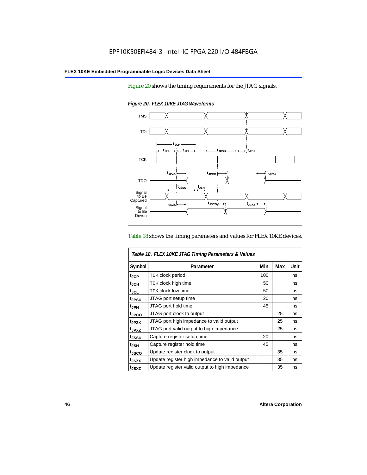Figure 20 shows the timing requirements for the JTAG signals.



*Figure 20. FLEX 10KE JTAG Waveforms*

#### Table 18 shows the timing parameters and values for FLEX 10KE devices.

| Table 18. FLEX 10KE JTAG Timing Parameters & Values |                                                |     |     |      |  |  |
|-----------------------------------------------------|------------------------------------------------|-----|-----|------|--|--|
| Symbol                                              | Parameter                                      | Min | Max | Unit |  |  |
| t <sub>JCP</sub>                                    | <b>TCK clock period</b>                        | 100 |     | ns   |  |  |
| $t_{JCH}$                                           | TCK clock high time                            | 50  |     | ns   |  |  |
| $t_{JCL}$                                           | TCK clock low time                             | 50  |     | ns   |  |  |
| tjpsu                                               | JTAG port setup time                           | 20  |     | ns   |  |  |
| t <sub>JPH</sub>                                    | JTAG port hold time                            | 45  |     | ns   |  |  |
| t <sub>JPCO</sub>                                   | JTAG port clock to output                      |     | 25  | ns   |  |  |
| t <sub>.IPZX</sub>                                  | JTAG port high impedance to valid output       |     | 25  | ns   |  |  |
| t <sub>JPXZ</sub>                                   | JTAG port valid output to high impedance       |     | 25  | ns   |  |  |
| tjssu                                               | Capture register setup time                    | 20  |     | ns   |  |  |
| $t_{JSH}$                                           | Capture register hold time                     | 45  |     | ns   |  |  |
| tjsco                                               | Update register clock to output                |     | 35  | ns   |  |  |
| t <sub>JSZX</sub>                                   | Update register high impedance to valid output |     | 35  | ns   |  |  |
| t <sub>JSXZ</sub>                                   | Update register valid output to high impedance |     | 35  | ns   |  |  |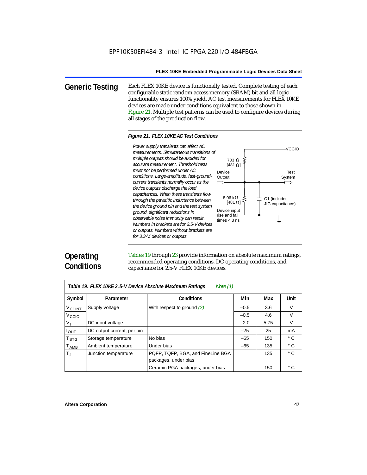**Generic Testing** Each FLEX 10KE device is functionally tested. Complete testing of each configurable static random access memory (SRAM) bit and all logic functionality ensures 100% yield. AC test measurements for FLEX 10KE devices are made under conditions equivalent to those shown in Figure 21. Multiple test patterns can be used to configure devices during all stages of the production flow.

#### *Figure 21. FLEX 10KE AC Test Conditions*

*measurements. Simultaneous transitions of multiple outputs should be avoided for accurate measurement. Threshold tests must not be performed under AC conditions. Large-amplitude, fast-groundcurrent transients normally occur as the device outputs discharge the load capacitances. When these transients flow through the parasitic inductance between the device ground pin and the test system ground, significant reductions in observable noise immunity can result. Numbers in brackets are for 2.5-V devices or outputs. Numbers without brackets are for 3.3-V. devices or outputs.*



# **Operating Conditions**

Tables 19 through 23 provide information on absolute maximum ratings, recommended operating conditions, DC operating conditions, and capacitance for 2.5-V FLEX 10KE devices.

| Note $(1)$<br>Table 19. FLEX 10KE 2.5-V Device Absolute Maximum Ratings |                            |                                   |        |      |              |  |  |
|-------------------------------------------------------------------------|----------------------------|-----------------------------------|--------|------|--------------|--|--|
| Symbol                                                                  | Parameter                  | <b>Conditions</b>                 | Min    | Max  | <b>Unit</b>  |  |  |
| V <sub>CCINT</sub>                                                      | Supply voltage             | With respect to ground $(2)$      | $-0.5$ | 3.6  | V            |  |  |
| V <sub>CCIO</sub>                                                       |                            |                                   | $-0.5$ | 4.6  | $\vee$       |  |  |
| V <sub>1</sub>                                                          | DC input voltage           |                                   | $-2.0$ | 5.75 | $\vee$       |  |  |
| $I_{OUT}$                                                               | DC output current, per pin |                                   | $-25$  | 25   | mA           |  |  |
| <b>T</b> <sub>STG</sub>                                                 | Storage temperature        | No bias                           | $-65$  | 150  | $^{\circ}$ C |  |  |
| $T_{AMB}$                                                               | Ambient temperature        | Under bias                        | $-65$  | 135  | $^{\circ}$ C |  |  |
| $T_{\rm J}$                                                             | Junction temperature       | PQFP, TQFP, BGA, and FineLine BGA |        | 135  | $^{\circ}$ C |  |  |
|                                                                         |                            | packages, under bias              |        |      |              |  |  |
|                                                                         |                            | Ceramic PGA packages, under bias  |        | 150  | $^{\circ}$ C |  |  |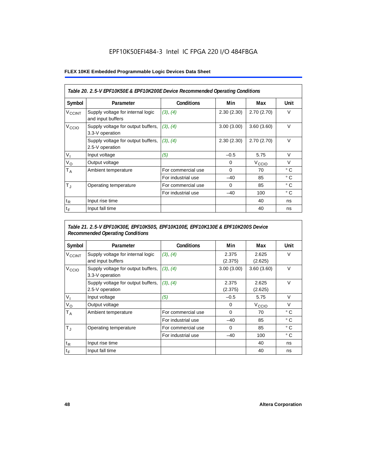# EPF10K50EFI484-3 Intel IC FPGA 220 I/O 484FBGA

### **FLEX 10KE Embedded Programmable Logic Devices Data Sheet**

| Table 20. 2.5-V EPF10K50E & EPF10K200E Device Recommended Operating Conditions |                                                        |                    |            |                   |              |  |  |
|--------------------------------------------------------------------------------|--------------------------------------------------------|--------------------|------------|-------------------|--------------|--|--|
| Symbol                                                                         | Parameter                                              | <b>Conditions</b>  | Min        | Max               | Unit         |  |  |
| <b>V<sub>CCINT</sub></b>                                                       | Supply voltage for internal logic<br>and input buffers | (3), (4)           | 2.30(2.30) | 2.70(2.70)        | $\vee$       |  |  |
| V <sub>CCIO</sub>                                                              | Supply voltage for output buffers,<br>3.3-V operation  | (3), (4)           | 3.00(3.00) | 3.60(3.60)        | $\vee$       |  |  |
|                                                                                | Supply voltage for output buffers,<br>2.5-V operation  | (3), (4)           | 2.30(2.30) | 2.70(2.70)        | $\vee$       |  |  |
| $V_{1}$                                                                        | Input voltage                                          | (5)                | $-0.5$     | 5.75              | $\vee$       |  |  |
| $V_{\rm O}$                                                                    | Output voltage                                         |                    | 0          | V <sub>CCIO</sub> | $\vee$       |  |  |
| $T_A$                                                                          | Ambient temperature                                    | For commercial use | $\Omega$   | 70                | ° C          |  |  |
|                                                                                |                                                        | For industrial use | $-40$      | 85                | $^{\circ}$ C |  |  |
| $T_{\rm J}$                                                                    | Operating temperature                                  | For commercial use | $\Omega$   | 85                | °C           |  |  |
|                                                                                |                                                        | For industrial use | $-40$      | 100               | ° C          |  |  |
| $t_{R}$                                                                        | Input rise time                                        |                    |            | 40                | ns           |  |  |
| $t_F$                                                                          | Input fall time                                        |                    |            | 40                | ns           |  |  |

### *Table 21. 2.5-V EPF10K30E, EPF10K50S, EPF10K100E, EPF10K130E & EPF10K200S Device Recommended Operating Conditions*

| Symbol                   | Parameter                                              | <b>Conditions</b>  | Min              | Max               | Unit         |
|--------------------------|--------------------------------------------------------|--------------------|------------------|-------------------|--------------|
| <b>V<sub>CCINT</sub></b> | Supply voltage for internal logic<br>and input buffers | (3), (4)           | 2.375<br>(2.375) | 2.625<br>(2.625)  | $\vee$       |
| V <sub>CCIO</sub>        | Supply voltage for output buffers,<br>3.3-V operation  | (3), (4)           | 3.00(3.00)       | 3.60(3.60)        | $\vee$       |
|                          | Supply voltage for output buffers,<br>2.5-V operation  | (3), (4)           | 2.375<br>(2.375) | 2.625<br>(2.625)  | $\vee$       |
| $V_{1}$                  | Input voltage                                          | (5)                | $-0.5$           | 5.75              | $\vee$       |
| $V_{\rm O}$              | Output voltage                                         |                    | 0                | V <sub>CCIO</sub> | $\vee$       |
| $T_A$                    | Ambient temperature                                    | For commercial use | 0                | 70                | ° C          |
|                          |                                                        | For industrial use | $-40$            | 85                | $^{\circ}$ C |
| $T_{\rm J}$              | Operating temperature                                  | For commercial use | $\mathbf 0$      | 85                | °C           |
|                          |                                                        | For industrial use | $-40$            | 100               | $^{\circ}$ C |
| $t_{R}$                  | Input rise time                                        |                    |                  | 40                | ns           |
| $t_F$                    | Input fall time                                        |                    |                  | 40                | ns           |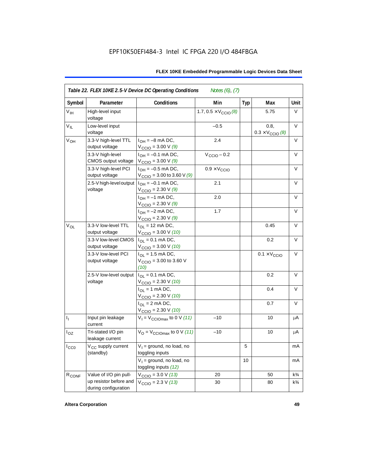| Symbol            | Parameter                                      | <b>Conditions</b>                                                               | Min                                   | <b>Typ</b> | Max                                      | Unit           |
|-------------------|------------------------------------------------|---------------------------------------------------------------------------------|---------------------------------------|------------|------------------------------------------|----------------|
| V <sub>IH</sub>   | High-level input<br>voltage                    |                                                                                 | 1.7, $0.5 \times V_{\text{CCIO}}$ (8) |            | 5.75                                     | V              |
| $V_{IL}$          | Low-level input<br>voltage                     |                                                                                 | $-0.5$                                |            | 0.8.<br>$0.3 \times V_{\text{CCIO}}$ (8) | V              |
| $V_{OH}$          | 3.3-V high-level TTL<br>output voltage         | $I_{OH} = -8$ mA DC,<br>$V_{\text{CCIO}} = 3.00 V(9)$                           | 2.4                                   |            |                                          | V              |
|                   | 3.3-V high-level<br>CMOS output voltage        | $I_{OH} = -0.1$ mA DC,<br>$V_{\text{CCIO}} = 3.00 V(9)$                         | $V_{\text{CCIO}} - 0.2$               |            |                                          | V              |
|                   | 3.3-V high-level PCI<br>output voltage         | $I_{OH} = -0.5$ mA DC,<br>$V_{\text{CCIO}} = 3.00$ to 3.60 V (9)                | $0.9 \times V_{\text{CCIO}}$          |            |                                          | $\vee$         |
|                   | 2.5-V high-level output<br>voltage             | $I_{OH} = -0.1$ mA DC,<br>$V_{\text{CCIO}} = 2.30 \text{ V} (9)$                | 2.1                                   |            |                                          | $\vee$         |
|                   |                                                | $I_{OH} = -1$ mA DC,<br>$V_{\text{CCIO}} = 2.30 \text{ V } (9)$                 | 2.0                                   |            |                                          | V              |
|                   |                                                | $I_{OH} = -2$ mA DC,<br>$V_{\text{CCIO}} = 2.30 \text{ V} (9)$                  | 1.7                                   |            |                                          | V              |
| $V_{OL}$          | 3.3-V low-level TTL<br>output voltage          | $I_{OL}$ = 12 mA DC,<br>$V_{\text{CCIO}} = 3.00 \text{ V} (10)$                 |                                       |            | 0.45                                     | $\vee$         |
|                   | 3.3-V low-level CMOS<br>output voltage         | $I_{\text{OI}} = 0.1 \text{ mA} \text{ DC},$<br>$V_{\text{CCIO}} = 3.00 V (10)$ |                                       |            | 0.2                                      | V              |
|                   | 3.3-V low-level PCI<br>output voltage          | $I_{\Omega}$ = 1.5 mA DC,<br>$V_{\text{CCIO}} = 3.00$ to 3.60 V<br>(10)         |                                       |            | $0.1 \times V_{\text{CCIO}}$             | V              |
|                   | 2.5-V low-level output<br>voltage              | $I_{OL} = 0.1$ mA DC,<br>$V_{\text{CCIO}} = 2.30 V (10)$                        |                                       |            | 0.2                                      | $\vee$         |
|                   |                                                | $I_{OL}$ = 1 mA DC,<br>$V_{\text{CCIO}} = 2.30 V (10)$                          |                                       |            | 0.4                                      | V              |
|                   |                                                | $I_{\text{OI}} = 2 \text{ mA DC}$ ,<br>$V_{\text{CCIO}} = 2.30 V (10)$          |                                       |            | 0.7                                      | V              |
| $I_1$             | Input pin leakage<br>current                   | $V_1 = V_{\text{CCIOM}}$ to 0 V (11)                                            | $-10$                                 |            | 10                                       | μA             |
| $I_{OZ}$          | Tri-stated I/O pin<br>leakage current          | $V_{\rm O}$ = $V_{\rm CClOmax}$ to 0 V (11)                                     | $-10$                                 |            | 10                                       | μA             |
| ICCO              | V <sub>CC</sub> supply current<br>(standby)    | $V_1$ = ground, no load, no<br>toggling inputs                                  |                                       | 5          |                                          | mA             |
|                   |                                                | $V_1$ = ground, no load, no<br>toggling inputs (12)                             |                                       | 10         |                                          | mA             |
| R <sub>CONF</sub> | Value of I/O pin pull-                         | $V_{\text{CCIO}} = 3.0 V (13)$                                                  | 20                                    |            | 50                                       | $k\frac{3}{4}$ |
|                   | up resistor before and<br>during configuration | $V_{\text{CCIO}} = 2.3 V (13)$                                                  | 30                                    |            | 80                                       | $k\frac{3}{4}$ |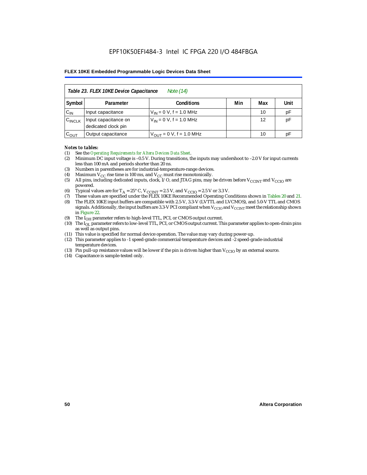| Table 23. FLEX 10KE Device Capacitance<br>Note (14) |                                             |                              |     |     |      |  |  |  |
|-----------------------------------------------------|---------------------------------------------|------------------------------|-----|-----|------|--|--|--|
| Symbol                                              | Parameter                                   | <b>Conditions</b>            | Min | Max | Unit |  |  |  |
| $C_{IN}$                                            | Input capacitance                           | $V_{IN} = 0 V$ , f = 1.0 MHz |     | 10  | pF   |  |  |  |
| $C_{\text{INCLK}}$                                  | Input capacitance on<br>dedicated clock pin | $V_{IN} = 0 V$ , f = 1.0 MHz |     | 12  | pF   |  |  |  |
| $C_{OUT}$                                           | Output capacitance                          | $V_{OUT} = 0 V, f = 1.0 MHz$ |     | 10  | рF   |  |  |  |

#### *Notes to tables:*

- (1) See the *Operating Requirements for Altera Devices Data Sheet*.
- (2) Minimum DC input voltage is –0.5 V. During transitions, the inputs may undershoot to –2.0 V for input currents less than 100 mA and periods shorter than 20 ns.
- (3) Numbers in parentheses are for industrial-temperature-range devices.
- (4) Maximum  $V_{CC}$  rise time is 100 ms, and  $V_{CC}$  must rise monotonically.<br>(5) All pins, including dedicated inputs, clock, I/O, and JTAG pins, may
- All pins, including dedicated inputs, clock, I/O, and JTAG pins, may be driven before  $V_{CCTNT}$  and  $V_{CCTO}$  are powered.
- (6) Typical values are for  $T_A = 25^\circ$  C,  $V_{CClNT} = 2.5$  V, and  $V_{CClO} = 2.5$  V or 3.3 V.<br>(7) These values are specified under the FLEX 10KE Recommended Operating Co
- (7) These values are specified under the FLEX 10KE Recommended Operating Conditions shown in Tables 20 and 21.<br>(8) The FLEX 10KE input buffers are compatible with 2.5-V. 3.3-V (LVTTL and LVCMOS), and 5.0-V TTL and CMOS (8) The FLEX 10KE input buffers are compatible with 2.5-V, 3.3-V (LVTTL and LVCMOS), and 5.0-V TTL and CMOS
- signals. Additionally, the input buffers are 3.3-V PCI compliant when  $V_{CCIO}$  and  $V_{CCIVT}$  meet the relationship shown in Figure 22.
- (9) The  $I<sub>OH</sub>$  parameter refers to high-level TTL, PCI, or CMOS output current.
- (10) The IOL parameter refers to low-level TTL, PCI, or CMOS output current. This parameter applies to open-drain pins as well as output pins.
- (11) This value is specified for normal device operation. The value may vary during power-up.
- (12) This parameter applies to -1 speed-grade commercial-temperature devices and -2 speed-grade-industrial temperature devices.
- (13) Pin pull-up resistance values will be lower if the pin is driven higher than  $V_{CCIO}$  by an external source.
- (14) Capacitance is sample-tested only.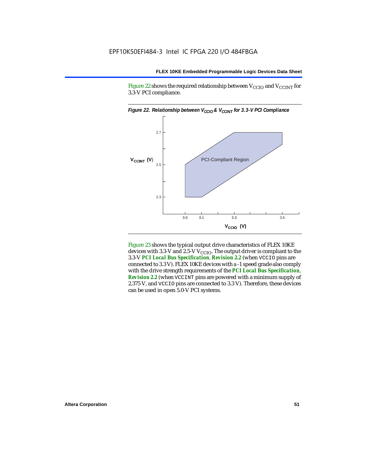Figure 22 shows the required relationship between  $V_{\text{CCIO}}$  and  $V_{\text{CCINT}}$  for 3.3-V PCI compliance.



Figure 23 shows the typical output drive characteristics of FLEX 10KE devices with 3.3-V and 2.5-V  $V_{\text{CCIO}}$ . The output driver is compliant to the 3.3-V *PCI Local Bus Specification*, *Revision 2.2* (when VCCIO pins are connected to 3.3 V). FLEX 10KE devices with a -1 speed grade also comply with the drive strength requirements of the *PCI Local Bus Specification*, *Revision 2.2* (when VCCINT pins are powered with a minimum supply of 2.375 V, and VCCIO pins are connected to 3.3 V). Therefore, these devices can be used in open 5.0-V PCI systems.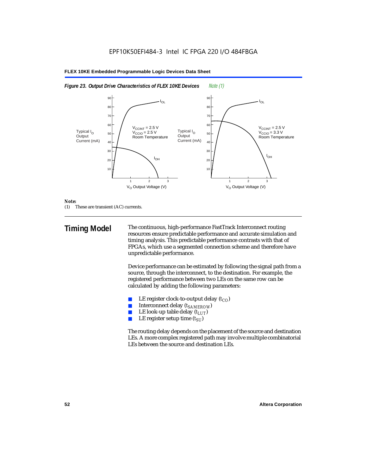



#### *Note:*

(1) These are transient (AC) currents.

**Timing Model** The continuous, high-performance FastTrack Interconnect routing resources ensure predictable performance and accurate simulation and timing analysis. This predictable performance contrasts with that of FPGAs, which use a segmented connection scheme and therefore have unpredictable performance.

> Device performance can be estimated by following the signal path from a source, through the interconnect, to the destination. For example, the registered performance between two LEs on the same row can be calculated by adding the following parameters:

- LE register clock-to-output delay  $(t_{CO})$
- **■** Interconnect delay  $(t_{SAMEROW})$ <br> **■** I.E look-up table delay  $(t_{LUT})$
- LE look-up table delay  $(t_{LUT})$
- LE register setup time  $(t_{SI})$

The routing delay depends on the placement of the source and destination LEs. A more complex registered path may involve multiple combinatorial LEs between the source and destination LEs.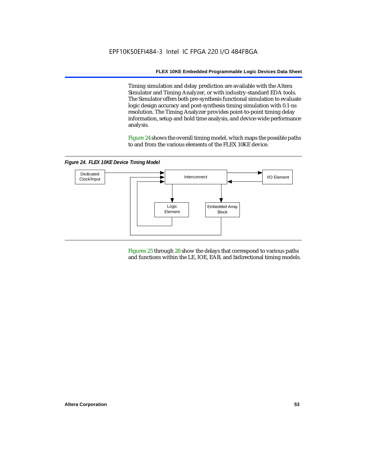Timing simulation and delay prediction are available with the Altera Simulator and Timing Analyzer, or with industry-standard EDA tools. The Simulator offers both pre-synthesis functional simulation to evaluate logic design accuracy and post-synthesis timing simulation with 0.1-ns resolution. The Timing Analyzer provides point-to-point timing delay information, setup and hold time analysis, and device-wide performance analysis.

Figure 24 shows the overall timing model, which maps the possible paths to and from the various elements of the FLEX 10KE device.

*Figure 24. FLEX 10KE Device Timing Model*



Figures 25 through 28 show the delays that correspond to various paths and functions within the LE, IOE, EAB, and bidirectional timing models.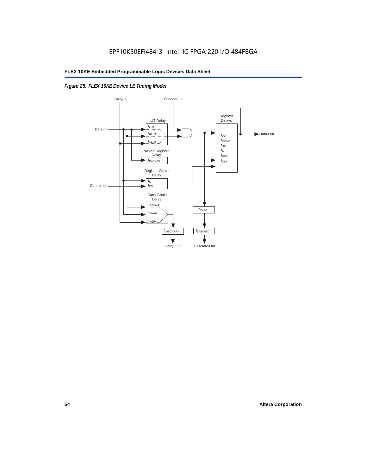# *Figure 25. FLEX 10KE Device LE Timing Model*

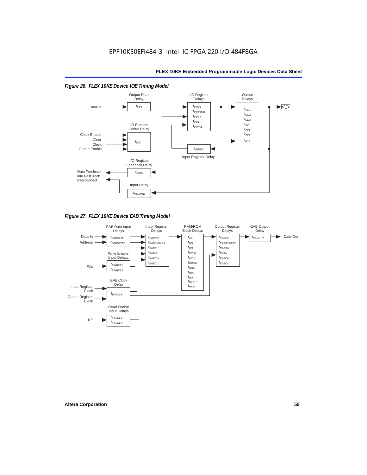#### *Figure 26. FLEX 10KE Device IOE Timing Model* Output Output Data I/O Register **Delays** Delays **Delay**  $t_{\text{IOD}}$  $t_{IOCO}$  $\blacktriangleright$ Data-In  $t_{OD1}$  $t_{IOCOMB}$  $t_{OD2}$  $t_{IOSU}$  $t_{OD3}$  $t_{IOH}$ I/O Element  $t_{\chi z}$  $t_{IOCLR}$ Contol Delay  $t_{ZX1}$ Clock Enable  $t_{ZX2}$ Clear  $t_{7X3}$  $t_{IOC}$ Clock Output Enable  $t_{INREG}$ Input Register Delay I/O Register Feedback Delay Data Feedback  $t_{IOFD}$ into FastTrack Interconnect Input Delay  $t_{INCOMB}$

*Figure 27. FLEX 10KE Device EAB Timing Model*

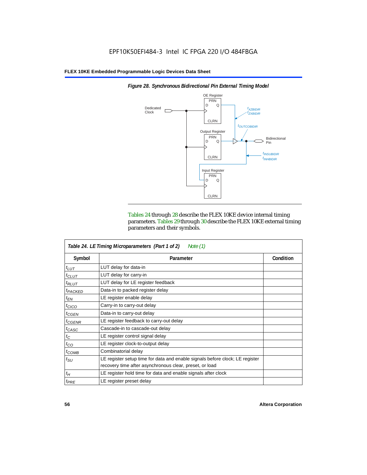

*Figure 28. Synchronous Bidirectional Pin External Timing Model*

Tables 24 through 28 describe the FLEX 10KE device internal timing parameters. Tables 29 through 30 describe the FLEX 10KE external timing parameters and their symbols.

| Table 24. LE Timing Microparameters (Part 1 of 2)<br>Note (1) |                                                                                                                                         |           |  |  |  |  |
|---------------------------------------------------------------|-----------------------------------------------------------------------------------------------------------------------------------------|-----------|--|--|--|--|
| Symbol                                                        | Parameter                                                                                                                               | Condition |  |  |  |  |
| $t_{LUT}$                                                     | LUT delay for data-in                                                                                                                   |           |  |  |  |  |
| $t_{CLUT}$                                                    | LUT delay for carry-in                                                                                                                  |           |  |  |  |  |
| $t_{RLUT}$                                                    | LUT delay for LE register feedback                                                                                                      |           |  |  |  |  |
| <sup>t</sup> PACKED                                           | Data-in to packed register delay                                                                                                        |           |  |  |  |  |
| $t_{EN}$                                                      | LE register enable delay                                                                                                                |           |  |  |  |  |
| $t_{CICO}$                                                    | Carry-in to carry-out delay                                                                                                             |           |  |  |  |  |
| $t_{GEN}$                                                     | Data-in to carry-out delay                                                                                                              |           |  |  |  |  |
| ${}^t$ CGENR                                                  | LE register feedback to carry-out delay                                                                                                 |           |  |  |  |  |
| $t_{CASC}$                                                    | Cascade-in to cascade-out delay                                                                                                         |           |  |  |  |  |
| $t_C$                                                         | LE register control signal delay                                                                                                        |           |  |  |  |  |
| $t_{CO}$                                                      | LE register clock-to-output delay                                                                                                       |           |  |  |  |  |
| $t_{COMB}$                                                    | Combinatorial delay                                                                                                                     |           |  |  |  |  |
| $t_{\rm SU}$                                                  | LE register setup time for data and enable signals before clock; LE register<br>recovery time after asynchronous clear, preset, or load |           |  |  |  |  |
| $t_H$                                                         | LE register hold time for data and enable signals after clock                                                                           |           |  |  |  |  |
| $t_{PRE}$                                                     | LE register preset delay                                                                                                                |           |  |  |  |  |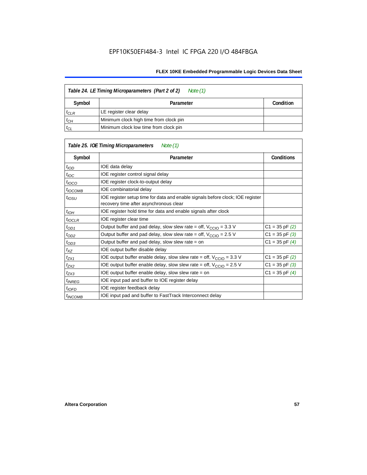| Table 24. LE Timing Microparameters (Part 2 of 2)<br>Note (1) |                                        |  |  |  |  |
|---------------------------------------------------------------|----------------------------------------|--|--|--|--|
| Symbol                                                        | Condition<br>Parameter                 |  |  |  |  |
| $t_{CLR}$                                                     | LE register clear delay                |  |  |  |  |
| $t_{CH}$                                                      | Minimum clock high time from clock pin |  |  |  |  |
| $t_{CL}$                                                      | Minimum clock low time from clock pin  |  |  |  |  |

|                          | Table 25. IOE Timing Microparameters<br>Note (1)                                                                         |                    |
|--------------------------|--------------------------------------------------------------------------------------------------------------------------|--------------------|
| Symbol                   | Parameter                                                                                                                | <b>Conditions</b>  |
| $t$ <sub>IOD</sub>       | IOE data delay                                                                                                           |                    |
| $t_{\text{IOC}}$         | IOE register control signal delay                                                                                        |                    |
| $t_{\text{IOCO}}$        | IOE register clock-to-output delay                                                                                       |                    |
| <sup>t</sup> IOCOMB      | IOE combinatorial delay                                                                                                  |                    |
| t <sub>iosu</sub>        | IOE register setup time for data and enable signals before clock; IOE register<br>recovery time after asynchronous clear |                    |
| t <sub>IOH</sub>         | IOE register hold time for data and enable signals after clock                                                           |                    |
| $t_{IOCLR}$              | IOE register clear time                                                                                                  |                    |
| $t_{OD1}$                | Output buffer and pad delay, slow slew rate = off, $V_{CClO}$ = 3.3 V                                                    | $C1 = 35$ pF $(2)$ |
| $t_{OD2}$                | Output buffer and pad delay, slow slew rate = off, $V_{\text{CCIO}} = 2.5$ V                                             | $C1 = 35$ pF $(3)$ |
| $t_{OD3}$                | Output buffer and pad delay, slow slew rate $=$ on                                                                       | $C1 = 35$ pF $(4)$ |
| $t_{XZ}$                 | IOE output buffer disable delay                                                                                          |                    |
| $t_{ZX1}$                | IOE output buffer enable delay, slow slew rate = off, $V_{\text{CCIO}} = 3.3 \text{ V}$                                  | $C1 = 35$ pF $(2)$ |
| t <sub>ZX2</sub>         | IOE output buffer enable delay, slow slew rate = off, $V_{\text{CCIO}} = 2.5 V$                                          | $C1 = 35$ pF $(3)$ |
| $t_{ZX3}$                | IOE output buffer enable delay, slow slew rate $=$ on                                                                    | $C1 = 35$ pF $(4)$ |
| <i>t<sub>INREG</sub></i> | IOE input pad and buffer to IOE register delay                                                                           |                    |
| $t_{IOFD}$               | IOE register feedback delay                                                                                              |                    |
| $t_{INCOMB}$             | IOE input pad and buffer to FastTrack Interconnect delay                                                                 |                    |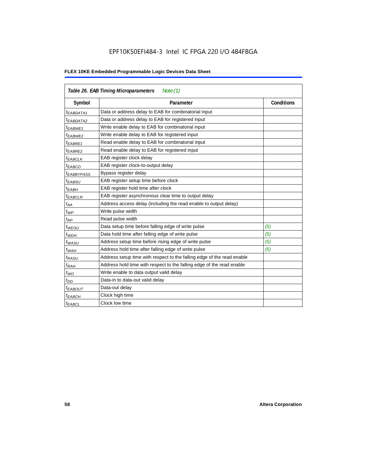# EPF10K50EFI484-3 Intel IC FPGA 220 I/O 484FBGA

| Table 26. EAB Timing Microparameters<br>Note $(1)$ |                                                                        |                   |  |  |  |  |
|----------------------------------------------------|------------------------------------------------------------------------|-------------------|--|--|--|--|
| Symbol                                             | Parameter                                                              | <b>Conditions</b> |  |  |  |  |
| $t_{EABDATA1}$                                     | Data or address delay to EAB for combinatorial input                   |                   |  |  |  |  |
| <sup>t</sup> EABDATA2                              | Data or address delay to EAB for registered input                      |                   |  |  |  |  |
| t <sub>EABWE1</sub>                                | Write enable delay to EAB for combinatorial input                      |                   |  |  |  |  |
| t <sub>EABWE2</sub>                                | Write enable delay to EAB for registered input                         |                   |  |  |  |  |
| <sup>t</sup> EABRE1                                | Read enable delay to EAB for combinatorial input                       |                   |  |  |  |  |
| t <sub>EABRE2</sub>                                | Read enable delay to EAB for registered input                          |                   |  |  |  |  |
| $t_{EABCLK}$                                       | EAB register clock delay                                               |                   |  |  |  |  |
| $t_{EABCO}$                                        | EAB register clock-to-output delay                                     |                   |  |  |  |  |
| <sup>t</sup> EABBYPASS                             | Bypass register delay                                                  |                   |  |  |  |  |
| <sup>t</sup> EABSU                                 | EAB register setup time before clock                                   |                   |  |  |  |  |
| <sup>t</sup> EABH                                  | EAB register hold time after clock                                     |                   |  |  |  |  |
| $t_{EABCLR}$                                       | EAB register asynchronous clear time to output delay                   |                   |  |  |  |  |
| $t_{AA}$                                           | Address access delay (including the read enable to output delay)       |                   |  |  |  |  |
| $t_{WP}$                                           | Write pulse width                                                      |                   |  |  |  |  |
| $t_{RP}$                                           | Read pulse width                                                       |                   |  |  |  |  |
| $t_{WDSU}$                                         | Data setup time before falling edge of write pulse                     | (5)               |  |  |  |  |
| $t_{WDH}$                                          | Data hold time after falling edge of write pulse                       | (5)               |  |  |  |  |
| $t_{WASU}$                                         | Address setup time before rising edge of write pulse                   | (5)               |  |  |  |  |
| $t_{WAH}$                                          | Address hold time after falling edge of write pulse                    | (5)               |  |  |  |  |
| t <sub>RASU</sub>                                  | Address setup time with respect to the falling edge of the read enable |                   |  |  |  |  |
| $t_{RAH}$                                          | Address hold time with respect to the falling edge of the read enable  |                   |  |  |  |  |
| $t_{WO}$                                           | Write enable to data output valid delay                                |                   |  |  |  |  |
| $t_{DD}$                                           | Data-in to data-out valid delay                                        |                   |  |  |  |  |
| $t_{EABOUT}$                                       | Data-out delay                                                         |                   |  |  |  |  |
| <sup>t</sup> EABCH                                 | Clock high time                                                        |                   |  |  |  |  |
| $t_{EABCL}$                                        | Clock low time                                                         |                   |  |  |  |  |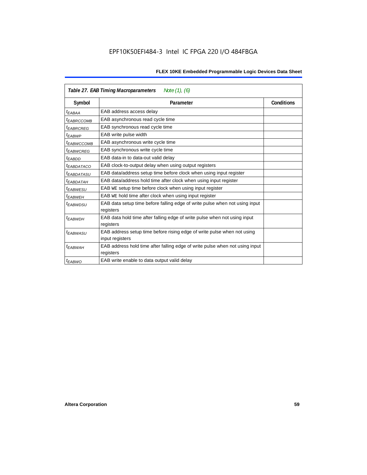| Table 27. EAB Timing Macroparameters<br>Note (1), (6) |                                                                              |                   |  |  |  |  |
|-------------------------------------------------------|------------------------------------------------------------------------------|-------------------|--|--|--|--|
| Symbol                                                | Parameter                                                                    | <b>Conditions</b> |  |  |  |  |
| <sup>t</sup> EABAA                                    | EAB address access delay                                                     |                   |  |  |  |  |
| <sup>t</sup> EABRCCOMB                                | EAB asynchronous read cycle time                                             |                   |  |  |  |  |
| <sup>t</sup> EABRCREG                                 | EAB synchronous read cycle time                                              |                   |  |  |  |  |
| <sup>t</sup> EABWP                                    | EAB write pulse width                                                        |                   |  |  |  |  |
| <sup>t</sup> ЕАВWССОМВ                                | EAB asynchronous write cycle time                                            |                   |  |  |  |  |
| <sup>t</sup> EABWCREG                                 | EAB synchronous write cycle time                                             |                   |  |  |  |  |
| t <sub>EABDD</sub>                                    | EAB data-in to data-out valid delay                                          |                   |  |  |  |  |
| <sup>t</sup> EABDATACO                                | EAB clock-to-output delay when using output registers                        |                   |  |  |  |  |
| <sup>t</sup> EABDATASU                                | EAB data/address setup time before clock when using input register           |                   |  |  |  |  |
| <sup>t</sup> EABDATAH                                 | EAB data/address hold time after clock when using input register             |                   |  |  |  |  |
| <sup>t</sup> EABWESU                                  | EAB WE setup time before clock when using input register                     |                   |  |  |  |  |
| t <sub>FARWFH</sub>                                   | EAB WE hold time after clock when using input register                       |                   |  |  |  |  |
| t <sub>EABWDSU</sub>                                  | EAB data setup time before falling edge of write pulse when not using input  |                   |  |  |  |  |
|                                                       | registers                                                                    |                   |  |  |  |  |
| t <sub>EABWDH</sub>                                   | EAB data hold time after falling edge of write pulse when not using input    |                   |  |  |  |  |
|                                                       | registers                                                                    |                   |  |  |  |  |
| <sup>t</sup> EABWASU                                  | EAB address setup time before rising edge of write pulse when not using      |                   |  |  |  |  |
|                                                       | input registers                                                              |                   |  |  |  |  |
| <sup>t</sup> EABWAH                                   | EAB address hold time after falling edge of write pulse when not using input |                   |  |  |  |  |
|                                                       | registers                                                                    |                   |  |  |  |  |
| <sup>t</sup> EABWO                                    | EAB write enable to data output valid delay                                  |                   |  |  |  |  |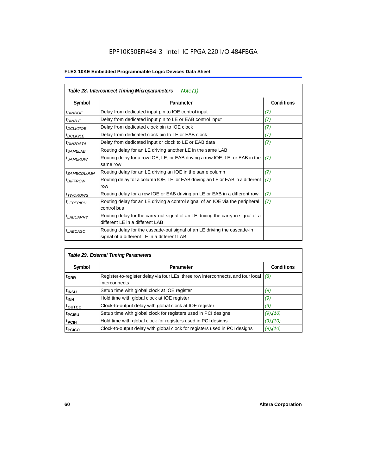# EPF10K50EFI484-3 Intel IC FPGA 220 I/O 484FBGA

| Table 28. Interconnect Timing Microparameters<br>Note $(1)$ |                                                                                                                         |                   |  |  |  |
|-------------------------------------------------------------|-------------------------------------------------------------------------------------------------------------------------|-------------------|--|--|--|
| Symbol                                                      | Parameter                                                                                                               | <b>Conditions</b> |  |  |  |
| <i>t<sub>DIN2IOE</sub></i>                                  | Delay from dedicated input pin to IOE control input                                                                     | (7)               |  |  |  |
| $t$ DIN2LE                                                  | Delay from dedicated input pin to LE or EAB control input                                                               | (7)               |  |  |  |
| <sup>t</sup> DCLK2IOE                                       | Delay from dedicated clock pin to IOE clock                                                                             | (7)               |  |  |  |
| <sup>t</sup> DCLK2LE                                        | Delay from dedicated clock pin to LE or EAB clock                                                                       | (7)               |  |  |  |
| <sup>I</sup> DIN2DATA                                       | Delay from dedicated input or clock to LE or EAB data                                                                   | (7)               |  |  |  |
| <sup>t</sup> SAMELAB                                        | Routing delay for an LE driving another LE in the same LAB                                                              |                   |  |  |  |
| <sup>t</sup> SAMEROW                                        | Routing delay for a row IOE, LE, or EAB driving a row IOE, LE, or EAB in the<br>same row                                | (7)               |  |  |  |
| <sup>I</sup> SAMECOLUMN                                     | Routing delay for an LE driving an IOE in the same column                                                               | (7)               |  |  |  |
| <i><b>LDIFFROW</b></i>                                      | Routing delay for a column IOE, LE, or EAB driving an LE or EAB in a different<br>row                                   | (7)               |  |  |  |
| <sup>t</sup> TWOROWS                                        | Routing delay for a row IOE or EAB driving an LE or EAB in a different row                                              | (7)               |  |  |  |
| <sup>I</sup> LEPERIPH                                       | Routing delay for an LE driving a control signal of an IOE via the peripheral<br>control bus                            | (7)               |  |  |  |
| <sup>t</sup> LABCARRY                                       | Routing delay for the carry-out signal of an LE driving the carry-in signal of a<br>different LE in a different LAB     |                   |  |  |  |
| t <sub>LABCASC</sub>                                        | Routing delay for the cascade-out signal of an LE driving the cascade-in<br>signal of a different LE in a different LAB |                   |  |  |  |

| Table 29. External Timing Parameters |                                                                                                   |                   |  |  |  |  |  |
|--------------------------------------|---------------------------------------------------------------------------------------------------|-------------------|--|--|--|--|--|
| Symbol                               | Parameter                                                                                         | <b>Conditions</b> |  |  |  |  |  |
| t <sub>DRR</sub>                     | Register-to-register delay via four LEs, three row interconnects, and four local<br>interconnects | (8)               |  |  |  |  |  |
| t <sub>INSU</sub>                    | Setup time with global clock at IOE register                                                      | (9)               |  |  |  |  |  |
| $t_{\rm INH}$                        | Hold time with global clock at IOE register                                                       | (9)               |  |  |  |  |  |
| toutco                               | Clock-to-output delay with global clock at IOE register                                           | (9)               |  |  |  |  |  |
| t <sub>PCISU</sub>                   | Setup time with global clock for registers used in PCI designs                                    | $(9)$ , $(10)$    |  |  |  |  |  |
| <sup>t</sup> PCIH                    | Hold time with global clock for registers used in PCI designs                                     | $(9)$ , $(10)$    |  |  |  |  |  |
| <sup>t</sup> PCICO                   | Clock-to-output delay with global clock for registers used in PCI designs                         | $(9)$ , $(10)$    |  |  |  |  |  |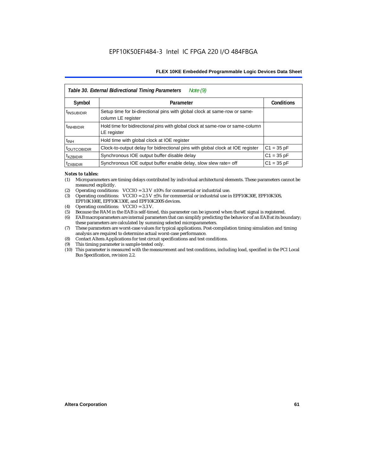| Note $(9)$<br>Table 30. External Bidirectional Timing Parameters |                                                                                                 |                   |  |  |  |  |  |
|------------------------------------------------------------------|-------------------------------------------------------------------------------------------------|-------------------|--|--|--|--|--|
| Symbol                                                           | Parameter                                                                                       | <b>Conditions</b> |  |  |  |  |  |
| <sup>t</sup> INSUBIDIR                                           | Setup time for bi-directional pins with global clock at same-row or same-<br>column LE register |                   |  |  |  |  |  |
| <sup>t</sup> INHBIDIR                                            | Hold time for bidirectional pins with global clock at same-row or same-column<br>LE register    |                   |  |  |  |  |  |
| <sup>t</sup> INH                                                 | Hold time with global clock at IOE register                                                     |                   |  |  |  |  |  |
| <b><i>LOUTCOBIDIR</i></b>                                        | Clock-to-output delay for bidirectional pins with global clock at IOE register                  | $C1 = 35 pF$      |  |  |  |  |  |
| <sup>t</sup> xzbidir                                             | Synchronous IOE output buffer disable delay                                                     | $C1 = 35 pF$      |  |  |  |  |  |
| <sup>T</sup> ZXBIDIR                                             | Synchronous IOE output buffer enable delay, slow slew rate= off                                 | $C1 = 35 pF$      |  |  |  |  |  |

#### *Notes to tables:*

- (1) Microparameters are timing delays contributed by individual architectural elements. These parameters cannot be measured explicitly.
- (2) Operating conditions:  $VCCIO = 3.3 V ±10%$  for commercial or industrial use.<br>(3) Operating conditions:  $VCCIO = 2.5 V ±5%$  for commercial or industrial use in
- Operating conditions: VCCIO =  $2.5$  V  $\pm 5$ % for commercial or industrial use in EPF10K30E, EPF10K50S, EPF10K100E, EPF10K130E, and EPF10K200S devices.
- (4) Operating conditions: VCCIO = 3.3 V.
- (5) Because the RAM in the EAB is self-timed, this parameter can be ignored when the WE signal is registered.<br>(6) EAB macroparameters are internal parameters that can simplify predicting the behavior of an EAB at its bor
- EAB macroparameters are internal parameters that can simplify predicting the behavior of an EAB at its boundary; these parameters are calculated by summing selected microparameters.
- (7) These parameters are worst-case values for typical applications. Post-compilation timing simulation and timing analysis are required to determine actual worst-case performance.
- (8) Contact Altera Applications for test circuit specifications and test conditions.
- (9) This timing parameter is sample-tested only.
- (10) This parameter is measured with the measurement and test conditions, including load, specified in the PCI Local Bus Specification, revision 2.2.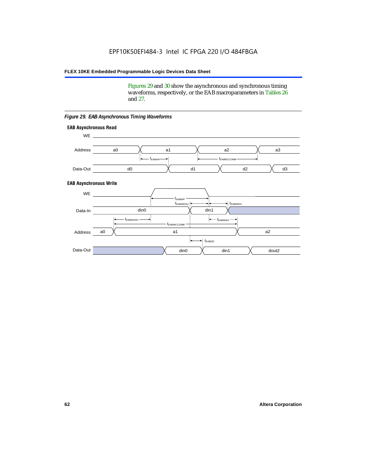Figures 29 and 30 show the asynchronous and synchronous timing waveforms, respectively, or the EAB macroparameters in Tables 26 and 27.

**EAB Asynchronous Write EAB Asynchronous Read** WE. a0 d0 d3  $t_{EABRCCOMB}$ a1 *《*、 a2 *《*、 a3 d2  $t_{FABA}$ d1 Address Data-Out WE a0 din1  $\chi$  dout2  $t_{EABDD}$ a1 a2 din1 din0  $t_{EABWCCOMB}$  $t_{EABWASU}$   $\longrightarrow$  $t_{EABWDSU}$  +  $\longrightarrow$   $t_{EABWDH}$  $t_{EABWP}$ Data-In din0 Address Data-Out

#### *Figure 29. EAB Asynchronous Timing Waveforms*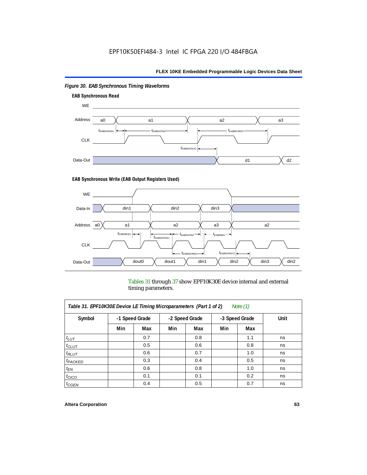

# *Figure 30. EAB Synchronous Timing Waveforms*

### **EAB Synchronous Write (EAB Output Registers Used)**



Tables 31 through 37 show EPF10K30E device internal and external timing parameters.

| Table 31. EPF10K30E Device LE Timing Microparameters (Part 1 of 2)<br>Note $(1)$ |     |                |     |                                  |     |     |      |  |
|----------------------------------------------------------------------------------|-----|----------------|-----|----------------------------------|-----|-----|------|--|
| Symbol                                                                           |     | -1 Speed Grade |     | -2 Speed Grade<br>-3 Speed Grade |     |     | Unit |  |
|                                                                                  | Min | Max            | Min | Max                              | Min | Max |      |  |
| $t_{LUT}$                                                                        |     | 0.7            |     | 0.8                              |     | 1.1 | ns   |  |
| $t_{CLUT}$                                                                       |     | 0.5            |     | 0.6                              |     | 0.8 | ns   |  |
| $t_{RLUT}$                                                                       |     | 0.6            |     | 0.7                              |     | 1.0 | ns   |  |
| <sup>t</sup> PACKED                                                              |     | 0.3            |     | 0.4                              |     | 0.5 | ns   |  |
| $t_{EN}$                                                                         |     | 0.6            |     | 0.8                              |     | 1.0 | ns   |  |
| $t_{CICO}$                                                                       |     | 0.1            |     | 0.1                              |     | 0.2 | ns   |  |
| $t_{\text{G}\text{E}\text{N}}$                                                   |     | 0.4            |     | 0.5                              |     | 0.7 | ns   |  |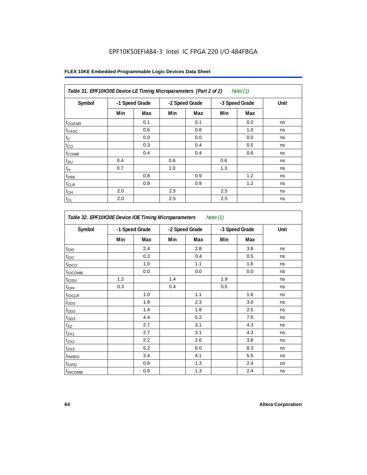# EPF10K50EFI484-3 Intel IC FPGA 220 I/O 484FBGA

| Table 31. EPF10K30E Device LE Timing Microparameters (Part 2 of 2)<br>Note (1) |     |                |     |                |                |     |      |  |
|--------------------------------------------------------------------------------|-----|----------------|-----|----------------|----------------|-----|------|--|
| Symbol                                                                         |     | -1 Speed Grade |     | -2 Speed Grade | -3 Speed Grade |     | Unit |  |
|                                                                                | Min | Max            | Min | Max            | Min            | Max |      |  |
| $t_{GENR}$                                                                     |     | 0.1            |     | 0.1            |                | 0.2 | ns   |  |
| $t_{CASC}$                                                                     |     | 0.6            |     | 0.8            |                | 1.0 | ns   |  |
| $t_C$                                                                          |     | 0.0            |     | 0.0            |                | 0.0 | ns   |  |
| $t_{CO}$                                                                       |     | 0.3            |     | 0.4            |                | 0.5 | ns   |  |
| $t_{COMB}$                                                                     |     | 0.4            |     | 0.4            |                | 0.6 | ns   |  |
| $t_{\text{SU}}$                                                                | 0.4 |                | 0.6 |                | 0.6            |     | ns   |  |
| $t_H\,$                                                                        | 0.7 |                | 1.0 |                | 1.3            |     | ns   |  |
| $t_{PRE}$                                                                      |     | 0.8            |     | 0.9            |                | 1.2 | ns   |  |
| $t_{CLR}$                                                                      |     | 0.8            |     | 0.9            |                | 1.2 | ns   |  |
| $t_{CH}$                                                                       | 2.0 |                | 2.5 |                | 2.5            |     | ns   |  |
| $t_{CL}$                                                                       | 2.0 |                | 2.5 |                | 2.5            |     | ns   |  |

| Symbol            | -1 Speed Grade |     | -2 Speed Grade |     | -3 Speed Grade |     | Unit |
|-------------------|----------------|-----|----------------|-----|----------------|-----|------|
|                   | Min            | Max | Min            | Max | Min            | Max |      |
| t <sub>IOD</sub>  |                | 2.4 |                | 2.8 |                | 3.8 | ns   |
| $t_{\text{IOC}}$  |                | 0.3 |                | 0.4 |                | 0.5 | ns   |
| $t_{IOCO}$        |                | 1.0 |                | 1.1 |                | 1.6 | ns   |
| $t_{IOCOMB}$      |                | 0.0 |                | 0.0 |                | 0.0 | ns   |
| t <sub>iOSU</sub> | 1.2            |     | 1.4            |     | 1.9            |     | ns   |
| $t_{IOL}$         | 0.3            |     | 0.4            |     | 0.5            |     | ns   |
| $t_{IOCLR}$       |                | 1.0 |                | 1.1 |                | 1.6 | ns   |
| $t_{OD1}$         |                | 1.9 |                | 2.3 |                | 3.0 | ns   |
| $t_{OD2}$         |                | 1.4 |                | 1.8 |                | 2.5 | ns   |
| $t_{OD3}$         |                | 4.4 |                | 5.2 |                | 7.0 | ns   |
| $t_{XZ}$          |                | 2.7 |                | 3.1 |                | 4.3 | ns   |
| $t_{ZX1}$         |                | 2.7 |                | 3.1 |                | 4.3 | ns   |
| $t_{ZX2}$         |                | 2.2 |                | 2.6 |                | 3.8 | ns   |
| $t_{ZX3}$         |                | 5.2 |                | 6.0 |                | 8.3 | ns   |
| $t_{INREG}$       |                | 3.4 |                | 4.1 |                | 5.5 | ns   |
| $t_{IOFD}$        |                | 0.8 |                | 1.3 |                | 2.4 | ns   |
| $t_{INCOMB}$      |                | 0.8 |                | 1.3 |                | 2.4 | ns   |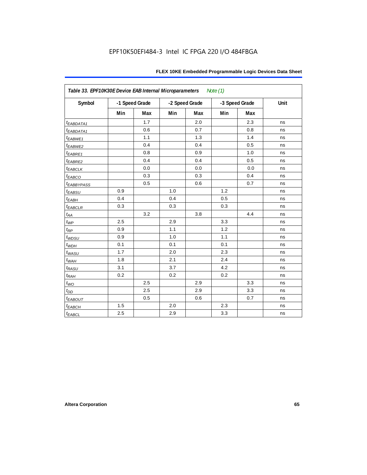| Table 33. EPF10K30E Device EAB Internal Microparameters<br>Note $(1)$ |     |                |     |                |     |                |      |  |  |
|-----------------------------------------------------------------------|-----|----------------|-----|----------------|-----|----------------|------|--|--|
| Symbol                                                                |     | -1 Speed Grade |     | -2 Speed Grade |     | -3 Speed Grade | Unit |  |  |
|                                                                       | Min | <b>Max</b>     | Min | Max            | Min | Max            |      |  |  |
| t <sub>EABDATA1</sub>                                                 |     | 1.7            |     | 2.0            |     | 2.3            | ns   |  |  |
| t <sub>EABDATA1</sub>                                                 |     | 0.6            |     | 0.7            |     | 0.8            | ns   |  |  |
| t <sub>EABWE1</sub>                                                   |     | 1.1            |     | 1.3            |     | 1.4            | ns   |  |  |
| t <sub>EABWE2</sub>                                                   |     | 0.4            |     | 0.4            |     | 0.5            | ns   |  |  |
| $t_{EABRE1}$                                                          |     | 0.8            |     | 0.9            |     | 1.0            | ns   |  |  |
| t <sub>EABRE2</sub>                                                   |     | 0.4            |     | 0.4            |     | 0.5            | ns   |  |  |
| <b><i>EABCLK</i></b>                                                  |     | 0.0            |     | 0.0            |     | 0.0            | ns   |  |  |
| t <sub>EABCO</sub>                                                    |     | 0.3            |     | 0.3            |     | 0.4            | ns   |  |  |
| <b><i>EABBYPASS</i></b>                                               |     | 0.5            |     | 0.6            |     | 0.7            | ns   |  |  |
| $t_{EABSU}$                                                           | 0.9 |                | 1.0 |                | 1.2 |                | ns   |  |  |
| $t_{EABH}$                                                            | 0.4 |                | 0.4 |                | 0.5 |                | ns   |  |  |
| $t_{EABCLR}$                                                          | 0.3 |                | 0.3 |                | 0.3 |                | ns   |  |  |
| $t_{AA}$                                                              |     | 3.2            |     | 3.8            |     | 4.4            | ns   |  |  |
| $t_{WP}$                                                              | 2.5 |                | 2.9 |                | 3.3 |                | ns   |  |  |
| $t_{RP}$                                                              | 0.9 |                | 1.1 |                | 1.2 |                | ns   |  |  |
| $t_{WDSU}$                                                            | 0.9 |                | 1.0 |                | 1.1 |                | ns   |  |  |
| $t_{WDH}$                                                             | 0.1 |                | 0.1 |                | 0.1 |                | ns   |  |  |
| $t_{WASU}$                                                            | 1.7 |                | 2.0 |                | 2.3 |                | ns   |  |  |
| $t_{WAH}$                                                             | 1.8 |                | 2.1 |                | 2.4 |                | ns   |  |  |
| $t_{RASU}$                                                            | 3.1 |                | 3.7 |                | 4.2 |                | ns   |  |  |
| $t_{RAH}$                                                             | 0.2 |                | 0.2 |                | 0.2 |                | ns   |  |  |
| $t_{WO}$                                                              |     | 2.5            |     | 2.9            |     | 3.3            | ns   |  |  |
| $t_{DD}$                                                              |     | 2.5            |     | 2.9            |     | 3.3            | ns   |  |  |
| $t_{EABOUT}$                                                          |     | 0.5            |     | 0.6            |     | 0.7            | ns   |  |  |
| $t_{EABCH}$                                                           | 1.5 |                | 2.0 |                | 2.3 |                | ns   |  |  |
| $t_{EABCL}$                                                           | 2.5 |                | 2.9 |                | 3.3 |                | ns   |  |  |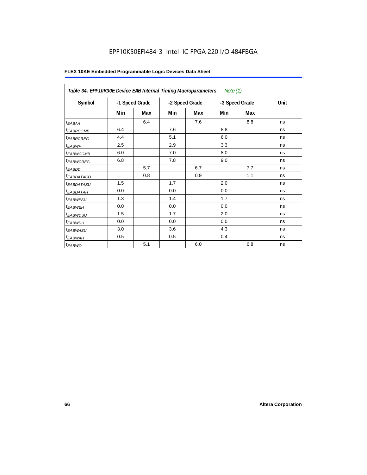# EPF10K50EFI484-3 Intel IC FPGA 220 I/O 484FBGA

|                        | Table 34. EPF10K30E Device EAB Internal Timing Macroparameters<br>Note $(1)$ |     |                |     |                |     |      |  |  |  |
|------------------------|------------------------------------------------------------------------------|-----|----------------|-----|----------------|-----|------|--|--|--|
| Symbol                 | -1 Speed Grade                                                               |     | -2 Speed Grade |     | -3 Speed Grade |     | Unit |  |  |  |
|                        | Min                                                                          | Max | Min            | Max | Min            | Max |      |  |  |  |
| $t_{EABA}$             |                                                                              | 6.4 |                | 7.6 |                | 8.8 | ns   |  |  |  |
| <sup>t</sup> EABRCOMB  | 6.4                                                                          |     | 7.6            |     | 8.8            |     | ns   |  |  |  |
| <i><b>EABRCREG</b></i> | 4.4                                                                          |     | 5.1            |     | 6.0            |     | ns   |  |  |  |
| $t_{EABWP}$            | 2.5                                                                          |     | 2.9            |     | 3.3            |     | ns   |  |  |  |
| <sup>t</sup> ЕАВWСОМВ  | 6.0                                                                          |     | 7.0            |     | 8.0            |     | ns   |  |  |  |
| <sup>t</sup> EABWCREG  | 6.8                                                                          |     | 7.8            |     | 9.0            |     | ns   |  |  |  |
| t <sub>EABDD</sub>     |                                                                              | 5.7 |                | 6.7 |                | 7.7 | ns   |  |  |  |
| t <sub>eabdataco</sub> |                                                                              | 0.8 |                | 0.9 |                | 1.1 | ns   |  |  |  |
| <sup>t</sup> EABDATASU | 1.5                                                                          |     | 1.7            |     | 2.0            |     | ns   |  |  |  |
| t <sub>EABDATAH</sub>  | 0.0                                                                          |     | 0.0            |     | 0.0            |     | ns   |  |  |  |
| <sup>t</sup> EABWESU   | 1.3                                                                          |     | 1.4            |     | 1.7            |     | ns   |  |  |  |
| <sup>t</sup> EABWEH    | 0.0                                                                          |     | 0.0            |     | 0.0            |     | ns   |  |  |  |
| t <sub>EABWDSU</sub>   | 1.5                                                                          |     | 1.7            |     | 2.0            |     | ns   |  |  |  |
| <sup>t</sup> EABWDH    | 0.0                                                                          |     | 0.0            |     | 0.0            |     | ns   |  |  |  |
| <sup>t</sup> EABWASU   | 3.0                                                                          |     | 3.6            |     | 4.3            |     | ns   |  |  |  |
| <sup>t</sup> EABWAH    | 0.5                                                                          |     | 0.5            |     | 0.4            |     | ns   |  |  |  |
| $t_{EABWO}$            |                                                                              | 5.1 |                | 6.0 |                | 6.8 | ns   |  |  |  |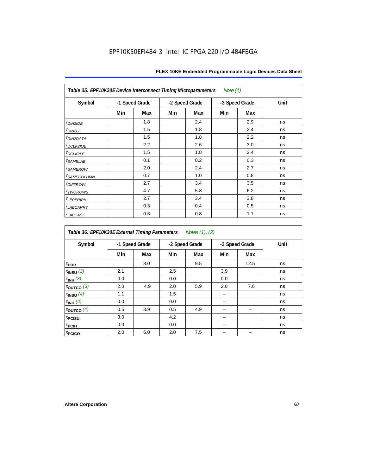| Note $(1)$<br>Table 35. EPF10K30E Device Interconnect Timing Microparameters |                |     |                |     |                |     |      |  |  |  |
|------------------------------------------------------------------------------|----------------|-----|----------------|-----|----------------|-----|------|--|--|--|
| Symbol                                                                       | -1 Speed Grade |     | -2 Speed Grade |     | -3 Speed Grade |     | Unit |  |  |  |
|                                                                              | Min            | Max | Min            | Max | Min            | Max |      |  |  |  |
| $t_{DINZIOE}$                                                                |                | 1.8 |                | 2.4 |                | 2.9 | ns   |  |  |  |
| t <sub>DIN2LE</sub>                                                          |                | 1.5 |                | 1.8 |                | 2.4 | ns   |  |  |  |
| <sup>t</sup> DIN2DATA                                                        |                | 1.5 |                | 1.8 |                | 2.2 | ns   |  |  |  |
| t <sub>DCLK2IOE</sub>                                                        |                | 2.2 |                | 2.6 |                | 3.0 | ns   |  |  |  |
| $t_{DCLK2LE}$                                                                |                | 1.5 |                | 1.8 |                | 2.4 | ns   |  |  |  |
| <i>t<sub>SAMELAB</sub></i>                                                   |                | 0.1 |                | 0.2 |                | 0.3 | ns   |  |  |  |
| <i>t</i> SAMEROW                                                             |                | 2.0 |                | 2.4 |                | 2.7 | ns   |  |  |  |
| <i>t<sub>SAMECOLUMN</sub></i>                                                |                | 0.7 |                | 1.0 |                | 0.8 | ns   |  |  |  |
| <i>t<sub>DIFFROW</sub></i>                                                   |                | 2.7 |                | 3.4 |                | 3.5 | ns   |  |  |  |
| <i>t</i> <sub>TWOROWS</sub>                                                  |                | 4.7 |                | 5.8 |                | 6.2 | ns   |  |  |  |
| <b><i>LEPERIPH</i></b>                                                       |                | 2.7 |                | 3.4 |                | 3.8 | ns   |  |  |  |
| <b><i>LABCARRY</i></b>                                                       |                | 0.3 |                | 0.4 |                | 0.5 | ns   |  |  |  |
| t <sub>LABCASC</sub>                                                         |                | 0.8 |                | 0.8 |                | 1.1 | ns   |  |  |  |

| Table 36. EPF10K30E External Timing Parameters Notes (1), (2) |     |                |     |                |     |                |      |  |  |  |
|---------------------------------------------------------------|-----|----------------|-----|----------------|-----|----------------|------|--|--|--|
| Symbol                                                        |     | -1 Speed Grade |     | -2 Speed Grade |     | -3 Speed Grade | Unit |  |  |  |
|                                                               | Min | Max            | Min | Max            | Min | Max            |      |  |  |  |
| t <sub>DRR</sub>                                              |     | 8.0            |     | 9.5            |     | 12.5           | ns   |  |  |  |
| $t$ <sub>INSU</sub> $(3)$                                     | 2.1 |                | 2.5 |                | 3.9 |                | ns   |  |  |  |
| $t_{INH}$ (3)                                                 | 0.0 |                | 0.0 |                | 0.0 |                | ns   |  |  |  |
| $t_{OUTCO}$ (3)                                               | 2.0 | 4.9            | 2.0 | 5.9            | 2.0 | 7.6            | ns   |  |  |  |
| $t_{INSU}$ (4)                                                | 1.1 |                | 1.5 |                |     |                | ns   |  |  |  |
| $t_{INH}$ (4)                                                 | 0.0 |                | 0.0 |                |     |                | ns   |  |  |  |
| $t_{\text{OUTCO}}(4)$                                         | 0.5 | 3.9            | 0.5 | 4.9            |     |                | ns   |  |  |  |
| t <sub>PCISU</sub>                                            | 3.0 |                | 4.2 |                |     |                | ns   |  |  |  |
| t <sub>PCIH</sub>                                             | 0.0 |                | 0.0 |                |     |                | ns   |  |  |  |
| t <sub>PCICO</sub>                                            | 2.0 | 6.0            | 2.0 | 7.5            |     |                | ns   |  |  |  |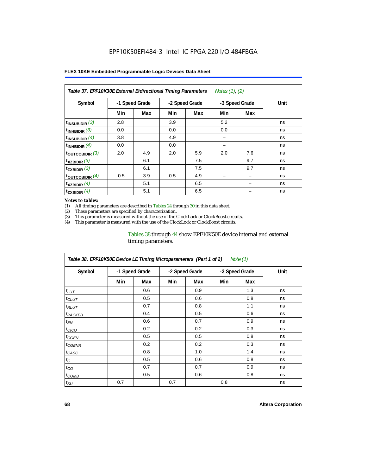| Table 37. EPF10K30E External Bidirectional Timing Parameters<br>Notes (1), (2) |                |     |                |     |                |     |      |  |  |  |
|--------------------------------------------------------------------------------|----------------|-----|----------------|-----|----------------|-----|------|--|--|--|
| Symbol                                                                         | -1 Speed Grade |     | -2 Speed Grade |     | -3 Speed Grade |     | Unit |  |  |  |
|                                                                                | Min            | Max | Min            | Max | Min            | Max |      |  |  |  |
| $t_{INSUBIDIR}$ (3)                                                            | 2.8            |     | 3.9            |     | 5.2            |     | ns   |  |  |  |
| $t_{INHBIDIR}$ (3)                                                             | 0.0            |     | 0.0            |     | 0.0            |     | ns   |  |  |  |
| $t_{INSUBIDIR}(4)$                                                             | 3.8            |     | 4.9            |     | -              |     | ns   |  |  |  |
| $t_{INHBIDIR}(4)$                                                              | 0.0            |     | 0.0            |     |                |     | ns   |  |  |  |
| $t_{\text{OUTCOBIDIR}}$ (3)                                                    | 2.0            | 4.9 | 2.0            | 5.9 | 2.0            | 7.6 | ns   |  |  |  |
| $t_{XZBIDIR}$ (3)                                                              |                | 6.1 |                | 7.5 |                | 9.7 | ns   |  |  |  |
| $t_{ZXBIDIR}$ (3)                                                              |                | 6.1 |                | 7.5 |                | 9.7 | ns   |  |  |  |
| $t_{\text{OUTCOBIDIR}}$ (4)                                                    | 0.5            | 3.9 | 0.5            | 4.9 |                |     | ns   |  |  |  |
| $t_{XZBIDIR}$ (4)                                                              |                | 5.1 |                | 6.5 |                |     | ns   |  |  |  |
| $t_{ZXBIDIR}$ (4)                                                              |                | 5.1 |                | 6.5 |                |     | ns   |  |  |  |

#### *Notes to tables:*

(1) All timing parameters are described in Tables 24 through 30 in this data sheet.<br>(2) These parameters are specified by characterization.

(2) These parameters are specified by characterization.<br>(3) This parameter is measured without the use of the C

This parameter is measured without the use of the ClockLock or ClockBoost circuits.

(4) This parameter is measured with the use of the ClockLock or ClockBoost circuits.

### Tables 38 through 44 show EPF10K50E device internal and external timing parameters.

| Table 38. EPF10K50E Device LE Timing Microparameters (Part 1 of 2)<br>Note (1) |                |     |                |     |                |     |      |  |  |  |
|--------------------------------------------------------------------------------|----------------|-----|----------------|-----|----------------|-----|------|--|--|--|
| Symbol                                                                         | -1 Speed Grade |     | -2 Speed Grade |     | -3 Speed Grade |     | Unit |  |  |  |
|                                                                                | Min            | Max | Min            | Max | Min            | Max |      |  |  |  |
| $t_{LUT}$                                                                      |                | 0.6 |                | 0.9 |                | 1.3 | ns   |  |  |  |
| $t_{CLUT}$                                                                     |                | 0.5 |                | 0.6 |                | 0.8 | ns   |  |  |  |
| $t_{RLUT}$                                                                     |                | 0.7 |                | 0.8 |                | 1.1 | ns   |  |  |  |
| <b><i>t<sub>PACKED</sub></i></b>                                               |                | 0.4 |                | 0.5 |                | 0.6 | ns   |  |  |  |
| $t_{EN}$                                                                       |                | 0.6 |                | 0.7 |                | 0.9 | ns   |  |  |  |
| $t_{CICO}$                                                                     |                | 0.2 |                | 0.2 |                | 0.3 | ns   |  |  |  |
| $t_{GEN}$                                                                      |                | 0.5 |                | 0.5 |                | 0.8 | ns   |  |  |  |
| ${}^t$ CGENR                                                                   |                | 0.2 |                | 0.2 |                | 0.3 | ns   |  |  |  |
| t <sub>CASC</sub>                                                              |                | 0.8 |                | 1.0 |                | 1.4 | ns   |  |  |  |
| $t_C$                                                                          |                | 0.5 |                | 0.6 |                | 0.8 | ns   |  |  |  |
| $t_{CO}$                                                                       |                | 0.7 |                | 0.7 |                | 0.9 | ns   |  |  |  |
| $t_{COMB}$                                                                     |                | 0.5 |                | 0.6 |                | 0.8 | ns   |  |  |  |
| $t_{\rm SU}$                                                                   | 0.7            |     | 0.7            |     | 0.8            |     | ns   |  |  |  |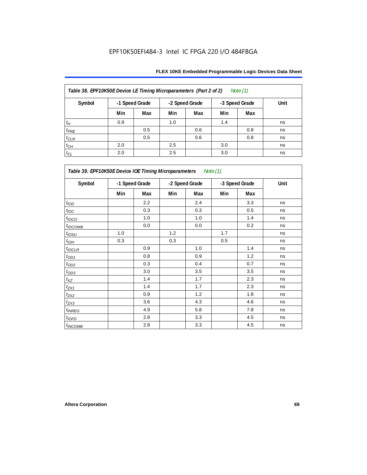| Table 38. EPF10K50E Device LE Timing Microparameters (Part 2 of 2)<br>Note $(1)$ |     |                |     |                |                |     |      |  |  |  |
|----------------------------------------------------------------------------------|-----|----------------|-----|----------------|----------------|-----|------|--|--|--|
| Symbol                                                                           |     | -1 Speed Grade |     | -2 Speed Grade | -3 Speed Grade |     | Unit |  |  |  |
|                                                                                  | Min | Max            | Min | Max            | Min            | Max |      |  |  |  |
| $t_H$                                                                            | 0.9 |                | 1.0 |                | 1.4            |     | ns   |  |  |  |
| $t_{PRE}$                                                                        |     | 0.5            |     | 0.6            |                | 0.8 | ns   |  |  |  |
| $t_{CLR}$                                                                        |     | 0.5            |     | 0.6            |                | 0.8 | ns   |  |  |  |
| $t_{CH}$                                                                         | 2.0 |                | 2.5 |                | 3.0            |     | ns   |  |  |  |
| $t_{CL}$                                                                         | 2.0 |                | 2.5 |                | 3.0            |     | ns   |  |  |  |

| Table 39. EPF10K50E Device IOE Timing Microparameters Note (1) |     |                |                |     |                |     |      |  |  |
|----------------------------------------------------------------|-----|----------------|----------------|-----|----------------|-----|------|--|--|
| Symbol                                                         |     | -1 Speed Grade | -2 Speed Grade |     | -3 Speed Grade |     | Unit |  |  |
|                                                                | Min | Max            | Min            | Max | Min            | Max |      |  |  |
| t <sub>IOD</sub>                                               |     | 2.2            |                | 2.4 |                | 3.3 | ns   |  |  |
| $t_{\text{IOC}}$                                               |     | 0.3            |                | 0.3 |                | 0.5 | ns   |  |  |
| $t_{IOCO}$                                                     |     | 1.0            |                | 1.0 |                | 1.4 | ns   |  |  |
| $t_{IOCOMB}$                                                   |     | 0.0            |                | 0.0 |                | 0.2 | ns   |  |  |
| $t_{IOSU}$                                                     | 1.0 |                | 1.2            |     | 1.7            |     | ns   |  |  |
| $t_{IOH}$                                                      | 0.3 |                | 0.3            |     | 0.5            |     | ns   |  |  |
| $t_{IOCLR}$                                                    |     | 0.9            |                | 1.0 |                | 1.4 | ns   |  |  |
| $t_{OD1}$                                                      |     | 0.8            |                | 0.9 |                | 1.2 | ns   |  |  |
| $t_{OD2}$                                                      |     | 0.3            |                | 0.4 |                | 0.7 | ns   |  |  |
| $t_{OD3}$                                                      |     | 3.0            |                | 3.5 |                | 3.5 | ns   |  |  |
| $t_{\mathsf{XZ}}$                                              |     | 1.4            |                | 1.7 |                | 2.3 | ns   |  |  |
| $t_{ZX1}$                                                      |     | 1.4            |                | 1.7 |                | 2.3 | ns   |  |  |
| $t_{ZX2}$                                                      |     | 0.9            |                | 1.2 |                | 1.8 | ns   |  |  |
| $t_{ZX3}$                                                      |     | 3.6            |                | 4.3 |                | 4.6 | ns   |  |  |
| $t_{INREG}$                                                    |     | 4.9            |                | 5.8 |                | 7.8 | ns   |  |  |
| $t_{IOFD}$                                                     |     | 2.8            |                | 3.3 |                | 4.5 | ns   |  |  |
| <i>t<sub>INCOMB</sub></i>                                      |     | 2.8            |                | 3.3 |                | 4.5 | ns   |  |  |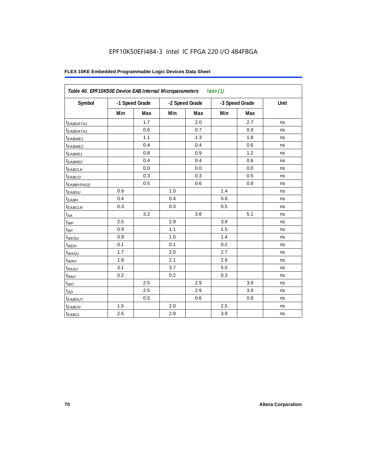# EPF10K50EFI484-3 Intel IC FPGA 220 I/O 484FBGA

| Symbol                  |     | -1 Speed Grade | -2 Speed Grade |     | -3 Speed Grade |     | Unit |
|-------------------------|-----|----------------|----------------|-----|----------------|-----|------|
|                         | Min | Max            | Min            | Max | Min            | Max |      |
| <sup>t</sup> EABDATA1   |     | 1.7            |                | 2.0 |                | 2.7 | ns   |
| $t_{EABDATA1}$          |     | 0.6            |                | 0.7 |                | 0.9 | ns   |
| t <sub>EABWE1</sub>     |     | 1.1            |                | 1.3 |                | 1.8 | ns   |
| $t_{EABWE2}$            |     | 0.4            |                | 0.4 |                | 0.6 | ns   |
| t <sub>EABRE1</sub>     |     | 0.8            |                | 0.9 |                | 1.2 | ns   |
| $t_{EABRE2}$            |     | 0.4            |                | 0.4 |                | 0.6 | ns   |
| <sup>t</sup> EABCLK     |     | 0.0            |                | 0.0 |                | 0.0 | ns   |
| $t_{EABCO}$             |     | 0.3            |                | 0.3 |                | 0.5 | ns   |
| <i><b>EABBYPASS</b></i> |     | 0.5            |                | 0.6 |                | 0.8 | ns   |
| t <sub>EABSU</sub>      | 0.9 |                | 1.0            |     | 1.4            |     | ns   |
| $t_{EABH}$              | 0.4 |                | 0.4            |     | 0.6            |     | ns   |
| $t_{EABCLR}$            | 0.3 |                | 0.3            |     | 0.5            |     | ns   |
| $t_{AA}$                |     | 3.2            |                | 3.8 |                | 5.1 | ns   |
| $t_{\mathit{WP}}$       | 2.5 |                | 2.9            |     | 3.9            |     | ns   |
| $t_{\mathit{RP}}$       | 0.9 |                | 1.1            |     | 1.5            |     | ns   |
| $t_{WDSU}$              | 0.9 |                | 1.0            |     | 1.4            |     | ns   |
| $t_{WDH}$               | 0.1 |                | 0.1            |     | 0.2            |     | ns   |
| $t_{\text{WASU}}$       | 1.7 |                | 2.0            |     | 2.7            |     | ns   |
| $t_{WAH}$               | 1.8 |                | 2.1            |     | 2.9            |     | ns   |
| $t_{RASU}$              | 3.1 |                | 3.7            |     | 5.0            |     | ns   |
| $t_{RAH}$               | 0.2 |                | 0.2            |     | 0.3            |     | ns   |
| $t_{WO}$                |     | 2.5            |                | 2.9 |                | 3.9 | ns   |
| $t_{DD}$                |     | 2.5            |                | 2.9 |                | 3.9 | ns   |
| <b><i>EABOUT</i></b>    |     | 0.5            |                | 0.6 |                | 0.8 | ns   |
| $t_{EABCH}$             | 1.5 |                | 2.0            |     | 2.5            |     | ns   |
| $t_{EABCL}$             | 2.5 |                | 2.9            |     | 3.9            |     | ns   |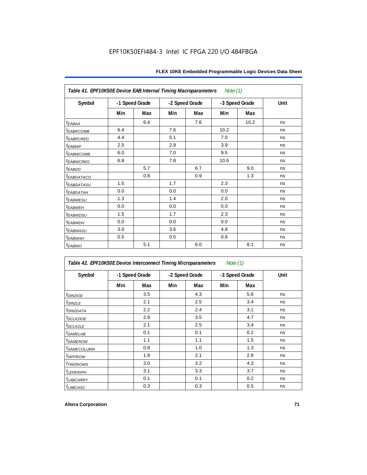| Table 41. EPF10K50E Device EAB Internal Timing Macroparameters |                |     |                |     | Note (1)       |      |      |
|----------------------------------------------------------------|----------------|-----|----------------|-----|----------------|------|------|
| Symbol                                                         | -1 Speed Grade |     | -2 Speed Grade |     | -3 Speed Grade |      | Unit |
|                                                                | Min            | Max | Min            | Max | Min            | Max  |      |
| $t_{EABA}$                                                     |                | 6.4 |                | 7.6 |                | 10.2 | ns   |
| <b><i>EABRCOMB</i></b>                                         | 6.4            |     | 7.6            |     | 10.2           |      | ns   |
| t <sub>EABRCREG</sub>                                          | 4.4            |     | 5.1            |     | 7.0            |      | ns   |
| t <sub>EABWP</sub>                                             | 2.5            |     | 2.9            |     | 3.9            |      | ns   |
| <sup>t</sup> EABWCOMB                                          | 6.0            |     | 7.0            |     | 9.5            |      | ns   |
| <sup>t</sup> EABWCREG                                          | 6.8            |     | 7.8            |     | 10.6           |      | ns   |
| t <sub>EABDD</sub>                                             |                | 5.7 |                | 6.7 |                | 9.0  | ns   |
| <sup>t</sup> EABDATACO                                         |                | 0.8 |                | 0.9 |                | 1.3  | ns   |
| <sup>t</sup> EABDATASU                                         | 1.5            |     | 1.7            |     | 2.3            |      | ns   |
| t <sub>eabdatah</sub>                                          | 0.0            |     | 0.0            |     | 0.0            |      | ns   |
| <sup>t</sup> EABWESU                                           | 1.3            |     | 1.4            |     | 2.0            |      | ns   |
| t <sub>EABWEH</sub>                                            | 0.0            |     | 0.0            |     | 0.0            |      | ns   |
| <i>t<sub>EABWDSU</sub></i>                                     | 1.5            |     | 1.7            |     | 2.3            |      | ns   |
| <sup>t</sup> EABWDH                                            | 0.0            |     | 0.0            |     | 0.0            |      | ns   |
| t <sub>EABWASU</sub>                                           | 3.0            |     | 3.6            |     | 4.8            |      | ns   |
| t <sub>EABWAH</sub>                                            | 0.5            |     | 0.5            |     | 0.8            |      | ns   |
| $t_{EABWO}$                                                    |                | 5.1 |                | 6.0 |                | 8.1  | ns   |

| Table 42. EPF10K50E Device Interconnect Timing Microparameters<br>Note $(1)$ |                |     |                |     |                |     |      |
|------------------------------------------------------------------------------|----------------|-----|----------------|-----|----------------|-----|------|
| Symbol                                                                       | -1 Speed Grade |     | -2 Speed Grade |     | -3 Speed Grade |     | Unit |
|                                                                              | Min            | Max | Min            | Max | Min            | Max |      |
| $tD$ IN2IOE                                                                  |                | 3.5 |                | 4.3 |                | 5.6 | ns   |
| t <sub>DIN2LE</sub>                                                          |                | 2.1 |                | 2.5 |                | 3.4 | ns   |
| <sup>t</sup> DIN2DATA                                                        |                | 2.2 |                | 2.4 |                | 3.1 | ns   |
| $t$ DCLK2IOE                                                                 |                | 2.9 |                | 3.5 |                | 4.7 | ns   |
| $t$ DCLK2LE                                                                  |                | 2.1 |                | 2.5 |                | 3.4 | ns   |
| <sup>t</sup> SAMELAB                                                         |                | 0.1 |                | 0.1 |                | 0.2 | ns   |
| <i>t</i> SAMEROW                                                             |                | 1.1 |                | 1.1 |                | 1.5 | ns   |
| <i>t<sub>SAMECOLUMN</sub></i>                                                |                | 0.8 |                | 1.0 |                | 1.3 | ns   |
| <i>t<sub>DIFFROW</sub></i>                                                   |                | 1.9 |                | 2.1 |                | 2.8 | ns   |
| <i>t</i> TWOROWS                                                             |                | 3.0 |                | 3.2 |                | 4.3 | ns   |
| <b><i>LEPERIPH</i></b>                                                       |                | 3.1 |                | 3.3 |                | 3.7 | ns   |
| <b><i>LABCARRY</i></b>                                                       |                | 0.1 |                | 0.1 |                | 0.2 | ns   |
| t <sub>LABCASC</sub>                                                         |                | 0.3 |                | 0.3 |                | 0.5 | ns   |

 $\mathsf{r}$ 

٦Ì,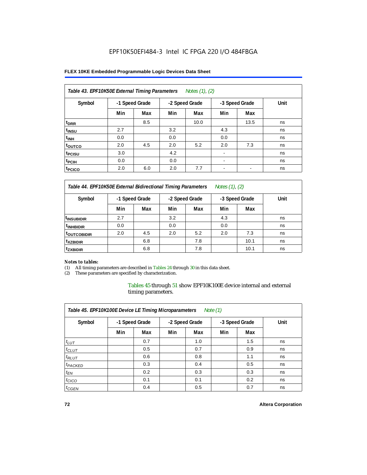#### **FLEX 10KE Embedded Programmable Logic Devices Data Sheet**

| Table 43. EPF10K50E External Timing Parameters<br>Notes (1), (2) |                |     |     |                |                          |                |      |  |  |  |
|------------------------------------------------------------------|----------------|-----|-----|----------------|--------------------------|----------------|------|--|--|--|
| Symbol                                                           | -1 Speed Grade |     |     | -2 Speed Grade |                          | -3 Speed Grade | Unit |  |  |  |
|                                                                  | Min            | Max | Min | Max            | Min                      | Max            |      |  |  |  |
| t <sub>DRR</sub>                                                 |                | 8.5 |     | 10.0           |                          | 13.5           | ns   |  |  |  |
| t <sub>insu</sub>                                                | 2.7            |     | 3.2 |                | 4.3                      |                | ns   |  |  |  |
| $t_{\rm INH}$                                                    | 0.0            |     | 0.0 |                | 0.0                      |                | ns   |  |  |  |
| toutco                                                           | 2.0            | 4.5 | 2.0 | 5.2            | 2.0                      | 7.3            | ns   |  |  |  |
| t <sub>PCISU</sub>                                               | 3.0            |     | 4.2 |                |                          |                | ns   |  |  |  |
| <sup>t</sup> PCIH                                                | 0.0            |     | 0.0 |                | $\overline{\phantom{a}}$ |                | ns   |  |  |  |
| <sup>t</sup> PCICO                                               | 2.0            | 6.0 | 2.0 | 7.7            | $\blacksquare$           |                | ns   |  |  |  |

*Table 44. EPF10K50E External Bidirectional Timing Parameters Notes (1), (2)*

| Symbol                   | -1 Speed Grade |     | -2 Speed Grade |     | -3 Speed Grade |      | Unit |  |  |
|--------------------------|----------------|-----|----------------|-----|----------------|------|------|--|--|
|                          | Min            | Max | Min            | Max | Min            | Max  |      |  |  |
| I <sup>t</sup> INSUBIDIR | 2.7            |     | 3.2            |     | 4.3            |      | ns   |  |  |
| <sup>t</sup> INHBIDIR    | 0.0            |     | 0.0            |     | 0.0            |      | ns   |  |  |
| <b>TOUTCOBIDIR</b>       | 2.0            | 4.5 | 2.0            | 5.2 | 2.0            | 7.3  | ns   |  |  |
| <sup>t</sup> xzbidir     |                | 6.8 |                | 7.8 |                | 10.1 | ns   |  |  |
| <sup>t</sup> zxbidir     |                | 6.8 |                | 7.8 |                | 10.1 | ns   |  |  |

#### *Notes to tables:*

(1) All timing parameters are described in Tables 24 through 30 in this data sheet.

(2) These parameters are specified by characterization.

Tables 45 through 51 show EPF10K100E device internal and external timing parameters.

| Table 45. EPF10K100E Device LE Timing Microparameters<br>Note $(1)$ |     |                |     |                |     |                |      |  |  |  |  |
|---------------------------------------------------------------------|-----|----------------|-----|----------------|-----|----------------|------|--|--|--|--|
| Symbol                                                              |     | -1 Speed Grade |     | -2 Speed Grade |     | -3 Speed Grade | Unit |  |  |  |  |
|                                                                     | Min | Max            | Min | Max            | Min | Max            |      |  |  |  |  |
| $t_{LUT}$                                                           |     | 0.7            |     | 1.0            |     | 1.5            | ns   |  |  |  |  |
| $t_{CLUT}$                                                          |     | 0.5            |     | 0.7            |     | 0.9            | ns   |  |  |  |  |
| $t_{RLUT}$                                                          |     | 0.6            |     | 0.8            |     | 1.1            | ns   |  |  |  |  |
| <sup>t</sup> PACKED                                                 |     | 0.3            |     | 0.4            |     | 0.5            | ns   |  |  |  |  |
| $t_{EN}$                                                            |     | 0.2            |     | 0.3            |     | 0.3            | ns   |  |  |  |  |
| $t_{CICO}$                                                          |     | 0.1            |     | 0.1            |     | 0.2            | ns   |  |  |  |  |
| $t_{\text{GEN}}$                                                    |     | 0.4            |     | 0.5            |     | 0.7            | ns   |  |  |  |  |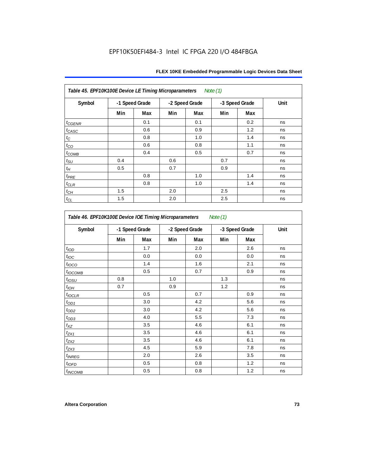| Table 45. EPF10K100E Device LE Timing Microparameters Note (1) |                |     |     |                |     |                |      |  |  |
|----------------------------------------------------------------|----------------|-----|-----|----------------|-----|----------------|------|--|--|
| Symbol                                                         | -1 Speed Grade |     |     | -2 Speed Grade |     | -3 Speed Grade | Unit |  |  |
|                                                                | Min            | Max | Min | Max            | Min | Max            |      |  |  |
| $t_{GENR}$                                                     |                | 0.1 |     | 0.1            |     | 0.2            | ns   |  |  |
| $t_{CASC}$                                                     |                | 0.6 |     | 0.9            |     | 1.2            | ns   |  |  |
| $t_{\rm C}$                                                    |                | 0.8 |     | 1.0            |     | 1.4            | ns   |  |  |
| $t_{CO}$                                                       |                | 0.6 |     | 0.8            |     | 1.1            | ns   |  |  |
| $t_{COMB}$                                                     |                | 0.4 |     | 0.5            |     | 0.7            | ns   |  |  |
| $t_{\text{SU}}$                                                | 0.4            |     | 0.6 |                | 0.7 |                | ns   |  |  |
| $t_H\,$                                                        | 0.5            |     | 0.7 |                | 0.9 |                | ns   |  |  |
| $t_{PRE}$                                                      |                | 0.8 |     | 1.0            |     | 1.4            | ns   |  |  |
| $t_{\mathrm{CLR}}$                                             |                | 0.8 |     | 1.0            |     | 1.4            | ns   |  |  |
| $t_{\mathit{CH}}$                                              | 1.5            |     | 2.0 |                | 2.5 |                | ns   |  |  |
| $t_{CL}$                                                       | 1.5            |     | 2.0 |                | 2.5 |                | ns   |  |  |

| Symbol                   |     | -1 Speed Grade |     | -2 Speed Grade | -3 Speed Grade |     | Unit |
|--------------------------|-----|----------------|-----|----------------|----------------|-----|------|
|                          | Min | Max            | Min | Max            | Min            | Max |      |
| t <sub>IOD</sub>         |     | 1.7            |     | 2.0            |                | 2.6 | ns   |
| $t_{\text{loc}}$         |     | 0.0            |     | 0.0            |                | 0.0 | ns   |
| $t_{\text{IOCO}}$        |     | 1.4            |     | 1.6            |                | 2.1 | ns   |
| t <sub>IOCOMB</sub>      |     | 0.5            |     | 0.7            |                | 0.9 | ns   |
| $t_{IOSU}$               | 0.8 |                | 1.0 |                | 1.3            |     | ns   |
| $t_{IOH}$                | 0.7 |                | 0.9 |                | 1.2            |     | ns   |
| $t_{IOCLR}$              |     | 0.5            |     | 0.7            |                | 0.9 | ns   |
| $t_{OD1}$                |     | 3.0            |     | 4.2            |                | 5.6 | ns   |
| $t_{OD2}$                |     | 3.0            |     | 4.2            |                | 5.6 | ns   |
| $t_{OD3}$                |     | 4.0            |     | 5.5            |                | 7.3 | ns   |
| $t_{\mathsf{XZ}}$        |     | 3.5            |     | 4.6            |                | 6.1 | ns   |
| $t_{ZX1}$                |     | 3.5            |     | 4.6            |                | 6.1 | ns   |
| $t_{ZX2}$                |     | 3.5            |     | 4.6            |                | 6.1 | ns   |
| $t_{ZX3}$                |     | 4.5            |     | 5.9            |                | 7.8 | ns   |
| <i>t<sub>INREG</sub></i> |     | 2.0            |     | 2.6            |                | 3.5 | ns   |
| $t_{IOED}$               |     | 0.5            |     | 0.8            |                | 1.2 | ns   |
| <sup>t</sup> INCOMB      |     | 0.5            |     | 0.8            |                | 1.2 | ns   |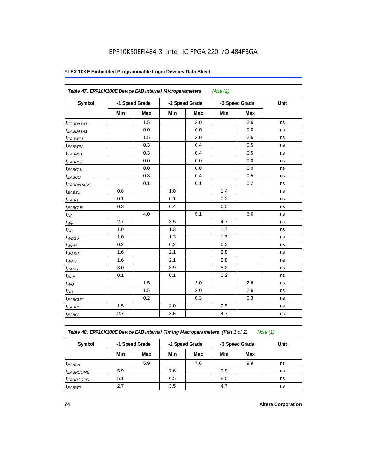#### **FLEX 10KE Embedded Programmable Logic Devices Data Sheet**

| Table 47. EPF10K100E Device EAB Internal Microparameters |     |                |     |                | Note $(1)$ |                |      |
|----------------------------------------------------------|-----|----------------|-----|----------------|------------|----------------|------|
| Symbol                                                   |     | -1 Speed Grade |     | -2 Speed Grade |            | -3 Speed Grade | Unit |
|                                                          | Min | Max            | Min | Max            | Min        | Max            |      |
| $t_{EABDATA1}$                                           |     | 1.5            |     | 2.0            |            | 2.6            | ns   |
| $t_{EABDATA1}$                                           |     | 0.0            |     | 0.0            |            | 0.0            | ns   |
| t <sub>EABWE1</sub>                                      |     | 1.5            |     | 2.0            |            | 2.6            | ns   |
| <sup>t</sup> EABWE2                                      |     | 0.3            |     | 0.4            |            | 0.5            | ns   |
| <sup>t</sup> EABRE1                                      |     | 0.3            |     | 0.4            |            | 0.5            | ns   |
| t <sub>EABRE2</sub>                                      |     | 0.0            |     | 0.0            |            | 0.0            | ns   |
| <sup>t</sup> EABCLK                                      |     | 0.0            |     | 0.0            |            | 0.0            | ns   |
| t <sub>EABCO</sub>                                       |     | 0.3            |     | 0.4            |            | 0.5            | ns   |
| t <sub>EABBYPASS</sub>                                   |     | 0.1            |     | 0.1            |            | 0.2            | ns   |
| t <sub>EABSU</sub>                                       | 0.8 |                | 1.0 |                | 1.4        |                | ns   |
| $t_{EABH}$                                               | 0.1 |                | 0.1 |                | 0.2        |                | ns   |
| <sup>t</sup> EABCLR                                      | 0.3 |                | 0.4 |                | 0.5        |                | ns   |
| $t_{AA}$                                                 |     | 4.0            |     | 5.1            |            | 6.6            | ns   |
| $t_{WP}$                                                 | 2.7 |                | 3.5 |                | 4.7        |                | ns   |
| $t_{\mathsf{RP}}$                                        | 1.0 |                | 1.3 |                | 1.7        |                | ns   |
| $t_{WDSU}$                                               | 1.0 |                | 1.3 |                | 1.7        |                | ns   |
| $t_{WDH}$                                                | 0.2 |                | 0.2 |                | 0.3        |                | ns   |
| $t_{WASU}$                                               | 1.6 |                | 2.1 |                | 2.8        |                | ns   |
| $t_{WAH}$                                                | 1.6 |                | 2.1 |                | 2.8        |                | ns   |
| $t_{RASU}$                                               | 3.0 |                | 3.9 |                | 5.2        |                | ns   |
| $t_{RAH}$                                                | 0.1 |                | 0.1 |                | 0.2        |                | ns   |
| $t_{WO}$                                                 |     | 1.5            |     | 2.0            |            | 2.6            | ns   |
| $t_{DD}$                                                 |     | 1.5            |     | 2.0            |            | 2.6            | ns   |
| t <sub>EABOUT</sub>                                      |     | 0.2            |     | 0.3            |            | 0.3            | ns   |
| t <sub>EABCH</sub>                                       | 1.5 |                | 2.0 |                | 2.5        |                | ns   |
| $t_{EABCL}$                                              | 2.7 |                | 3.5 |                | 4.7        |                | ns   |

*Table 48. EPF10K100E Device EAB Internal Timing Macroparameters (Part 1 of 2) Note (1)*

| Symbol                | -1 Speed Grade |     |     | -2 Speed Grade |     | -3 Speed Grade | Unit |
|-----------------------|----------------|-----|-----|----------------|-----|----------------|------|
|                       | Min            | Max | Min | Max            | Min | Max            |      |
| $t_{EABA}$            |                | 5.9 |     | 7.6            |     | 9.9            | ns   |
| <sup>t</sup> EABRCOMB | 5.9            |     | 7.6 |                | 9.9 |                | ns   |
| <sup>t</sup> EABRCREG | 5.1            |     | 6.5 |                | 8.5 |                | ns   |
| <sup>t</sup> EABWP    | 2.7            |     | 3.5 |                | 4.7 |                | ns   |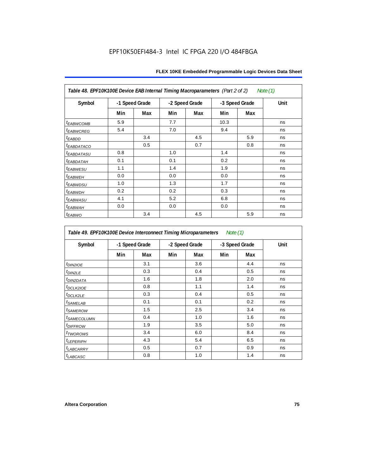| Table 48. EPF10K100E Device EAB Internal Timing Macroparameters (Part 2 of 2)<br>Note (1) |                |     |                |     |                |     |      |  |  |  |  |
|-------------------------------------------------------------------------------------------|----------------|-----|----------------|-----|----------------|-----|------|--|--|--|--|
| Symbol                                                                                    | -1 Speed Grade |     | -2 Speed Grade |     | -3 Speed Grade |     | Unit |  |  |  |  |
|                                                                                           | Min            | Max | Min            | Max | Min            | Max |      |  |  |  |  |
| <i><b>EABWCOMB</b></i>                                                                    | 5.9            |     | 7.7            |     | 10.3           |     | ns   |  |  |  |  |
| <sup>t</sup> EABWCREG                                                                     | 5.4            |     | 7.0            |     | 9.4            |     | ns   |  |  |  |  |
| <sup>t</sup> EABDD                                                                        |                | 3.4 |                | 4.5 |                | 5.9 | ns   |  |  |  |  |
| <b><i>EABDATACO</i></b>                                                                   |                | 0.5 |                | 0.7 |                | 0.8 | ns   |  |  |  |  |
| <sup>t</sup> EABDATASU                                                                    | 0.8            |     | 1.0            |     | 1.4            |     | ns   |  |  |  |  |
| <sup>t</sup> EABDATAH                                                                     | 0.1            |     | 0.1            |     | 0.2            |     | ns   |  |  |  |  |
| t <sub>EABWESU</sub>                                                                      | 1.1            |     | 1.4            |     | 1.9            |     | ns   |  |  |  |  |
| <sup>t</sup> EABWEH                                                                       | 0.0            |     | 0.0            |     | 0.0            |     | ns   |  |  |  |  |
| <sup>t</sup> EABWDSU                                                                      | 1.0            |     | 1.3            |     | 1.7            |     | ns   |  |  |  |  |
| <sup>t</sup> EABWDH                                                                       | 0.2            |     | 0.2            |     | 0.3            |     | ns   |  |  |  |  |
| <sup>t</sup> EABWASU                                                                      | 4.1            |     | 5.2            |     | 6.8            |     | ns   |  |  |  |  |
| <sup>t</sup> ЕАВWАН                                                                       | 0.0            |     | 0.0            |     | 0.0            |     | ns   |  |  |  |  |
| t <sub>EABWO</sub>                                                                        |                | 3.4 |                | 4.5 |                | 5.9 | ns   |  |  |  |  |

*Table 49. EPF10K100E Device Interconnect Timing Microparameters Note (1)*

| Symbol                  |     | -1 Speed Grade |     | -2 Speed Grade |     | -3 Speed Grade | Unit |
|-------------------------|-----|----------------|-----|----------------|-----|----------------|------|
|                         | Min | Max            | Min | Max            | Min | Max            |      |
| $t_{DINZIOE}$           |     | 3.1            |     | 3.6            |     | 4.4            | ns   |
| t <sub>DIN2LE</sub>     |     | 0.3            |     | 0.4            |     | 0.5            | ns   |
| <sup>t</sup> DIN2DATA   |     | 1.6            |     | 1.8            |     | 2.0            | ns   |
| $t$ DCLK2IOE            |     | 0.8            |     | 1.1            |     | 1.4            | ns   |
| t <sub>DCLK2LE</sub>    |     | 0.3            |     | 0.4            |     | 0.5            | ns   |
| <sup>t</sup> SAMELAB    |     | 0.1            |     | 0.1            |     | 0.2            | ns   |
| <sup>t</sup> SAMEROW    |     | 1.5            |     | 2.5            |     | 3.4            | ns   |
| <sup>t</sup> SAMECOLUMN |     | 0.4            |     | 1.0            |     | 1.6            | ns   |
| <i><b>LDIFFROW</b></i>  |     | 1.9            |     | 3.5            |     | 5.0            | ns   |
| t <sub>TWOROWS</sub>    |     | 3.4            |     | 6.0            |     | 8.4            | ns   |
| <sup>t</sup> LEPERIPH   |     | 4.3            |     | 5.4            |     | 6.5            | ns   |
| <b>LABCARRY</b>         |     | 0.5            |     | 0.7            |     | 0.9            | ns   |
| <sup>t</sup> LABCASC    |     | 0.8            |     | 1.0            |     | 1.4            | ns   |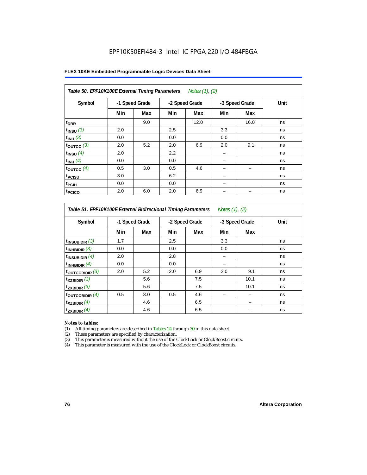#### **FLEX 10KE Embedded Programmable Logic Devices Data Sheet**

| Table 50. EPF10K100E External Timing Parameters Notes (1), (2) |     |                |     |                |     |                |      |  |  |  |
|----------------------------------------------------------------|-----|----------------|-----|----------------|-----|----------------|------|--|--|--|
| Symbol                                                         |     | -1 Speed Grade |     | -2 Speed Grade |     | -3 Speed Grade | Unit |  |  |  |
|                                                                | Min | Max            | Min | Max            | Min | Max            |      |  |  |  |
| t <sub>DRR</sub>                                               |     | 9.0            |     | 12.0           |     | 16.0           | ns   |  |  |  |
| $t_{INSU}$ (3)                                                 | 2.0 |                | 2.5 |                | 3.3 |                | ns   |  |  |  |
| $t_{INH}$ (3)                                                  | 0.0 |                | 0.0 |                | 0.0 |                | ns   |  |  |  |
| $t_{OUTCO}$ (3)                                                | 2.0 | 5.2            | 2.0 | 6.9            | 2.0 | 9.1            | ns   |  |  |  |
| $t_{INSU}$ (4)                                                 | 2.0 |                | 2.2 |                |     |                | ns   |  |  |  |
| $t_{INH}$ (4)                                                  | 0.0 |                | 0.0 |                |     |                | ns   |  |  |  |
| $t_{OUTCO}$ (4)                                                | 0.5 | 3.0            | 0.5 | 4.6            |     |                | ns   |  |  |  |
| t <sub>PCISU</sub>                                             | 3.0 |                | 6.2 |                |     |                | ns   |  |  |  |
| t <sub>PCIH</sub>                                              | 0.0 |                | 0.0 |                | -   |                | ns   |  |  |  |
| <sup>t</sup> PCICO                                             | 2.0 | 6.0            | 2.0 | 6.9            |     |                | ns   |  |  |  |

#### *Table 51. EPF10K100E External Bidirectional Timing Parameters Notes (1), (2)*

| Symbol                      | -1 Speed Grade |     |     | -2 Speed Grade |     | -3 Speed Grade | Unit |
|-----------------------------|----------------|-----|-----|----------------|-----|----------------|------|
|                             | Min            | Max | Min | Max            | Min | Max            |      |
| $t_{INSUBIDIR}$ (3)         | 1.7            |     | 2.5 |                | 3.3 |                | ns   |
| $t_{INHBIDIR}$ (3)          | 0.0            |     | 0.0 |                | 0.0 |                | ns   |
| $t_{INSUBIDIR}(4)$          | 2.0            |     | 2.8 |                |     |                | ns   |
| $t_{INHBIDIR}$ $(4)$        | 0.0            |     | 0.0 |                |     |                | ns   |
| $t_{\text{OUTCOBIDIR}}(3)$  | 2.0            | 5.2 | 2.0 | 6.9            | 2.0 | 9.1            | ns   |
| $t_{XZBIDIR}$ (3)           |                | 5.6 |     | 7.5            |     | 10.1           | ns   |
| $t_{ZXBIDIR}$ (3)           |                | 5.6 |     | 7.5            |     | 10.1           | ns   |
| $t_{\text{OUTCOBIDIR}}$ (4) | 0.5            | 3.0 | 0.5 | 4.6            |     |                | ns   |
| $t_{XZBIDIR}$ (4)           |                | 4.6 |     | 6.5            |     |                | ns   |
| $t_{ZXBIDIR}$ (4)           |                | 4.6 |     | 6.5            |     |                | ns   |

#### *Notes to tables:*

(1) All timing parameters are described in Tables 24 through 30 in this data sheet.

(2) These parameters are specified by characterization.

(3) This parameter is measured without the use of the ClockLock or ClockBoost circuits.

(4) This parameter is measured with the use of the ClockLock or ClockBoost circuits.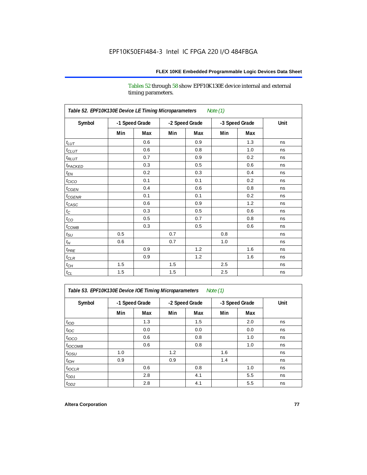Tables 52 through 58 show EPF10K130E device internal and external timing parameters.

| Table 52. EPF10K130E Device LE Timing Microparameters<br><b>Note (1)</b> |     |                |     |                |     |                |      |  |  |
|--------------------------------------------------------------------------|-----|----------------|-----|----------------|-----|----------------|------|--|--|
| Symbol                                                                   |     | -1 Speed Grade |     | -2 Speed Grade |     | -3 Speed Grade | Unit |  |  |
|                                                                          | Min | Max            | Min | Max            | Min | Max            |      |  |  |
| $t_{LUT}$                                                                |     | 0.6            |     | 0.9            |     | 1.3            | ns   |  |  |
| $t_{CLUT}$                                                               |     | 0.6            |     | 0.8            |     | 1.0            | ns   |  |  |
| $t_{RLUT}$                                                               |     | 0.7            |     | 0.9            |     | 0.2            | ns   |  |  |
| t <sub>PACKED</sub>                                                      |     | 0.3            |     | 0.5            |     | 0.6            | ns   |  |  |
| $t_{EN}$                                                                 |     | 0.2            |     | 0.3            |     | 0.4            | ns   |  |  |
| $t_{CICO}$                                                               |     | 0.1            |     | 0.1            |     | 0.2            | ns   |  |  |
| $t_{CGEN}$                                                               |     | 0.4            |     | 0.6            |     | 0.8            | ns   |  |  |
| $t_{CGENR}$                                                              |     | 0.1            |     | 0.1            |     | 0.2            | ns   |  |  |
| $t_{CASC}$                                                               |     | 0.6            |     | 0.9            |     | 1.2            | ns   |  |  |
| $t_{\rm C}$                                                              |     | 0.3            |     | 0.5            |     | 0.6            | ns   |  |  |
| $t_{CO}$                                                                 |     | 0.5            |     | 0.7            |     | 0.8            | ns   |  |  |
| $t_{\text{COMB}}$                                                        |     | 0.3            |     | 0.5            |     | 0.6            | ns   |  |  |
| $t_{\rm SU}$                                                             | 0.5 |                | 0.7 |                | 0.8 |                | ns   |  |  |
| $t_H$                                                                    | 0.6 |                | 0.7 |                | 1.0 |                | ns   |  |  |
| $t_{PRE}$                                                                |     | 0.9            |     | 1.2            |     | 1.6            | ns   |  |  |
| $t_{CLR}$                                                                |     | 0.9            |     | 1.2            |     | 1.6            | ns   |  |  |
| $t_{CH}$                                                                 | 1.5 |                | 1.5 |                | 2.5 |                | ns   |  |  |
| $t_{\rm CL}$                                                             | 1.5 |                | 1.5 |                | 2.5 |                | ns   |  |  |

*Table 53. EPF10K130E Device IOE Timing Microparameters Note (1)*

| Symbol           |     | -1 Speed Grade |     | -2 Speed Grade |     | -3 Speed Grade | Unit |  |
|------------------|-----|----------------|-----|----------------|-----|----------------|------|--|
|                  | Min | Max            | Min | Max            | Min | Max            |      |  |
| t <sub>IOD</sub> |     | 1.3            |     | 1.5            |     | 2.0            | ns   |  |
| $t_{\text{IOC}}$ |     | 0.0            |     | 0.0            |     | 0.0            | ns   |  |
| $t_{IOCO}$       |     | 0.6            |     | 0.8            |     | 1.0            | ns   |  |
| $t_{IOCOMB}$     |     | 0.6            |     | 0.8            |     | 1.0            | ns   |  |
| $t_{IOSU}$       | 1.0 |                | 1.2 |                | 1.6 |                | ns   |  |
| $t_{IOH}$        | 0.9 |                | 0.9 |                | 1.4 |                | ns   |  |
| $t_{IOCLR}$      |     | 0.6            |     | 0.8            |     | 1.0            | ns   |  |
| $t_{OD1}$        |     | 2.8            |     | 4.1            |     | 5.5            | ns   |  |
| $t_{OD2}$        |     | 2.8            |     | 4.1            |     | 5.5            | ns   |  |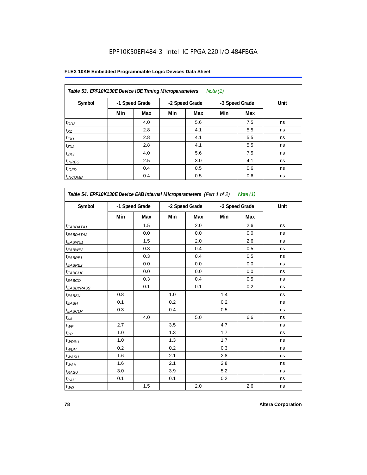# **FLEX 10KE Embedded Programmable Logic Devices Data Sheet**

| Table 53. EPF10K130E Device IOE Timing Microparameters<br>Note $(1)$ |                |     |     |                |     |                |      |  |  |  |  |
|----------------------------------------------------------------------|----------------|-----|-----|----------------|-----|----------------|------|--|--|--|--|
| Symbol                                                               | -1 Speed Grade |     |     | -2 Speed Grade |     | -3 Speed Grade | Unit |  |  |  |  |
|                                                                      | Min            | Max | Min | Max            | Min | Max            |      |  |  |  |  |
| $t_{OD3}$                                                            |                | 4.0 |     | 5.6            |     | 7.5            | ns   |  |  |  |  |
| $t_{XZ}$                                                             |                | 2.8 |     | 4.1            |     | 5.5            | ns   |  |  |  |  |
| $t_{ZX1}$                                                            |                | 2.8 |     | 4.1            |     | 5.5            | ns   |  |  |  |  |
| $t_{ZX2}$                                                            |                | 2.8 |     | 4.1            |     | 5.5            | ns   |  |  |  |  |
| $t_{ZX3}$                                                            |                | 4.0 |     | 5.6            |     | 7.5            | ns   |  |  |  |  |
| $t_{INREG}$                                                          |                | 2.5 |     | 3.0            |     | 4.1            | ns   |  |  |  |  |
| $t_{IOFD}$                                                           |                | 0.4 |     | 0.5            |     | 0.6            | ns   |  |  |  |  |
| $t_{INCOMB}$                                                         |                | 0.4 |     | 0.5            |     | 0.6            | ns   |  |  |  |  |

| Table 54. EPF10K130E Device EAB Internal Microparameters (Part 1 of 2) Note (1) |                |     |                |     |                |     |      |
|---------------------------------------------------------------------------------|----------------|-----|----------------|-----|----------------|-----|------|
| Symbol                                                                          | -1 Speed Grade |     | -2 Speed Grade |     | -3 Speed Grade |     | Unit |
|                                                                                 | Min            | Max | Min            | Max | Min            | Max |      |
| <sup>t</sup> EABDATA1                                                           |                | 1.5 |                | 2.0 |                | 2.6 | ns   |
| t <sub>EABDATA2</sub>                                                           |                | 0.0 |                | 0.0 |                | 0.0 | ns   |
| t <sub>EABWE1</sub>                                                             |                | 1.5 |                | 2.0 |                | 2.6 | ns   |
| <sup>t</sup> EABWE2                                                             |                | 0.3 |                | 0.4 |                | 0.5 | ns   |
| t <sub>EABRE1</sub>                                                             |                | 0.3 |                | 0.4 |                | 0.5 | ns   |
| t <sub>EABRE2</sub>                                                             |                | 0.0 |                | 0.0 |                | 0.0 | ns   |
| t <sub>EABCLK</sub>                                                             |                | 0.0 |                | 0.0 |                | 0.0 | ns   |
| t <sub>EABCO</sub>                                                              |                | 0.3 |                | 0.4 |                | 0.5 | ns   |
| t <sub>EABBYPASS</sub>                                                          |                | 0.1 |                | 0.1 |                | 0.2 | ns   |
| $t_{EABSU}$                                                                     | 0.8            |     | 1.0            |     | 1.4            |     | ns   |
| t <sub>EABH</sub>                                                               | 0.1            |     | 0.2            |     | 0.2            |     | ns   |
| $t_{EABCLR}$                                                                    | 0.3            |     | 0.4            |     | 0.5            |     | ns   |
| $t_{\mathcal{A}\mathcal{A}}$                                                    |                | 4.0 |                | 5.0 |                | 6.6 | ns   |
| $t_{\mathcal{WP}}$                                                              | 2.7            |     | 3.5            |     | 4.7            |     | ns   |
| $t_{RP}$                                                                        | 1.0            |     | 1.3            |     | 1.7            |     | ns   |
| $t_{WDSU}$                                                                      | 1.0            |     | 1.3            |     | 1.7            |     | ns   |
| $t_{WDH}$                                                                       | 0.2            |     | 0.2            |     | 0.3            |     | ns   |
| $t_{WASU}$                                                                      | 1.6            |     | 2.1            |     | 2.8            |     | ns   |
| $t_{WAH}$                                                                       | 1.6            |     | 2.1            |     | 2.8            |     | ns   |
| $t_{RASU}$                                                                      | 3.0            |     | 3.9            |     | 5.2            |     | ns   |
| $t_{RAH}$                                                                       | 0.1            |     | 0.1            |     | 0.2            |     | ns   |
| $t_{WO}$                                                                        |                | 1.5 |                | 2.0 |                | 2.6 | ns   |

**78 Altera Corporation**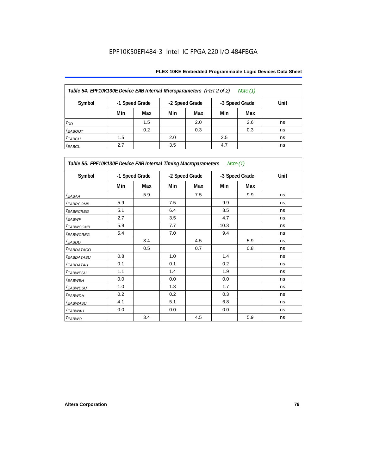| Table 54. EPF10K130E Device EAB Internal Microparameters (Part 2 of 2)<br>Note (1) |                                                    |     |     |     |     |     |      |  |  |  |  |
|------------------------------------------------------------------------------------|----------------------------------------------------|-----|-----|-----|-----|-----|------|--|--|--|--|
| Symbol                                                                             | -1 Speed Grade<br>-2 Speed Grade<br>-3 Speed Grade |     |     |     |     |     | Unit |  |  |  |  |
|                                                                                    | Min                                                | Max | Min | Max | Min | Max |      |  |  |  |  |
| $t_{DD}$                                                                           |                                                    | 1.5 |     | 2.0 |     | 2.6 | ns   |  |  |  |  |
| <b><i>EABOUT</i></b>                                                               |                                                    | 0.2 |     | 0.3 |     | 0.3 | ns   |  |  |  |  |
| $t_{EABCH}$                                                                        | 1.5                                                |     | 2.0 |     | 2.5 |     | ns   |  |  |  |  |
| $t_{EABCL}$                                                                        | 2.7                                                |     | 3.5 |     | 4.7 |     | ns   |  |  |  |  |

| Table 55. EPF10K130E Device EAB Internal Timing Macroparameters Note (1) |     |                |     |                |      |                |             |  |  |
|--------------------------------------------------------------------------|-----|----------------|-----|----------------|------|----------------|-------------|--|--|
| Symbol                                                                   |     | -1 Speed Grade |     | -2 Speed Grade |      | -3 Speed Grade | <b>Unit</b> |  |  |
|                                                                          | Min | Max            | Min | Max            | Min  | Max            |             |  |  |
| $t_{EABA}$                                                               |     | 5.9            |     | 7.5            |      | 9.9            | ns          |  |  |
| <sup>t</sup> EABRCOMB                                                    | 5.9 |                | 7.5 |                | 9.9  |                | ns          |  |  |
| <b><i>EABROREG</i></b>                                                   | 5.1 |                | 6.4 |                | 8.5  |                | ns          |  |  |
| t <sub>EABWP</sub>                                                       | 2.7 |                | 3.5 |                | 4.7  |                | ns          |  |  |
| <sup>t</sup> EABWCOMB                                                    | 5.9 |                | 7.7 |                | 10.3 |                | ns          |  |  |
| <sup>t</sup> EABWCREG                                                    | 5.4 |                | 7.0 |                | 9.4  |                | ns          |  |  |
| <sup>t</sup> EABDD                                                       |     | 3.4            |     | 4.5            |      | 5.9            | ns          |  |  |
| <sup>t</sup> EABDATACO                                                   |     | 0.5            |     | 0.7            |      | 0.8            | ns          |  |  |
| <sup>t</sup> EABDATASU                                                   | 0.8 |                | 1.0 |                | 1.4  |                | ns          |  |  |
| <sup>t</sup> EABDATAH                                                    | 0.1 |                | 0.1 |                | 0.2  |                | ns          |  |  |
| <sup>t</sup> EABWESU                                                     | 1.1 |                | 1.4 |                | 1.9  |                | ns          |  |  |
| <sup>t</sup> EABWEH                                                      | 0.0 |                | 0.0 |                | 0.0  |                | ns          |  |  |
| <sup>t</sup> EABWDSU                                                     | 1.0 |                | 1.3 |                | 1.7  |                | ns          |  |  |
| <sup>t</sup> EABWDH                                                      | 0.2 |                | 0.2 |                | 0.3  |                | ns          |  |  |
| <sup>t</sup> EABWASU                                                     | 4.1 |                | 5.1 |                | 6.8  |                | ns          |  |  |
| <sup>t</sup> EABWAH                                                      | 0.0 |                | 0.0 |                | 0.0  |                | ns          |  |  |
| t <sub>EABWO</sub>                                                       |     | 3.4            |     | 4.5            |      | 5.9            | ns          |  |  |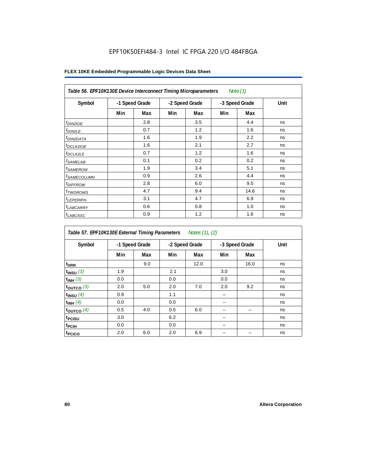| Table 56. EPF10K130E Device Interconnect Timing Microparameters<br>Note $(1)$ |                |     |                |     |                |      |      |  |  |  |
|-------------------------------------------------------------------------------|----------------|-----|----------------|-----|----------------|------|------|--|--|--|
| Symbol                                                                        | -1 Speed Grade |     | -2 Speed Grade |     | -3 Speed Grade |      | Unit |  |  |  |
|                                                                               | Min            | Max | Min            | Max | Min            | Max  |      |  |  |  |
| $t_{DIN2IOE}$                                                                 |                | 2.8 |                | 3.5 |                | 4.4  | ns   |  |  |  |
| $t_{DIN2LE}$                                                                  |                | 0.7 |                | 1.2 |                | 1.6  | ns   |  |  |  |
| <sup>t</sup> DIN2DATA                                                         |                | 1.6 |                | 1.9 |                | 2.2  | ns   |  |  |  |
| $t_{DCLK2IOE}$                                                                |                | 1.6 |                | 2.1 |                | 2.7  | ns   |  |  |  |
| <sup>t</sup> DCLK2LE                                                          |                | 0.7 |                | 1.2 |                | 1.6  | ns   |  |  |  |
| <sup>t</sup> SAMELAB                                                          |                | 0.1 |                | 0.2 |                | 0.2  | ns   |  |  |  |
| <i>t</i> SAMEROW                                                              |                | 1.9 |                | 3.4 |                | 5.1  | ns   |  |  |  |
| <sup>t</sup> SAMECOLUMN                                                       |                | 0.9 |                | 2.6 |                | 4.4  | ns   |  |  |  |
| <i>t<sub>DIFFROW</sub></i>                                                    |                | 2.8 |                | 6.0 |                | 9.5  | ns   |  |  |  |
| <sup>t</sup> TWOROWS                                                          |                | 4.7 |                | 9.4 |                | 14.6 | ns   |  |  |  |
| <sup>t</sup> LEPERIPH                                                         |                | 3.1 |                | 4.7 |                | 6.9  | ns   |  |  |  |
| <sup>t</sup> LABCARRY                                                         |                | 0.6 |                | 0.8 |                | 1.0  | ns   |  |  |  |
| t <sub>LABCASC</sub>                                                          |                | 0.9 |                | 1.2 |                | 1.6  | ns   |  |  |  |

| Table 57. EPF10K130E External Timing Parameters Notes (1), (2) |                |     |     |                |     |                |      |  |  |  |
|----------------------------------------------------------------|----------------|-----|-----|----------------|-----|----------------|------|--|--|--|
| Symbol                                                         | -1 Speed Grade |     |     | -2 Speed Grade |     | -3 Speed Grade | Unit |  |  |  |
|                                                                | Min            | Max | Min | Max            | Min | Max            |      |  |  |  |
| t <sub>DRR</sub>                                               |                | 9.0 |     | 12.0           |     | 16.0           | ns   |  |  |  |
| $t_{INSU}$ (3)                                                 | 1.9            |     | 2.1 |                | 3.0 |                | ns   |  |  |  |
| $t_{INH}$ (3)                                                  | 0.0            |     | 0.0 |                | 0.0 |                | ns   |  |  |  |
| $t_{OUTCO}$ (3)                                                | 2.0            | 5.0 | 2.0 | 7.0            | 2.0 | 9.2            | ns   |  |  |  |
| $t_{INSU}$ (4)                                                 | 0.9            |     | 1.1 |                |     |                | ns   |  |  |  |
| $t_{INH}$ (4)                                                  | 0.0            |     | 0.0 |                |     |                | ns   |  |  |  |
| toutco $(4)$                                                   | 0.5            | 4.0 | 0.5 | 6.0            |     |                | ns   |  |  |  |
| t <sub>PCISU</sub>                                             | 3.0            |     | 6.2 |                |     |                | ns   |  |  |  |
| <sup>t</sup> PCIH                                              | 0.0            |     | 0.0 |                |     |                | ns   |  |  |  |
| t <sub>PCICO</sub>                                             | 2.0            | 6.0 | 2.0 | 6.9            |     |                | ns   |  |  |  |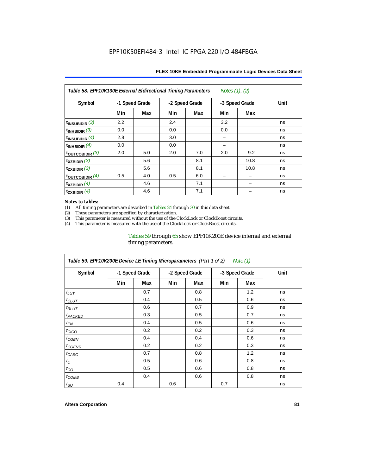| Table 58. EPF10K130E External Bidirectional Timing Parameters<br>Notes $(1)$ , $(2)$ |                |     |     |                |     |                |      |  |  |  |
|--------------------------------------------------------------------------------------|----------------|-----|-----|----------------|-----|----------------|------|--|--|--|
| Symbol                                                                               | -1 Speed Grade |     |     | -2 Speed Grade |     | -3 Speed Grade | Unit |  |  |  |
|                                                                                      | Min            | Max | Min | Max            | Min | Max            |      |  |  |  |
| $t_{INSUBIDIR}$ (3)                                                                  | 2.2            |     | 2.4 |                | 3.2 |                | ns   |  |  |  |
| $t_{INHBIDIR}$ (3)                                                                   | 0.0            |     | 0.0 |                | 0.0 |                | ns   |  |  |  |
| t <sub>INSUBIDIR</sub> $(4)$                                                         | 2.8            |     | 3.0 |                |     |                | ns   |  |  |  |
| $t_{INHBIDIR}$ (4)                                                                   | 0.0            |     | 0.0 |                |     |                | ns   |  |  |  |
| toutcobidir $(3)$                                                                    | 2.0            | 5.0 | 2.0 | 7.0            | 2.0 | 9.2            | ns   |  |  |  |
| $\mathsf{t}_{\texttt{XZBIDIR}}(3)$                                                   |                | 5.6 |     | 8.1            |     | 10.8           | ns   |  |  |  |
| $t_{ZXBIDIR}$ (3)                                                                    |                | 5.6 |     | 8.1            |     | 10.8           | ns   |  |  |  |
| toutcobidir $(4)$                                                                    | 0.5            | 4.0 | 0.5 | 6.0            |     |                | ns   |  |  |  |
| $t_{XZBIDIR}$ (4)                                                                    |                | 4.6 |     | 7.1            |     |                | ns   |  |  |  |
| $t_{ZXBIDIR}$ (4)                                                                    |                | 4.6 |     | 7.1            |     |                | ns   |  |  |  |

#### *Notes to tables:*

(1) All timing parameters are described in Tables 24 through 30 in this data sheet.<br>(2) These parameters are specified by characterization.

(2) These parameters are specified by characterization.<br>
(3) This parameter is measured without the use of the C

This parameter is measured without the use of the ClockLock or ClockBoost circuits.

(4) This parameter is measured with the use of the ClockLock or ClockBoost circuits.

#### Tables 59 through 65 show EPF10K200E device internal and external timing parameters.

| Table 59. EPF10K200E Device LE Timing Microparameters (Part 1 of 2) Note (1) |     |                |                |     |                |     |             |  |  |
|------------------------------------------------------------------------------|-----|----------------|----------------|-----|----------------|-----|-------------|--|--|
| Symbol                                                                       |     | -1 Speed Grade | -2 Speed Grade |     | -3 Speed Grade |     | <b>Unit</b> |  |  |
|                                                                              | Min | Max            | Min            | Max | Min            | Max |             |  |  |
| $t_{LUT}$                                                                    |     | 0.7            |                | 0.8 |                | 1.2 | ns          |  |  |
| $t_{CLUT}$                                                                   |     | 0.4            |                | 0.5 |                | 0.6 | ns          |  |  |
| $t_{RLUT}$                                                                   |     | 0.6            |                | 0.7 |                | 0.9 | ns          |  |  |
| <sup>t</sup> PACKED                                                          |     | 0.3            |                | 0.5 |                | 0.7 | ns          |  |  |
| $t_{EN}$                                                                     |     | 0.4            |                | 0.5 |                | 0.6 | ns          |  |  |
| $t_{CICO}$                                                                   |     | 0.2            |                | 0.2 |                | 0.3 | ns          |  |  |
| $t_{CGEN}$                                                                   |     | 0.4            |                | 0.4 |                | 0.6 | ns          |  |  |
| t <sub>CGENR</sub>                                                           |     | 0.2            |                | 0.2 |                | 0.3 | ns          |  |  |
| $t_{CASC}$                                                                   |     | 0.7            |                | 0.8 |                | 1.2 | ns          |  |  |
| $t_{\rm C}$                                                                  |     | 0.5            |                | 0.6 |                | 0.8 | ns          |  |  |
| $t_{CO}$                                                                     |     | 0.5            |                | 0.6 |                | 0.8 | ns          |  |  |
| $t_{COMB}$                                                                   |     | 0.4            |                | 0.6 |                | 0.8 | ns          |  |  |
| $t_{\rm SU}$                                                                 | 0.4 |                | 0.6            |     | 0.7            |     | ns          |  |  |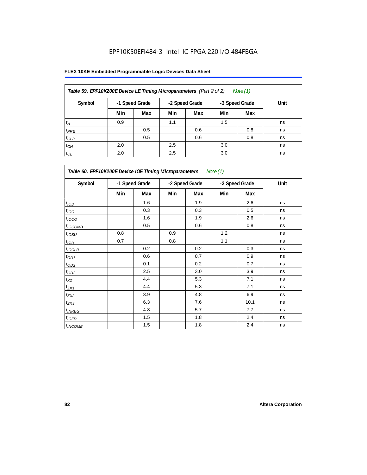| Table 59. EPF10K200E Device LE Timing Microparameters (Part 2 of 2)<br>Note (1) |     |                |                |     |                |     |      |  |  |  |
|---------------------------------------------------------------------------------|-----|----------------|----------------|-----|----------------|-----|------|--|--|--|
| Symbol                                                                          |     | -1 Speed Grade | -2 Speed Grade |     | -3 Speed Grade |     | Unit |  |  |  |
|                                                                                 | Min | Max            | Min            | Max | Min            | Max |      |  |  |  |
| $t_H$                                                                           | 0.9 |                | 1.1            |     | 1.5            |     | ns   |  |  |  |
| $t_{PRE}$                                                                       |     | 0.5            |                | 0.6 |                | 0.8 | ns   |  |  |  |
| $t_{CLR}$                                                                       |     | 0.5            |                | 0.6 |                | 0.8 | ns   |  |  |  |
| $t_{CH}$                                                                        | 2.0 |                | 2.5            |     | 3.0            |     | ns   |  |  |  |
| $t_{CL}$                                                                        | 2.0 |                | 2.5            |     | 3.0            |     | ns   |  |  |  |

| Table 60. EPF10K200E Device IOE Timing Microparameters<br>Note (1) |                |     |                |     |                |      |      |  |  |
|--------------------------------------------------------------------|----------------|-----|----------------|-----|----------------|------|------|--|--|
| Symbol                                                             | -1 Speed Grade |     | -2 Speed Grade |     | -3 Speed Grade |      | Unit |  |  |
|                                                                    | Min            | Max | Min            | Max | Min            | Max  |      |  |  |
| t <sub>IOD</sub>                                                   |                | 1.6 |                | 1.9 |                | 2.6  | ns   |  |  |
| $t_{\text{IOC}}$                                                   |                | 0.3 |                | 0.3 |                | 0.5  | ns   |  |  |
| $t_{IOCO}$                                                         |                | 1.6 |                | 1.9 |                | 2.6  | ns   |  |  |
| $t_{IOCOMB}$                                                       |                | 0.5 |                | 0.6 |                | 0.8  | ns   |  |  |
| $t_{IOSU}$                                                         | 0.8            |     | 0.9            |     | 1.2            |      | ns   |  |  |
| $t_{IOH}$                                                          | 0.7            |     | 0.8            |     | 1.1            |      | ns   |  |  |
| $t_{IOCLR}$                                                        |                | 0.2 |                | 0.2 |                | 0.3  | ns   |  |  |
| $t_{OD1}$                                                          |                | 0.6 |                | 0.7 |                | 0.9  | ns   |  |  |
| $t_{OD2}$                                                          |                | 0.1 |                | 0.2 |                | 0.7  | ns   |  |  |
| $t_{OD3}$                                                          |                | 2.5 |                | 3.0 |                | 3.9  | ns   |  |  |
| $t_{\mathsf{XZ}}$                                                  |                | 4.4 |                | 5.3 |                | 7.1  | ns   |  |  |
| $t_{ZX1}$                                                          |                | 4.4 |                | 5.3 |                | 7.1  | ns   |  |  |
| $t_{ZX2}$                                                          |                | 3.9 |                | 4.8 |                | 6.9  | ns   |  |  |
| $t_{ZX3}$                                                          |                | 6.3 |                | 7.6 |                | 10.1 | ns   |  |  |
| $t_{INREG}$                                                        |                | 4.8 |                | 5.7 |                | 7.7  | ns   |  |  |
| $t_{IOED}$                                                         |                | 1.5 |                | 1.8 |                | 2.4  | ns   |  |  |
| $t_{INCOMB}$                                                       |                | 1.5 |                | 1.8 |                | 2.4  | ns   |  |  |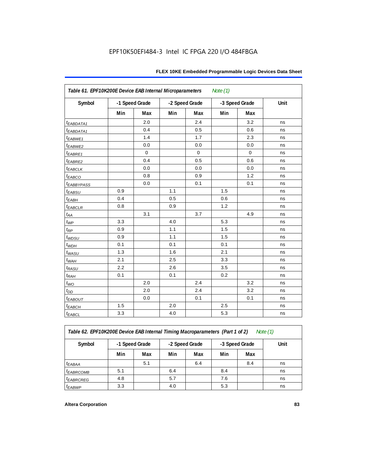| Table 61. EPF10K200E Device EAB Internal Microparameters<br>Note $(1)$ |                |             |                |             |                |             |      |  |  |
|------------------------------------------------------------------------|----------------|-------------|----------------|-------------|----------------|-------------|------|--|--|
| Symbol                                                                 | -1 Speed Grade |             | -2 Speed Grade |             | -3 Speed Grade |             | Unit |  |  |
|                                                                        | Min            | Max         | Min            | Max         | Min            | Max         |      |  |  |
| t <sub>EABDATA1</sub>                                                  |                | 2.0         |                | 2.4         |                | 3.2         | ns   |  |  |
| t <sub>EABDATA1</sub>                                                  |                | 0.4         |                | 0.5         |                | 0.6         | ns   |  |  |
| t <sub>EABWE1</sub>                                                    |                | 1.4         |                | 1.7         |                | 2.3         | ns   |  |  |
| $t_{EABWE2}$                                                           |                | 0.0         |                | 0.0         |                | 0.0         | ns   |  |  |
| $t_{EABRE1}$                                                           |                | $\mathbf 0$ |                | $\mathbf 0$ |                | $\mathbf 0$ | ns   |  |  |
| $t_{EABRE2}$                                                           |                | 0.4         |                | 0.5         |                | 0.6         | ns   |  |  |
| $t_{EABCLK}$                                                           |                | 0.0         |                | 0.0         |                | 0.0         | ns   |  |  |
| $t_{EABCO}$                                                            |                | 0.8         |                | 0.9         |                | 1.2         | ns   |  |  |
| <i><b>EABBYPASS</b></i>                                                |                | 0.0         |                | 0.1         |                | 0.1         | ns   |  |  |
| $t_{EABSU}$                                                            | 0.9            |             | 1.1            |             | 1.5            |             | ns   |  |  |
| $t_{EABH}$                                                             | 0.4            |             | 0.5            |             | 0.6            |             | ns   |  |  |
| $t_{EABCLR}$                                                           | 0.8            |             | 0.9            |             | 1.2            |             | ns   |  |  |
| $t_{AA}$                                                               |                | 3.1         |                | 3.7         |                | 4.9         | ns   |  |  |
| $t_{WP}$                                                               | 3.3            |             | 4.0            |             | 5.3            |             | ns   |  |  |
| $t_{RP}$                                                               | 0.9            |             | 1.1            |             | 1.5            |             | ns   |  |  |
| t <sub>WDSU</sub>                                                      | 0.9            |             | 1.1            |             | 1.5            |             | ns   |  |  |
| $t_{WDH}$                                                              | 0.1            |             | 0.1            |             | 0.1            |             | ns   |  |  |
| $t_{WASU}$                                                             | 1.3            |             | 1.6            |             | 2.1            |             | ns   |  |  |
| $t_{\textit{WAH}}$                                                     | 2.1            |             | 2.5            |             | 3.3            |             | ns   |  |  |
| $t_{RASU}$                                                             | 2.2            |             | 2.6            |             | 3.5            |             | ns   |  |  |
| $t_{RAH}$                                                              | 0.1            |             | 0.1            |             | 0.2            |             | ns   |  |  |
| $t_{WO}$                                                               |                | 2.0         |                | 2.4         |                | 3.2         | ns   |  |  |
| $t_{DD}$                                                               |                | 2.0         |                | 2.4         |                | 3.2         | ns   |  |  |
| $t_{EABOUT}$                                                           |                | 0.0         |                | 0.1         |                | 0.1         | ns   |  |  |
| $t_{EABCH}$                                                            | 1.5            |             | 2.0            |             | 2.5            |             | ns   |  |  |
| $t_{EABCL}$                                                            | 3.3            |             | 4.0            |             | 5.3            |             | ns   |  |  |

*Table 62. EPF10K200E Device EAB Internal Timing Macroparameters (Part 1 of 2) Note (1)*

| Symbol                      | -1 Speed Grade |     | -2 Speed Grade |     | -3 Speed Grade |     | Unit |  |  |
|-----------------------------|----------------|-----|----------------|-----|----------------|-----|------|--|--|
|                             | Min            | Max | Min            | Max | Min            | Max |      |  |  |
| $t_{EABA}$                  |                | 5.1 |                | 6.4 |                | 8.4 | ns   |  |  |
| <b><i>EABRCOMB</i></b>      | 5.1            |     | 6.4            |     | 8.4            |     | ns   |  |  |
| <i>t<sub>EABRCREG</sub></i> | 4.8            |     | 5.7            |     | 7.6            |     | ns   |  |  |
| t <sub>EABWP</sub>          | 3.3            |     | 4.0            |     | 5.3            |     | ns   |  |  |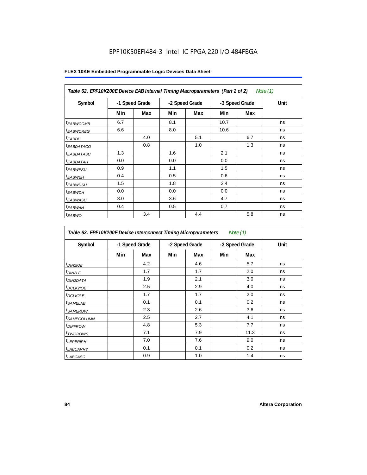| Table 62. EPF10K200E Device EAB Internal Timing Macroparameters (Part 2 of 2)<br>Note (1) |                |     |                |     |                |     |      |  |  |
|-------------------------------------------------------------------------------------------|----------------|-----|----------------|-----|----------------|-----|------|--|--|
| Symbol                                                                                    | -1 Speed Grade |     | -2 Speed Grade |     | -3 Speed Grade |     | Unit |  |  |
|                                                                                           | Min            | Max | Min            | Max | Min            | Max |      |  |  |
| <sup>t</sup> EABWCOMB                                                                     | 6.7            |     | 8.1            |     | 10.7           |     | ns   |  |  |
| <sup>t</sup> EABWCREG                                                                     | 6.6            |     | 8.0            |     | 10.6           |     | ns   |  |  |
| <sup>t</sup> EABDD                                                                        |                | 4.0 |                | 5.1 |                | 6.7 | ns   |  |  |
| <sup>t</sup> EABDATACO                                                                    |                | 0.8 |                | 1.0 |                | 1.3 | ns   |  |  |
| <sup>t</sup> EABDATASU                                                                    | 1.3            |     | 1.6            |     | 2.1            |     | ns   |  |  |
| <sup>t</sup> EABDATAH                                                                     | 0.0            |     | 0.0            |     | 0.0            |     | ns   |  |  |
| <sup>t</sup> EABWESU                                                                      | 0.9            |     | 1.1            |     | 1.5            |     | ns   |  |  |
| <sup>t</sup> EABWEH                                                                       | 0.4            |     | 0.5            |     | 0.6            |     | ns   |  |  |
| <sup>t</sup> EABWDSU                                                                      | 1.5            |     | 1.8            |     | 2.4            |     | ns   |  |  |
| <sup>t</sup> EABWDH                                                                       | 0.0            |     | 0.0            |     | 0.0            |     | ns   |  |  |
| <sup>t</sup> EABWASU                                                                      | 3.0            |     | 3.6            |     | 4.7            |     | ns   |  |  |
| <sup>t</sup> EABWAH                                                                       | 0.4            |     | 0.5            |     | 0.7            |     | ns   |  |  |
| <sup>t</sup> EABWO                                                                        |                | 3.4 |                | 4.4 |                | 5.8 | ns   |  |  |

| Table 63. EPF10K200E Device Interconnect Timing Microparameters<br>Note $(1)$ |                |     |                |     |                |      |      |  |  |
|-------------------------------------------------------------------------------|----------------|-----|----------------|-----|----------------|------|------|--|--|
| Symbol                                                                        | -1 Speed Grade |     | -2 Speed Grade |     | -3 Speed Grade |      | Unit |  |  |
|                                                                               | Min            | Max | Min            | Max | Min            | Max  |      |  |  |
| $t_{DINZIOE}$                                                                 |                | 4.2 |                | 4.6 |                | 5.7  | ns   |  |  |
| t <sub>DIN2LE</sub>                                                           |                | 1.7 |                | 1.7 |                | 2.0  | ns   |  |  |
| <sup>t</sup> DIN2DATA                                                         |                | 1.9 |                | 2.1 |                | 3.0  | ns   |  |  |
| <sup>t</sup> DCLK2IOE                                                         |                | 2.5 |                | 2.9 |                | 4.0  | ns   |  |  |
| <sup>t</sup> DCLK2LE                                                          |                | 1.7 |                | 1.7 |                | 2.0  | ns   |  |  |
| <sup>t</sup> SAMELAB                                                          |                | 0.1 |                | 0.1 |                | 0.2  | ns   |  |  |
| <i>t</i> SAMEROW                                                              |                | 2.3 |                | 2.6 |                | 3.6  | ns   |  |  |
| <sup>t</sup> SAMECOLUMN                                                       |                | 2.5 |                | 2.7 |                | 4.1  | ns   |  |  |
| <sup>t</sup> DIFFROW                                                          |                | 4.8 |                | 5.3 |                | 7.7  | ns   |  |  |
| <sup>t</sup> TWOROWS                                                          |                | 7.1 |                | 7.9 |                | 11.3 | ns   |  |  |
| <sup>t</sup> LEPERIPH                                                         |                | 7.0 |                | 7.6 |                | 9.0  | ns   |  |  |
| <sup>t</sup> LABCARRY                                                         |                | 0.1 |                | 0.1 |                | 0.2  | ns   |  |  |
| t <sub>LABCASC</sub>                                                          |                | 0.9 |                | 1.0 |                | 1.4  | ns   |  |  |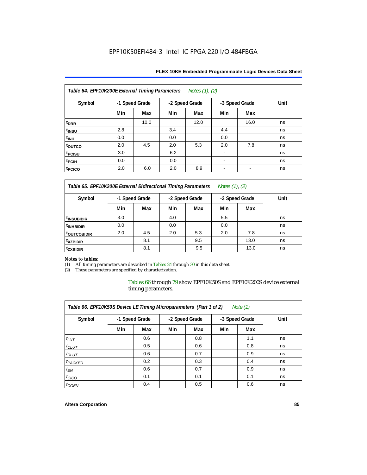| Table 64. EPF10K200E External Timing Parameters<br>Notes (1), (2) |                |      |                |      |                |                          |      |  |  |  |  |
|-------------------------------------------------------------------|----------------|------|----------------|------|----------------|--------------------------|------|--|--|--|--|
| Symbol                                                            | -1 Speed Grade |      | -2 Speed Grade |      | -3 Speed Grade |                          | Unit |  |  |  |  |
|                                                                   | Min            | Max  | Min            | Max  | Min            | Max                      |      |  |  |  |  |
| t <sub>DRR</sub>                                                  |                | 10.0 |                | 12.0 |                | 16.0                     | ns   |  |  |  |  |
| t <sub>INSU</sub>                                                 | 2.8            |      | 3.4            |      | 4.4            |                          | ns   |  |  |  |  |
| t <sub>INH</sub>                                                  | 0.0            |      | 0.0            |      | 0.0            |                          | ns   |  |  |  |  |
| toutco                                                            | 2.0            | 4.5  | 2.0            | 5.3  | 2.0            | 7.8                      | ns   |  |  |  |  |
| t <sub>PCISU</sub>                                                | 3.0            |      | 6.2            |      | ۰              |                          | ns   |  |  |  |  |
| t <sub>pCIH</sub>                                                 | 0.0            |      | 0.0            |      |                |                          | ns   |  |  |  |  |
| t <sub>PCICO</sub>                                                | 2.0            | 6.0  | 2.0            | 8.9  | -              | $\overline{\phantom{a}}$ | ns   |  |  |  |  |

*Table 65. EPF10K200E External Bidirectional Timing Parameters Notes (1), (2)*

| Symbol                  | -1 Speed Grade |     |     | -2 Speed Grade |     | -3 Speed Grade | Unit |
|-------------------------|----------------|-----|-----|----------------|-----|----------------|------|
|                         | Min            | Max | Min | Max            | Min | Max            |      |
| <sup>t</sup> INSUBIDIR  | 3.0            |     | 4.0 |                | 5.5 |                | ns   |
| <sup>t</sup> INHBIDIR   | 0.0            |     | 0.0 |                | 0.0 |                | ns   |
| <sup>t</sup> OUTCOBIDIR | 2.0            | 4.5 | 2.0 | 5.3            | 2.0 | 7.8            | ns   |
| <sup>t</sup> xzbidir    |                | 8.1 |     | 9.5            |     | 13.0           | ns   |
| <sup>t</sup> zxbidir    |                | 8.1 |     | 9.5            |     | 13.0           | ns   |

# *Notes to tables:*

(1) All timing parameters are described in Tables 24 through 30 in this data sheet.<br>(2) These parameters are specified by characterization.

These parameters are specified by characterization.

Tables 66 through 79 show EPF10K50S and EPF10K200S device external timing parameters.

| Table 66. EPF10K50S Device LE Timing Microparameters (Part 1 of 2)<br>Note $(1)$ |                |     |     |                |                |     |      |  |  |  |  |
|----------------------------------------------------------------------------------|----------------|-----|-----|----------------|----------------|-----|------|--|--|--|--|
| Symbol                                                                           | -1 Speed Grade |     |     | -2 Speed Grade | -3 Speed Grade |     | Unit |  |  |  |  |
|                                                                                  | Min            | Max | Min | Max            | Min            | Max |      |  |  |  |  |
| $t_{LUT}$                                                                        |                | 0.6 |     | 0.8            |                | 1.1 | ns   |  |  |  |  |
| $t_{CLUT}$                                                                       |                | 0.5 |     | 0.6            |                | 0.8 | ns   |  |  |  |  |
| $t_{RLUT}$                                                                       |                | 0.6 |     | 0.7            |                | 0.9 | ns   |  |  |  |  |
| <sup>t</sup> PACKED                                                              |                | 0.2 |     | 0.3            |                | 0.4 | ns   |  |  |  |  |
| $t_{EN}$                                                                         |                | 0.6 |     | 0.7            |                | 0.9 | ns   |  |  |  |  |
| $t_{CICO}$                                                                       |                | 0.1 |     | 0.1            |                | 0.1 | ns   |  |  |  |  |
| $t_{GEN}$                                                                        |                | 0.4 |     | 0.5            |                | 0.6 | ns   |  |  |  |  |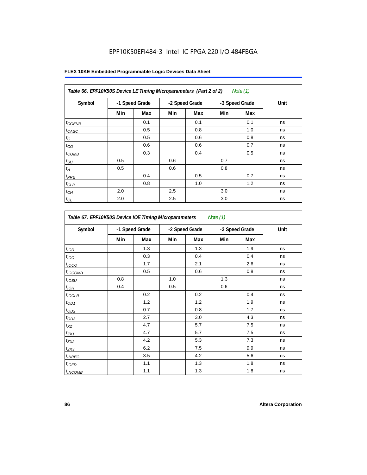| Table 66. EPF10K50S Device LE Timing Microparameters (Part 2 of 2)<br>Note (1) |                |     |     |                |     |                |      |  |  |  |
|--------------------------------------------------------------------------------|----------------|-----|-----|----------------|-----|----------------|------|--|--|--|
| Symbol                                                                         | -1 Speed Grade |     |     | -2 Speed Grade |     | -3 Speed Grade | Unit |  |  |  |
|                                                                                | Min            | Max | Min | Max            | Min | Max            |      |  |  |  |
| $t_{GENR}$                                                                     |                | 0.1 |     | 0.1            |     | 0.1            | ns   |  |  |  |
| $t_{CASC}$                                                                     |                | 0.5 |     | 0.8            |     | 1.0            | ns   |  |  |  |
| $t_C$                                                                          |                | 0.5 |     | 0.6            |     | 0.8            | ns   |  |  |  |
| $t_{CO}$                                                                       |                | 0.6 |     | 0.6            |     | 0.7            | ns   |  |  |  |
| $t_{COMB}$                                                                     |                | 0.3 |     | 0.4            |     | 0.5            | ns   |  |  |  |
| $t_{\text{SU}}$                                                                | 0.5            |     | 0.6 |                | 0.7 |                | ns   |  |  |  |
| $t_H\,$                                                                        | 0.5            |     | 0.6 |                | 0.8 |                | ns   |  |  |  |
| $t_{PRE}$                                                                      |                | 0.4 |     | 0.5            |     | 0.7            | ns   |  |  |  |
| $t_{CLR}$                                                                      |                | 0.8 |     | 1.0            |     | 1.2            | ns   |  |  |  |
| $t_{CH}$                                                                       | 2.0            |     | 2.5 |                | 3.0 |                | ns   |  |  |  |
| $t_{CL}$                                                                       | 2.0            |     | 2.5 |                | 3.0 |                | ns   |  |  |  |

| Table 67. EPF10K50S Device IOE Timing Microparameters<br>Note (1) |                |     |     |                |     |                |      |  |  |
|-------------------------------------------------------------------|----------------|-----|-----|----------------|-----|----------------|------|--|--|
| Symbol                                                            | -1 Speed Grade |     |     | -2 Speed Grade |     | -3 Speed Grade | Unit |  |  |
|                                                                   | Min            | Max | Min | Max            | Min | Max            |      |  |  |
| t <sub>IOD</sub>                                                  |                | 1.3 |     | 1.3            |     | 1.9            | ns   |  |  |
| $t_{\text{IOC}}$                                                  |                | 0.3 |     | 0.4            |     | 0.4            | ns   |  |  |
| t <sub>IOCO</sub>                                                 |                | 1.7 |     | 2.1            |     | 2.6            | ns   |  |  |
| $t_{IOCOMB}$                                                      |                | 0.5 |     | 0.6            |     | 0.8            | ns   |  |  |
| t <sub>iosu</sub>                                                 | 0.8            |     | 1.0 |                | 1.3 |                | ns   |  |  |
| $t_{IOM}$                                                         | 0.4            |     | 0.5 |                | 0.6 |                | ns   |  |  |
| $t_{IOCLR}$                                                       |                | 0.2 |     | 0.2            |     | 0.4            | ns   |  |  |
| $t_{OD1}$                                                         |                | 1.2 |     | 1.2            |     | 1.9            | ns   |  |  |
| $t_{OD2}$                                                         |                | 0.7 |     | 0.8            |     | 1.7            | ns   |  |  |
| $t_{OD3}$                                                         |                | 2.7 |     | 3.0            |     | 4.3            | ns   |  |  |
| $t_{\mathsf{XZ}}$                                                 |                | 4.7 |     | 5.7            |     | 7.5            | ns   |  |  |
| $t_{ZX1}$                                                         |                | 4.7 |     | 5.7            |     | 7.5            | ns   |  |  |
| $t_{ZX2}$                                                         |                | 4.2 |     | 5.3            |     | 7.3            | ns   |  |  |
| $t_{ZX3}$                                                         |                | 6.2 |     | 7.5            |     | 9.9            | ns   |  |  |
| <i>t</i> <sub>INREG</sub>                                         |                | 3.5 |     | 4.2            |     | 5.6            | ns   |  |  |
| $t_{IOFD}$                                                        |                | 1.1 |     | 1.3            |     | 1.8            | ns   |  |  |
| $t_{INCOMB}$                                                      |                | 1.1 |     | 1.3            |     | 1.8            | ns   |  |  |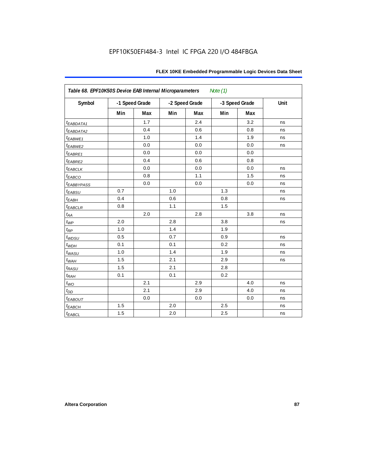| Table 68. EPF10K50S Device EAB Internal Microparameters<br>Note $(1)$ |                |     |                |     |                |     |      |  |  |
|-----------------------------------------------------------------------|----------------|-----|----------------|-----|----------------|-----|------|--|--|
| Symbol                                                                | -1 Speed Grade |     | -2 Speed Grade |     | -3 Speed Grade |     | Unit |  |  |
|                                                                       | Min            | Max | Min            | Max | Min            | Max |      |  |  |
| t <sub>EABDATA1</sub>                                                 |                | 1.7 |                | 2.4 |                | 3.2 | ns   |  |  |
| $t_{EABDATA2}$                                                        |                | 0.4 |                | 0.6 |                | 0.8 | ns   |  |  |
| $t_{EABWE1}$                                                          |                | 1.0 |                | 1.4 |                | 1.9 | ns   |  |  |
| t <sub>EABWE2</sub>                                                   |                | 0.0 |                | 0.0 |                | 0.0 | ns   |  |  |
| $t_{EABRE1}$                                                          |                | 0.0 |                | 0.0 |                | 0.0 |      |  |  |
| $t_{EABRE2}$                                                          |                | 0.4 |                | 0.6 |                | 0.8 |      |  |  |
| $t_{EABCLK}$                                                          |                | 0.0 |                | 0.0 |                | 0.0 | ns   |  |  |
| $t_{EABCO}$                                                           |                | 0.8 |                | 1.1 |                | 1.5 | ns   |  |  |
| <i><b>EABBYPASS</b></i>                                               |                | 0.0 |                | 0.0 |                | 0.0 | ns   |  |  |
| $t_{EABSU}$                                                           | 0.7            |     | 1.0            |     | 1.3            |     | ns   |  |  |
| $t_{EABH}$                                                            | 0.4            |     | 0.6            |     | 0.8            |     | ns   |  |  |
| $t_{EABCLR}$                                                          | 0.8            |     | 1.1            |     | 1.5            |     |      |  |  |
| $t_{AA}$                                                              |                | 2.0 |                | 2.8 |                | 3.8 | ns   |  |  |
| $t_{WP}$                                                              | 2.0            |     | 2.8            |     | 3.8            |     | ns   |  |  |
| $t_{\!R\!P}$                                                          | 1.0            |     | 1.4            |     | 1.9            |     |      |  |  |
| $t_{WDSU}$                                                            | 0.5            |     | 0.7            |     | 0.9            |     | ns   |  |  |
| $t_{WDH}$                                                             | 0.1            |     | 0.1            |     | 0.2            |     | ns   |  |  |
| $t_{WASU}$                                                            | 1.0            |     | 1.4            |     | 1.9            |     | ns   |  |  |
| $t_{W\!AH}$                                                           | 1.5            |     | 2.1            |     | 2.9            |     | ns   |  |  |
| $t_{RASU}$                                                            | 1.5            |     | 2.1            |     | 2.8            |     |      |  |  |
| $t_{RAH}$                                                             | 0.1            |     | 0.1            |     | 0.2            |     |      |  |  |
| $t_{WO}$                                                              |                | 2.1 |                | 2.9 |                | 4.0 | ns   |  |  |
| $t_{DD}$                                                              |                | 2.1 |                | 2.9 |                | 4.0 | ns   |  |  |
| $t_{EABOUT}$                                                          |                | 0.0 |                | 0.0 |                | 0.0 | ns   |  |  |
| $t_{EABCH}$                                                           | 1.5            |     | 2.0            |     | 2.5            |     | ns   |  |  |
| $t_{EABCL}$                                                           | 1.5            |     | 2.0            |     | 2.5            |     | ns   |  |  |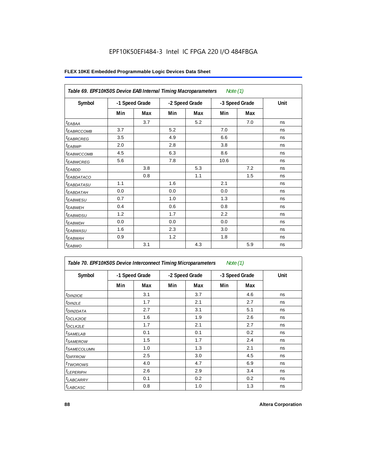| Table 69. EPF10K50S Device EAB Internal Timing Macroparameters<br>Note $(1)$ |                |     |                |     |                |            |      |  |  |
|------------------------------------------------------------------------------|----------------|-----|----------------|-----|----------------|------------|------|--|--|
| Symbol                                                                       | -1 Speed Grade |     | -2 Speed Grade |     | -3 Speed Grade |            | Unit |  |  |
|                                                                              | Min            | Max | Min            | Max | Min            | <b>Max</b> |      |  |  |
| $t_{EABA}$                                                                   |                | 3.7 |                | 5.2 |                | 7.0        | ns   |  |  |
| <sup>t</sup> EABRCCOMB                                                       | 3.7            |     | 5.2            |     | 7.0            |            | ns   |  |  |
| <i><b>EABRCREG</b></i>                                                       | 3.5            |     | 4.9            |     | 6.6            |            | ns   |  |  |
| $t_{EABWP}$                                                                  | 2.0            |     | 2.8            |     | 3.8            |            | ns   |  |  |
| <sup>t</sup> EABWCCOMB                                                       | 4.5            |     | 6.3            |     | 8.6            |            | ns   |  |  |
| <i>EABWCREG</i>                                                              | 5.6            |     | 7.8            |     | 10.6           |            | ns   |  |  |
| $t_{EABDD}$                                                                  |                | 3.8 |                | 5.3 |                | 7.2        | ns   |  |  |
| <sup>t</sup> EABDATACO                                                       |                | 0.8 |                | 1.1 |                | 1.5        | ns   |  |  |
| <i>t<sub>EABDATASU</sub></i>                                                 | 1.1            |     | 1.6            |     | 2.1            |            | ns   |  |  |
| t <sub>EABDATAH</sub>                                                        | 0.0            |     | 0.0            |     | 0.0            |            | ns   |  |  |
| t <sub>EABWESU</sub>                                                         | 0.7            |     | 1.0            |     | 1.3            |            | ns   |  |  |
| $t_{EABWEH}$                                                                 | 0.4            |     | 0.6            |     | 0.8            |            | ns   |  |  |
| t <sub>EABWDSU</sub>                                                         | 1.2            |     | 1.7            |     | 2.2            |            | ns   |  |  |
| t <sub>EABWDH</sub>                                                          | 0.0            |     | 0.0            |     | 0.0            |            | ns   |  |  |
| t <sub>EABWASU</sub>                                                         | 1.6            |     | 2.3            |     | 3.0            |            | ns   |  |  |
| t <sub>EABWAH</sub>                                                          | 0.9            |     | 1.2            |     | 1.8            |            | ns   |  |  |
| $t_{EABWO}$                                                                  |                | 3.1 |                | 4.3 |                | 5.9        | ns   |  |  |

| Table 70. EPF10K50S Device Interconnect Timing Microparameters<br>Note $(1)$ |                |     |                |     |                |     |      |  |  |
|------------------------------------------------------------------------------|----------------|-----|----------------|-----|----------------|-----|------|--|--|
| Symbol                                                                       | -1 Speed Grade |     | -2 Speed Grade |     | -3 Speed Grade |     | Unit |  |  |
|                                                                              | Min            | Max | Min            | Max | Min            | Max |      |  |  |
| t <sub>DIN2IOE</sub>                                                         |                | 3.1 |                | 3.7 |                | 4.6 | ns   |  |  |
| <sup>t</sup> DIN2LE                                                          |                | 1.7 |                | 2.1 |                | 2.7 | ns   |  |  |
| <sup>t</sup> DIN2DATA                                                        |                | 2.7 |                | 3.1 |                | 5.1 | ns   |  |  |
| <sup>t</sup> DCLK2IOE                                                        |                | 1.6 |                | 1.9 |                | 2.6 | ns   |  |  |
| <sup>t</sup> DCLK2LE                                                         |                | 1.7 |                | 2.1 |                | 2.7 | ns   |  |  |
| <sup>t</sup> SAMELAB                                                         |                | 0.1 |                | 0.1 |                | 0.2 | ns   |  |  |
| <sup>t</sup> SAMEROW                                                         |                | 1.5 |                | 1.7 |                | 2.4 | ns   |  |  |
| <sup>t</sup> SAMECOLUMN                                                      |                | 1.0 |                | 1.3 |                | 2.1 | ns   |  |  |
| <sup>t</sup> DIFFROW                                                         |                | 2.5 |                | 3.0 |                | 4.5 | ns   |  |  |
| <sup>t</sup> TWOROWS                                                         |                | 4.0 |                | 4.7 |                | 6.9 | ns   |  |  |
| <sup>t</sup> LEPERIPH                                                        |                | 2.6 |                | 2.9 |                | 3.4 | ns   |  |  |
| <sup>t</sup> LABCARRY                                                        |                | 0.1 |                | 0.2 |                | 0.2 | ns   |  |  |
| <sup>t</sup> LABCASC                                                         |                | 0.8 |                | 1.0 |                | 1.3 | ns   |  |  |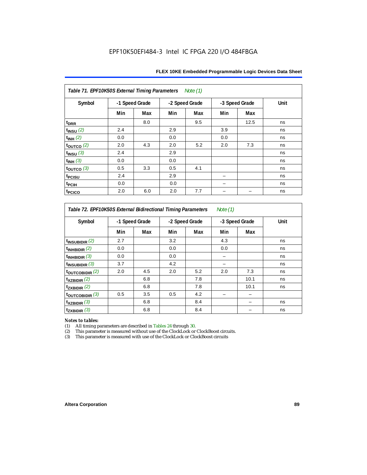| Table 71. EPF10K50S External Timing Parameters<br>Note (1) |                |     |     |                |                |      |      |  |  |  |
|------------------------------------------------------------|----------------|-----|-----|----------------|----------------|------|------|--|--|--|
| Symbol                                                     | -1 Speed Grade |     |     | -2 Speed Grade | -3 Speed Grade |      | Unit |  |  |  |
|                                                            | Min            | Max | Min | Max            | Min            | Max  |      |  |  |  |
| t <sub>DRR</sub>                                           |                | 8.0 |     | 9.5            |                | 12.5 | ns   |  |  |  |
| $t_{INSU}$ (2)                                             | 2.4            |     | 2.9 |                | 3.9            |      | ns   |  |  |  |
| $t_{INH}$ (2)                                              | 0.0            |     | 0.0 |                | 0.0            |      | ns   |  |  |  |
| $\tt_{\text{OUTCO}}$ (2)                                   | 2.0            | 4.3 | 2.0 | 5.2            | 2.0            | 7.3  | ns   |  |  |  |
| $t_{INSU}$ (3)                                             | 2.4            |     | 2.9 |                |                |      | ns   |  |  |  |
| $t_{INH}$ (3)                                              | 0.0            |     | 0.0 |                |                |      | ns   |  |  |  |
| $\tt_{\text{OUTCO}}$ (3)                                   | 0.5            | 3.3 | 0.5 | 4.1            |                |      | ns   |  |  |  |
| t <sub>PCISU</sub>                                         | 2.4            |     | 2.9 |                |                |      | ns   |  |  |  |
| t <sub>PCIH</sub>                                          | 0.0            |     | 0.0 |                |                |      | ns   |  |  |  |
| t <sub>PCICO</sub>                                         | 2.0            | 6.0 | 2.0 | 7.7            |                |      | ns   |  |  |  |

*Table 72. EPF10K50S External Bidirectional Timing Parameters Note (1)*

| Symbol              | -1 Speed Grade |     | -2 Speed Grade |     | -3 Speed Grade |      | Unit |
|---------------------|----------------|-----|----------------|-----|----------------|------|------|
|                     | Min            | Max | Min            | Max | Min            | Max  |      |
| $t_{INSUBIDIR}$ (2) | 2.7            |     | 3.2            |     | 4.3            |      | ns   |
| $t_{INHBIDIR}$ (2)  | 0.0            |     | 0.0            |     | 0.0            |      | ns   |
| $t_{INHBIDIR}$ (3)  | 0.0            |     | 0.0            |     |                |      | ns   |
| $t_{INSUBIDIR}$ (3) | 3.7            |     | 4.2            |     |                |      | ns   |
| toutcobidir $(2)$   | 2.0            | 4.5 | 2.0            | 5.2 | 2.0            | 7.3  | ns   |
| $t_{XZBIDIR}$ (2)   |                | 6.8 |                | 7.8 |                | 10.1 | ns   |
| $t_{ZXBIDIR}$ (2)   |                | 6.8 |                | 7.8 |                | 10.1 | ns   |
| toutcobidir $(3)$   | 0.5            | 3.5 | 0.5            | 4.2 |                |      |      |
| $t_{XZBIDIR}$ (3)   |                | 6.8 |                | 8.4 |                |      | ns   |
| $t_{ZXBIDIR}$ (3)   |                | 6.8 |                | 8.4 |                |      | ns   |

*Notes to tables:* All timing parameters are described in Tables 24 through 30.

(2) This parameter is measured without use of the ClockLock or ClockBoost circuits.<br>(3) This parameter is measured with use of the ClockLock or ClockBoost circuits

This parameter is measured with use of the ClockLock or ClockBoost circuits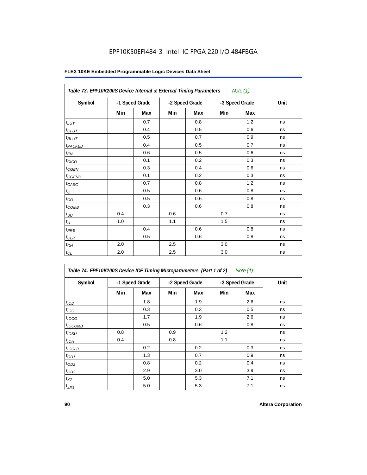| Table 73. EPF10K200S Device Internal & External Timing Parameters<br>Note $(1)$ |                |     |                |     |                |     |      |  |
|---------------------------------------------------------------------------------|----------------|-----|----------------|-----|----------------|-----|------|--|
| Symbol                                                                          | -1 Speed Grade |     | -2 Speed Grade |     | -3 Speed Grade |     | Unit |  |
|                                                                                 | Min            | Max | Min            | Max | Min            | Max |      |  |
| $t_{LUT}$                                                                       |                | 0.7 |                | 0.8 |                | 1.2 | ns   |  |
| $t_{CLUT}$                                                                      |                | 0.4 |                | 0.5 |                | 0.6 | ns   |  |
| $t_{RLUT}$                                                                      |                | 0.5 |                | 0.7 |                | 0.9 | ns   |  |
| t <sub>PACKED</sub>                                                             |                | 0.4 |                | 0.5 |                | 0.7 | ns   |  |
| $t_{EN}$                                                                        |                | 0.6 |                | 0.5 |                | 0.6 | ns   |  |
| t <sub>CICO</sub>                                                               |                | 0.1 |                | 0.2 |                | 0.3 | ns   |  |
| $t_{GEN}$                                                                       |                | 0.3 |                | 0.4 |                | 0.6 | ns   |  |
| $t_{\text{GENR}}$                                                               |                | 0.1 |                | 0.2 |                | 0.3 | ns   |  |
| $t_{CASC}$                                                                      |                | 0.7 |                | 0.8 |                | 1.2 | ns   |  |
| $t_{\rm C}$                                                                     |                | 0.5 |                | 0.6 |                | 0.8 | ns   |  |
| $t_{\rm CO}$                                                                    |                | 0.5 |                | 0.6 |                | 0.8 | ns   |  |
| $t_{COMB}$                                                                      |                | 0.3 |                | 0.6 |                | 0.8 | ns   |  |
| $t_{\rm SU}$                                                                    | 0.4            |     | 0.6            |     | 0.7            |     | ns   |  |
| $t_H\,$                                                                         | 1.0            |     | 1.1            |     | 1.5            |     | ns   |  |
| $t_{PRE}$                                                                       |                | 0.4 |                | 0.6 |                | 0.8 | ns   |  |
| $t_{CLR}$                                                                       |                | 0.5 |                | 0.6 |                | 0.8 | ns   |  |
| $t_{CH}$                                                                        | 2.0            |     | 2.5            |     | 3.0            |     | ns   |  |
| $t_{CL}$                                                                        | 2.0            |     | 2.5            |     | 3.0            |     | ns   |  |

| Table 74. EPF10K200S Device IOE Timing Microparameters (Part 1 of 2) Note (1) |  |  |  |
|-------------------------------------------------------------------------------|--|--|--|
|-------------------------------------------------------------------------------|--|--|--|

| Symbol           | -1 Speed Grade |     | -2 Speed Grade |     | -3 Speed Grade |     | Unit |
|------------------|----------------|-----|----------------|-----|----------------|-----|------|
|                  | Min            | Max | Min            | Max | Min            | Max |      |
| t <sub>IOD</sub> |                | 1.8 |                | 1.9 |                | 2.6 | ns   |
| $t_{\text{IOC}}$ |                | 0.3 |                | 0.3 |                | 0.5 | ns   |
| $t_{IOCO}$       |                | 1.7 |                | 1.9 |                | 2.6 | ns   |
| $t_{IOCOMB}$     |                | 0.5 |                | 0.6 |                | 0.8 | ns   |
| $t_{IOSU}$       | 0.8            |     | 0.9            |     | 1.2            |     | ns   |
| $t_{IOH}$        | 0.4            |     | 0.8            |     | 1.1            |     | ns   |
| $t_{IOCLR}$      |                | 0.2 |                | 0.2 |                | 0.3 | ns   |
| $t_{OD1}$        |                | 1.3 |                | 0.7 |                | 0.9 | ns   |
| $t_{OD2}$        |                | 0.8 |                | 0.2 |                | 0.4 | ns   |
| $t_{OD3}$        |                | 2.9 |                | 3.0 |                | 3.9 | ns   |
| $t_{XZ}$         |                | 5.0 |                | 5.3 |                | 7.1 | ns   |
| $t_{ZX1}$        |                | 5.0 |                | 5.3 |                | 7.1 | ns   |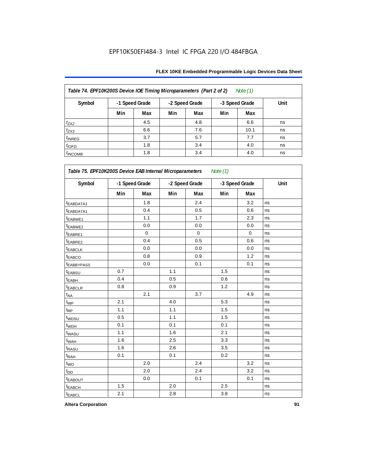| Table 74. EPF10K200S Device IOE Timing Microparameters (Part 2 of 2)<br>Note $(1)$ |                |     |     |                |     |                |      |
|------------------------------------------------------------------------------------|----------------|-----|-----|----------------|-----|----------------|------|
| Symbol                                                                             | -1 Speed Grade |     |     | -2 Speed Grade |     | -3 Speed Grade | Unit |
|                                                                                    | Min            | Max | Min | Max            | Min | Max            |      |
| $t_{ZX2}$                                                                          |                | 4.5 |     | 4.8            |     | 6.6            | ns   |
| $t_{ZX3}$                                                                          |                | 6.6 |     | 7.6            |     | 10.1           | ns   |
| $t_{INREG}$                                                                        |                | 3.7 |     | 5.7            |     | 7.7            | ns   |
| $t_{IOFD}$                                                                         |                | 1.8 |     | 3.4            |     | 4.0            | ns   |
| $t_{INCOMB}$                                                                       |                | 1.8 |     | 3.4            |     | 4.0            | ns   |

| Symbol                  |     | -1 Speed Grade |     | -2 Speed Grade | -3 Speed Grade |             | Unit |
|-------------------------|-----|----------------|-----|----------------|----------------|-------------|------|
|                         | Min | Max            | Min | Max            | Min            | Max         |      |
| t <sub>EABDATA1</sub>   |     | 1.8            |     | 2.4            |                | 3.2         | ns   |
| <sup>t</sup> EABDATA1   |     | 0.4            |     | 0.5            |                | 0.6         | ns   |
| t <sub>EABWE1</sub>     |     | 1.1            |     | 1.7            |                | 2.3         | ns   |
| <sup>t</sup> EABWE2     |     | 0.0            |     | 0.0            |                | 0.0         | ns   |
| EABRE1                  |     | $\mathbf 0$    |     | $\mathbf 0$    |                | $\mathbf 0$ | ns   |
| t <sub>EABRE2</sub>     |     | 0.4            |     | 0.5            |                | 0.6         | ns   |
| <b><i>EABCLK</i></b>    |     | 0.0            |     | 0.0            |                | 0.0         | ns   |
| <b><i>EABCO</i></b>     |     | 0.8            |     | 0.9            |                | 1.2         | ns   |
| <b><i>EABBYPASS</i></b> |     | 0.0            |     | 0.1            |                | 0.1         | ns   |
| t <sub>EABSU</sub>      | 0.7 |                | 1.1 |                | 1.5            |             | ns   |
| <sup>t</sup> EABH       | 0.4 |                | 0.5 |                | 0.6            |             | ns   |
| t <sub>EABCLR</sub>     | 0.8 |                | 0.9 |                | 1.2            |             | ns   |
| t <sub>AA</sub>         |     | 2.1            |     | 3.7            |                | 4.9         | ns   |
| $t_{WP}$                | 2.1 |                | 4.0 |                | 5.3            |             | ns   |
| $t_{\mathsf{RP}}$       | 1.1 |                | 1.1 |                | 1.5            |             | ns   |
| t <sub>WDSU</sub>       | 0.5 |                | 1.1 |                | 1.5            |             | ns   |
| t <sub>WDH</sub>        | 0.1 |                | 0.1 |                | 0.1            |             | ns   |
| t <sub>WASU</sub>       | 1.1 |                | 1.6 |                | 2.1            |             | ns   |
| t <sub>WAH</sub>        | 1.6 |                | 2.5 |                | 3.3            |             | ns   |
| t <sub>RASU</sub>       | 1.6 |                | 2.6 |                | 3.5            |             | ns   |
| t <sub>RAH</sub>        | 0.1 |                | 0.1 |                | 0.2            |             | ns   |
| $t_{WO}$                |     | 2.0            |     | 2.4            |                | 3.2         | ns   |
| t <sub>DD</sub>         |     | 2.0            |     | 2.4            |                | 3.2         | ns   |
| <b><i>EABOUT</i></b>    |     | 0.0            |     | 0.1            |                | 0.1         | ns   |
| t <sub>EABCH</sub>      | 1.5 |                | 2.0 |                | 2.5            |             | ns   |
| t <sub>EABCL</sub>      | 2.1 |                | 2.8 |                | 3.8            |             | ns   |

**Altera Corporation 91**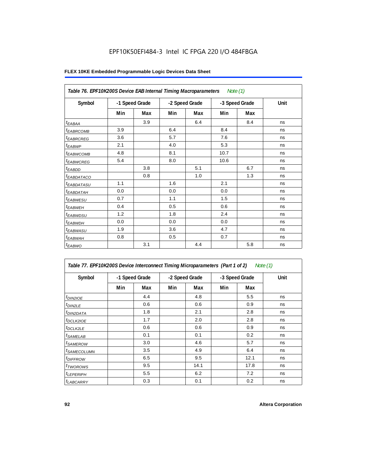| Table 76. EPF10K200S Device EAB Internal Timing Macroparameters Note (1) |                |     |                |     |                |     |      |
|--------------------------------------------------------------------------|----------------|-----|----------------|-----|----------------|-----|------|
| Symbol                                                                   | -1 Speed Grade |     | -2 Speed Grade |     | -3 Speed Grade |     | Unit |
|                                                                          | Min            | Max | Min            | Max | Min            | Max |      |
| $t_{EABA}$                                                               |                | 3.9 |                | 6.4 |                | 8.4 | ns   |
| <sup>t</sup> EA <u>BRCOMB</u>                                            | 3.9            |     | 6.4            |     | 8.4            |     | ns   |
| <sup>t</sup> EABRCREG                                                    | 3.6            |     | 5.7            |     | 7.6            |     | ns   |
| $t_{EABWP}$                                                              | 2.1            |     | 4.0            |     | 5.3            |     | ns   |
| <sup>t</sup> EABWCOMB                                                    | 4.8            |     | 8.1            |     | 10.7           |     | ns   |
| <sup>t</sup> EABWCREG                                                    | 5.4            |     | 8.0            |     | 10.6           |     | ns   |
| $t_{EABDD}$                                                              |                | 3.8 |                | 5.1 |                | 6.7 | ns   |
| <sup>t</sup> EABDATACO                                                   |                | 0.8 |                | 1.0 |                | 1.3 | ns   |
| <i>t<sub>EABDATASU</sub></i>                                             | 1.1            |     | 1.6            |     | 2.1            |     | ns   |
| <sup>t</sup> EABDATAH                                                    | 0.0            |     | 0.0            |     | 0.0            |     | ns   |
| <sup>t</sup> EABWESU                                                     | 0.7            |     | 1.1            |     | 1.5            |     | ns   |
| $t_{EABWEH}$                                                             | 0.4            |     | 0.5            |     | 0.6            |     | ns   |
| t <sub>EABWDSU</sub>                                                     | 1.2            |     | 1.8            |     | 2.4            |     | ns   |
| <sup>t</sup> EABWDH                                                      | 0.0            |     | 0.0            |     | 0.0            |     | ns   |
| <sup>t</sup> EABWASU                                                     | 1.9            |     | 3.6            |     | 4.7            |     | ns   |
| t <sub>EABWAH</sub>                                                      | 0.8            |     | 0.5            |     | 0.7            |     | ns   |
| $t_{EABWO}$                                                              |                | 3.1 |                | 4.4 |                | 5.8 | ns   |

| Table 77. EPF10K200S Device Interconnect Timing Microparameters (Part 1 of 2)<br>Note (1) |     |                |                |      |                |      |      |
|-------------------------------------------------------------------------------------------|-----|----------------|----------------|------|----------------|------|------|
| Symbol                                                                                    |     | -1 Speed Grade | -2 Speed Grade |      | -3 Speed Grade |      | Unit |
|                                                                                           | Min | Max            | Min            | Max  | Min            | Max  |      |
| <i>t<sub>DIN2IOE</sub></i>                                                                |     | 4.4            |                | 4.8  |                | 5.5  | ns   |
| $t_{DIN2LE}$                                                                              |     | 0.6            |                | 0.6  |                | 0.9  | ns   |
| <sup>t</sup> DIN2DATA                                                                     |     | 1.8            |                | 2.1  |                | 2.8  | ns   |
| <sup>t</sup> DCLK2IOE                                                                     |     | 1.7            |                | 2.0  |                | 2.8  | ns   |
| <sup>t</sup> DCLK2LE                                                                      |     | 0.6            |                | 0.6  |                | 0.9  | ns   |
| <sup>t</sup> SAMELAB                                                                      |     | 0.1            |                | 0.1  |                | 0.2  | ns   |
| <sup>t</sup> SAMEROW                                                                      |     | 3.0            |                | 4.6  |                | 5.7  | ns   |
| <sup>t</sup> SAMECOLUMN                                                                   |     | 3.5            |                | 4.9  |                | 6.4  | ns   |
| <sup>t</sup> DIFFROW                                                                      |     | 6.5            |                | 9.5  |                | 12.1 | ns   |
| <sup>t</sup> TWOROWS                                                                      |     | 9.5            |                | 14.1 |                | 17.8 | ns   |
| <sup>t</sup> LEPERIPH                                                                     |     | 5.5            |                | 6.2  |                | 7.2  | ns   |
| <b><i>LABCARRY</i></b>                                                                    |     | 0.3            |                | 0.1  |                | 0.2  | ns   |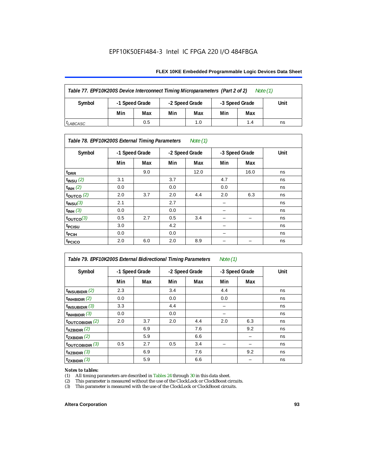#### **FLEX 10KE Embedded Programmable Logic Devices Data Sheet**

| Table 77. EPF10K200S Device Interconnect Timing Microparameters (Part 2 of 2)<br>Note $(1)$ |                |                |     |                |     |      |  |
|---------------------------------------------------------------------------------------------|----------------|----------------|-----|----------------|-----|------|--|
| Symbol                                                                                      | -1 Speed Grade | -2 Speed Grade |     | -3 Speed Grade |     | Unit |  |
|                                                                                             | Min            | Max            | Min | Max            | Min | Max  |  |
| 0.5<br>1.0<br>1.4<br>ns<br><sup>I</sup> LABCASC                                             |                |                |     |                |     |      |  |

# *Table 78. EPF10K200S External Timing Parameters Note (1)*

| Symbol                    |     | -1 Speed Grade |     | -2 Speed Grade |     | -3 Speed Grade | Unit |
|---------------------------|-----|----------------|-----|----------------|-----|----------------|------|
|                           | Min | Max            | Min | Max            | Min | Max            |      |
| t <sub>DRR</sub>          |     | 9.0            |     | 12.0           |     | 16.0           | ns   |
| $t$ <sub>INSU</sub> $(2)$ | 3.1 |                | 3.7 |                | 4.7 |                | ns   |
| $t_{INH}$ (2)             | 0.0 |                | 0.0 |                | 0.0 |                | ns   |
| $t_{\text{OUTCO}}(2)$     | 2.0 | 3.7            | 2.0 | 4.4            | 2.0 | 6.3            | ns   |
| $t_{INSU}(3)$             | 2.1 |                | 2.7 |                |     |                | ns   |
| $t_{INH}$ (3)             | 0.0 |                | 0.0 |                | -   |                | ns   |
| $t_{OUTCO}(3)$            | 0.5 | 2.7            | 0.5 | 3.4            | -   | -              | ns   |
| t <sub>PCISU</sub>        | 3.0 |                | 4.2 |                | -   |                | ns   |
| <sup>t</sup> PCIH         | 0.0 |                | 0.0 |                | -   |                | ns   |
| t <sub>PCICO</sub>        | 2.0 | 6.0            | 2.0 | 8.9            |     |                | ns   |

| Note $(1)$<br>Table 79. EPF10K200S External Bidirectional Timing Parameters |                |     |     |                |     |                |      |  |
|-----------------------------------------------------------------------------|----------------|-----|-----|----------------|-----|----------------|------|--|
| Symbol                                                                      | -1 Speed Grade |     |     | -2 Speed Grade |     | -3 Speed Grade | Unit |  |
|                                                                             | Min            | Max | Min | Max            | Min | Max            |      |  |
| $t_{INSUBIDIR}$ (2)                                                         | 2.3            |     | 3.4 |                | 4.4 |                | ns   |  |
| $t_{INHBIDIR}$ (2)                                                          | 0.0            |     | 0.0 |                | 0.0 |                | ns   |  |
| $t_{INSUBIDIR}$ (3)                                                         | 3.3            |     | 4.4 |                |     |                | ns   |  |
| $t_{INHBIDIR}$ (3)                                                          | 0.0            |     | 0.0 |                |     |                | ns   |  |
| $t_{\text{OUTCOBIDIR}}(2)$                                                  | 2.0            | 3.7 | 2.0 | 4.4            | 2.0 | 6.3            | ns   |  |
| $t_{XZBIDIR}$ (2)                                                           |                | 6.9 |     | 7.6            |     | 9.2            | ns   |  |
| $t_{ZXBIDIR}$ (2)                                                           |                | 5.9 |     | 6.6            |     |                | ns   |  |
| $t_{\text{OUTC}OBIDIR}$ (3)                                                 | 0.5            | 2.7 | 0.5 | 3.4            |     |                | ns   |  |
| $t_{XZBIDIR}$ (3)                                                           |                | 6.9 |     | 7.6            |     | 9.2            | ns   |  |
| $t_{ZXBIDIR}$ (3)                                                           |                | 5.9 |     | 6.6            |     |                | ns   |  |

# *Notes to tables:*<br>(1) All timing p

(1) All timing parameters are described in Tables  $24$  through  $30$  in this data sheet.<br>
(2) This parameter is measured without the use of the ClockLock or ClockBoost ci

(2) This parameter is measured without the use of the ClockLock or ClockBoost circuits.<br>(3) This parameter is measured with the use of the ClockLock or ClockBoost circuits.

This parameter is measured with the use of the ClockLock or ClockBoost circuits.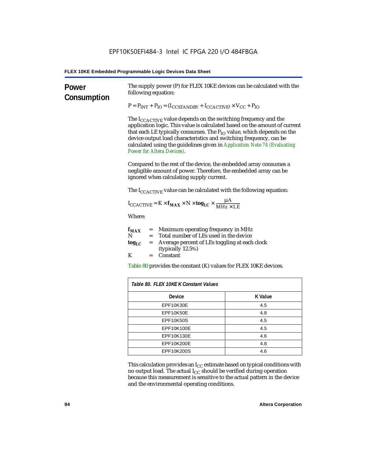| Power<br>Consumption | The supply power (P) for FLEX 10KE devices can be calculated with the<br>following equation:                                                                                                                                                                                                                                                                                                                                 |                |  |  |  |  |
|----------------------|------------------------------------------------------------------------------------------------------------------------------------------------------------------------------------------------------------------------------------------------------------------------------------------------------------------------------------------------------------------------------------------------------------------------------|----------------|--|--|--|--|
|                      | $P = P_{INT} + P_{IO} = (I_{COSTANDBY} + I_{CCACTIVE}) \times V_{CC} + P_{IO}$                                                                                                                                                                                                                                                                                                                                               |                |  |  |  |  |
|                      | The I <sub>CCACTIVE</sub> value depends on the switching frequency and the<br>application logic. This value is calculated based on the amount of current<br>that each LE typically consumes. The $P_{IO}$ value, which depends on the<br>device output load characteristics and switching frequency, can be<br>calculated using the guidelines given in Application Note 74 (Evaluating<br><b>Power for Altera Devices).</b> |                |  |  |  |  |
|                      | Compared to the rest of the device, the embedded array consumes a<br>negligible amount of power. Therefore, the embedded array can be<br>ignored when calculating supply current.                                                                                                                                                                                                                                            |                |  |  |  |  |
|                      | The $I_{\text{CCACTIVE}}$ value can be calculated with the following equation:                                                                                                                                                                                                                                                                                                                                               |                |  |  |  |  |
|                      | $I_{\text{CCACTIVE}} = K \times f_{\text{MAX}} \times N \times \text{tog}_{\text{LC}} \times \frac{\mu A}{\text{MHz} \times \text{LE}}$                                                                                                                                                                                                                                                                                      |                |  |  |  |  |
|                      | Where:                                                                                                                                                                                                                                                                                                                                                                                                                       |                |  |  |  |  |
|                      | $=$ Maximum operating frequency in MHz<br>$f_{MAX}$<br>N<br>= Total number of LEs used in the device                                                                                                                                                                                                                                                                                                                         |                |  |  |  |  |
|                      | Average percent of LEs toggling at each clock<br>$\log_{LC}$<br>$=$<br>(typically 12.5%)                                                                                                                                                                                                                                                                                                                                     |                |  |  |  |  |
|                      | K<br>Constant<br>$=$                                                                                                                                                                                                                                                                                                                                                                                                         |                |  |  |  |  |
|                      | Table 80 provides the constant (K) values for FLEX 10KE devices.                                                                                                                                                                                                                                                                                                                                                             |                |  |  |  |  |
|                      | Table 80. FLEX 10KE K Constant Values                                                                                                                                                                                                                                                                                                                                                                                        |                |  |  |  |  |
|                      | Device                                                                                                                                                                                                                                                                                                                                                                                                                       | <b>K Value</b> |  |  |  |  |
|                      | EPF10K30E                                                                                                                                                                                                                                                                                                                                                                                                                    | 4.5            |  |  |  |  |
|                      | EPF10K50E                                                                                                                                                                                                                                                                                                                                                                                                                    | 4.8            |  |  |  |  |
|                      | <b>EPF10K50S</b>                                                                                                                                                                                                                                                                                                                                                                                                             | 4.5            |  |  |  |  |
|                      | EPF10K100E                                                                                                                                                                                                                                                                                                                                                                                                                   | 4.5            |  |  |  |  |
|                      | EPF10K130E                                                                                                                                                                                                                                                                                                                                                                                                                   | 4.6            |  |  |  |  |
|                      | EPF10K200E                                                                                                                                                                                                                                                                                                                                                                                                                   | 4.8            |  |  |  |  |
|                      | EPF10K200S                                                                                                                                                                                                                                                                                                                                                                                                                   | 4.6            |  |  |  |  |

This calculation provides an  $\rm I_{CC}$  estimate based on typical conditions with no output load. The actual I $_{\rm CC}$  should be verified during operation because this measurement is sensitive to the actual pattern in the device and the environmental operating conditions.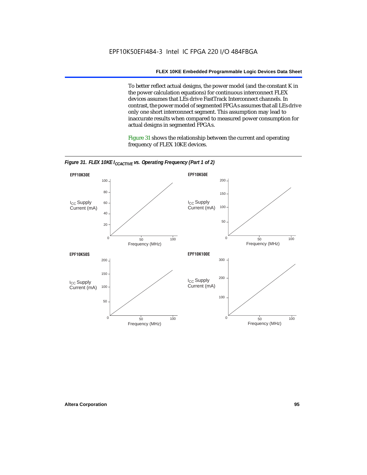To better reflect actual designs, the power model (and the constant K in the power calculation equations) for continuous interconnect FLEX devices assumes that LEs drive FastTrack Interconnect channels. In contrast, the power model of segmented FPGAs assumes that all LEs drive only one short interconnect segment. This assumption may lead to inaccurate results when compared to measured power consumption for actual designs in segmented FPGAs.

Figure 31 shows the relationship between the current and operating frequency of FLEX 10KE devices.



*Figure 31. FLEX 10KE I<sub>CCACTIVE</sub> vs. Operating Frequency (Part 1 of 2)*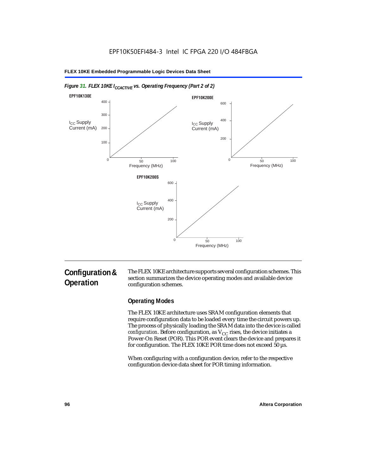

#### *Figure 31. FLEX 10KE I<sub>CCACTIVE</sub> vs. Operating Frequency (Part 2 of 2)*

# **Configuration & Operation**

The FLEX 10KE architecture supports several configuration schemes. This section summarizes the device operating modes and available device configuration schemes.

# **Operating Modes**

The FLEX 10KE architecture uses SRAM configuration elements that require configuration data to be loaded every time the circuit powers up. The process of physically loading the SRAM data into the device is called *configuration.* Before configuration, as  $V_{CC}$  rises, the device initiates a Power-On Reset (POR). This POR event clears the device and prepares it for configuration. The FLEX 10KE POR time does not exceed 50 µs.

When configuring with a configuration device, refer to the respective configuration device data sheet for POR timing information.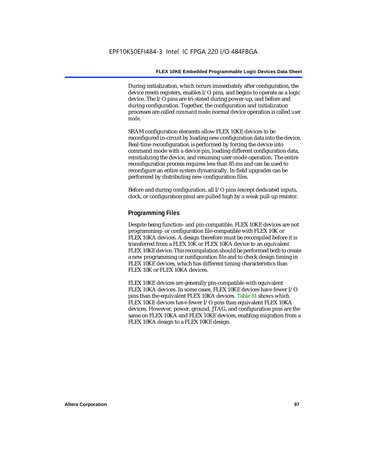During initialization, which occurs immediately after configuration, the device resets registers, enables I/O pins, and begins to operate as a logic device. The I/O pins are tri-stated during power-up, and before and during configuration. Together, the configuration and initialization processes are called *command mode*; normal device operation is called *user mode*.

SRAM configuration elements allow FLEX 10KE devices to be reconfigured in-circuit by loading new configuration data into the device. Real-time reconfiguration is performed by forcing the device into command mode with a device pin, loading different configuration data, reinitializing the device, and resuming user-mode operation. The entire reconfiguration process requires less than 85 ms and can be used to reconfigure an entire system dynamically. In-field upgrades can be performed by distributing new configuration files.

Before and during configuration, all I/O pins (except dedicated inputs, clock, or configuration pins) are pulled high by a weak pull-up resistor.

#### **Programming Files**

Despite being function- and pin-compatible, FLEX 10KE devices are not programming- or configuration file-compatible with FLEX 10K or FLEX 10KA devices. A design therefore must be recompiled before it is transferred from a FLEX 10K or FLEX 10KA device to an equivalent FLEX 10KE device. This recompilation should be performed both to create a new programming or configuration file and to check design timing in FLEX 10KE devices, which has different timing characteristics than FLEX 10K or FLEX 10KA devices.

FLEX 10KE devices are generally pin-compatible with equivalent FLEX 10KA devices. In some cases, FLEX 10KE devices have fewer I/O pins than the equivalent FLEX 10KA devices. Table 81 shows which FLEX 10KE devices have fewer I/O pins than equivalent FLEX 10KA devices. However, power, ground, JTAG, and configuration pins are the same on FLEX 10KA and FLEX 10KE devices, enabling migration from a FLEX 10KA design to a FLEX 10KE design.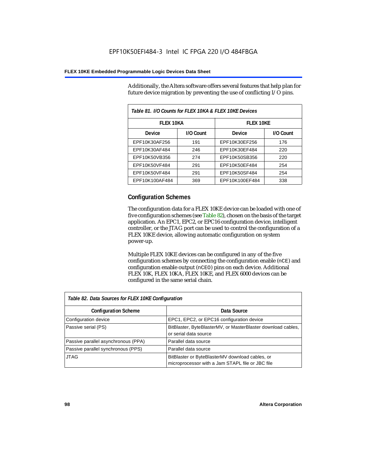Additionally, the Altera software offers several features that help plan for future device migration by preventing the use of conflicting I/O pins.

| Table 81. I/O Counts for FLEX 10KA & FLEX 10KE Devices |           |                |           |  |
|--------------------------------------------------------|-----------|----------------|-----------|--|
| <b>FLEX 10KA</b>                                       |           | FI FX 10KF     |           |  |
| <b>Device</b>                                          | I/O Count | Device         | I/O Count |  |
| EPF10K30AF256                                          | 191       | EPF10K30EF256  | 176       |  |
| EPF10K30AF484                                          | 246       | EPF10K30EF484  | 220       |  |
| EPF10K50VB356                                          | 274       | EPF10K50SB356  | 220       |  |
| EPF10K50VF484                                          | 291       | EPF10K50EF484  | 254       |  |
| EPF10K50VF484                                          | 291       | EPF10K50SF484  | 254       |  |
| EPF10K100AF484                                         | 369       | EPF10K100EF484 | 338       |  |

# **Configuration Schemes**

The configuration data for a FLEX 10KE device can be loaded with one of five configuration schemes (see Table 82), chosen on the basis of the target application. An EPC1, EPC2, or EPC16 configuration device, intelligent controller, or the JTAG port can be used to control the configuration of a FLEX 10KE device, allowing automatic configuration on system power-up.

Multiple FLEX 10KE devices can be configured in any of the five configuration schemes by connecting the configuration enable (nCE) and configuration enable output (nCEO) pins on each device. Additional FLEX 10K, FLEX 10KA, FLEX 10KE, and FLEX 6000 devices can be configured in the same serial chain.

| Table 82. Data Sources for FLEX 10KE Configuration |                                                                                                     |  |  |
|----------------------------------------------------|-----------------------------------------------------------------------------------------------------|--|--|
| <b>Configuration Scheme</b>                        | Data Source                                                                                         |  |  |
| Configuration device                               | EPC1, EPC2, or EPC16 configuration device                                                           |  |  |
| Passive serial (PS)                                | BitBlaster, ByteBlasterMV, or MasterBlaster download cables,<br>or serial data source               |  |  |
| Passive parallel asynchronous (PPA)                | Parallel data source                                                                                |  |  |
| Passive parallel synchronous (PPS)                 | Parallel data source                                                                                |  |  |
| <b>JTAG</b>                                        | BitBlaster or ByteBlasterMV download cables, or<br>microprocessor with a Jam STAPL file or JBC file |  |  |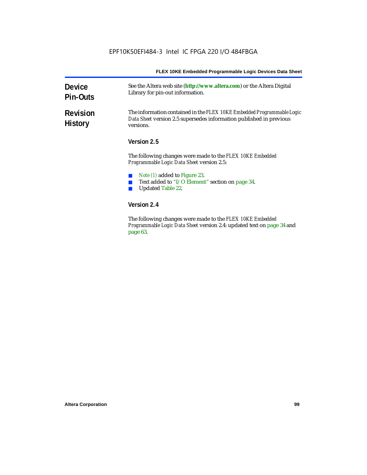| FLEX 10KE Embedded Programmable Logic Devices Data Sheet |  |
|----------------------------------------------------------|--|
|----------------------------------------------------------|--|

| <b>Device</b><br><b>Pin-Outs</b>  | See the Altera web site (http://www.altera.com) or the Altera Digital<br>Library for pin-out information.                                                  |  |
|-----------------------------------|------------------------------------------------------------------------------------------------------------------------------------------------------------|--|
| <b>Revision</b><br><b>History</b> | The information contained in the FLEX 10KE Embedded Programmable Logic<br>Data Sheet version 2.5 supersedes information published in previous<br>versions. |  |
|                                   | Version 2.5                                                                                                                                                |  |
|                                   | The following changes were made to the <i>FLEX 10KE Embedded</i><br><b>Programmable Logic Data Sheet version 2.5:</b>                                      |  |
|                                   | <i>Note (1)</i> added to Figure 23.<br>Text added to "I/O Element" section on page 34.<br><b>Updated Table 22.</b>                                         |  |
|                                   | Version 2.4                                                                                                                                                |  |
|                                   | The following changes were made to the <i>FLEX 10KE Embedded</i>                                                                                           |  |

The following changes were made to the *FLEX 10KE Embedded Programmable Logic Data Sheet* version 2.4: updated text on page 34 and page 63.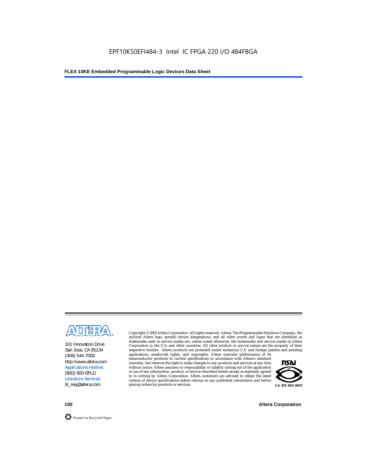

101 Innovation Drive San Jose, CA 95134 (408) 544-7000 http://www.altera.com Applications Hotline: (800) 800-EPLD Literature Services: lit\_req@altera.com

Copyright © 2003 Altera Corporation. All rights reserved. Altera, The Programmable Solutions Company, the stylized Altera logo, specific device designations, and all other words and logos that are identified as trademarks and/or service marks are, unless noted otherwise, the trademarks and service marks of Altera Corporation in the U.S. and other countries. All other product or service names are the property of their respective holders. Altera products are protected under numerous U.S. and foreign patents and pending

applications, maskwork rights, and copyrights. Altera warrants performance of its semiconductor products to current specifications in accordance with Altera's standard warranty, but reserves the right to make changes to any products and services at any time without notice. Altera assumes no responsibility or liability arising out of the application or use of any information, product, or service described herein except as expressly agreed to in writing by Altera Corporation. Altera customers are advised to obtain the latest version of device specifications before relying on any published information and before placing orders for products or services.



**100 Altera Corporation**